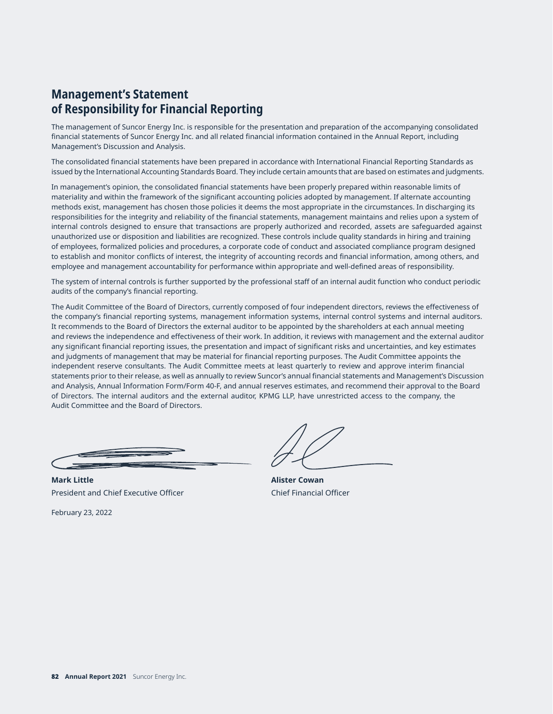## **Management's Statement of Responsibility for Financial Reporting**

The management of Suncor Energy Inc. is responsible for the presentation and preparation of the accompanying consolidated financial statements of Suncor Energy Inc. and all related financial information contained in the Annual Report, including Management's Discussion and Analysis.

The consolidated financial statements have been prepared in accordance with International Financial Reporting Standards as issued by the International Accounting Standards Board. They include certain amounts that are based on estimates and judgments.

In management's opinion, the consolidated financial statements have been properly prepared within reasonable limits of materiality and within the framework of the significant accounting policies adopted by management. If alternate accounting methods exist, management has chosen those policies it deems the most appropriate in the circumstances. In discharging its responsibilities for the integrity and reliability of the financial statements, management maintains and relies upon a system of internal controls designed to ensure that transactions are properly authorized and recorded, assets are safeguarded against unauthorized use or disposition and liabilities are recognized. These controls include quality standards in hiring and training of employees, formalized policies and procedures, a corporate code of conduct and associated compliance program designed to establish and monitor conflicts of interest, the integrity of accounting records and financial information, among others, and employee and management accountability for performance within appropriate and well-defined areas of responsibility.

The system of internal controls is further supported by the professional staff of an internal audit function who conduct periodic audits of the company's financial reporting.

The Audit Committee of the Board of Directors, currently composed of four independent directors, reviews the effectiveness of the company's financial reporting systems, management information systems, internal control systems and internal auditors. It recommends to the Board of Directors the external auditor to be appointed by the shareholders at each annual meeting and reviews the independence and effectiveness of their work. In addition, it reviews with management and the external auditor any significant financial reporting issues, the presentation and impact of significant risks and uncertainties, and key estimates and judgments of management that may be material for financial reporting purposes. The Audit Committee appoints the independent reserve consultants. The Audit Committee meets at least quarterly to review and approve interim financial statements prior to their release, as well as annually to review Suncor's annual financial statements and Management's Discussion and Analysis, Annual Information Form/Form 40-F, and annual reserves estimates, and recommend their approval to the Board of Directors. The internal auditors and the external auditor, KPMG LLP, have unrestricted access to the company, the Audit Committee and the Board of Directors.

**Mark Little Alister Cowan** President and Chief Executive Officer Chief Financial Officer

February 23, 2022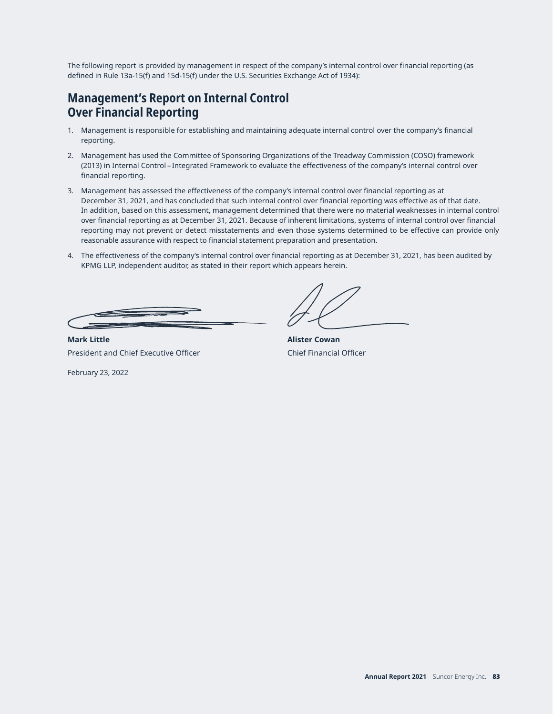The following report is provided by management in respect of the company's internal control over financial reporting (as defined in Rule 13a-15(f) and 15d-15(f) under the U.S. Securities Exchange Act of 1934):

## **Management's Report on Internal Control Over Financial Reporting**

- 1. Management is responsible for establishing and maintaining adequate internal control over the company's financial reporting.
- 2. Management has used the Committee of Sponsoring Organizations of the Treadway Commission (COSO) framework (2013) in Internal Control – Integrated Framework to evaluate the effectiveness of the company's internal control over financial reporting.
- 3. Management has assessed the effectiveness of the company's internal control over financial reporting as at December 31, 2021, and has concluded that such internal control over financial reporting was effective as of that date. In addition, based on this assessment, management determined that there were no material weaknesses in internal control over financial reporting as at December 31, 2021. Because of inherent limitations, systems of internal control over financial reporting may not prevent or detect misstatements and even those systems determined to be effective can provide only reasonable assurance with respect to financial statement preparation and presentation.
- 4. The effectiveness of the company's internal control over financial reporting as at December 31, 2021, has been audited by KPMG LLP, independent auditor, as stated in their report which appears herein.

**Mark Little Alister Cowan** President and Chief Executive Officer Chief Financial Officer

February 23, 2022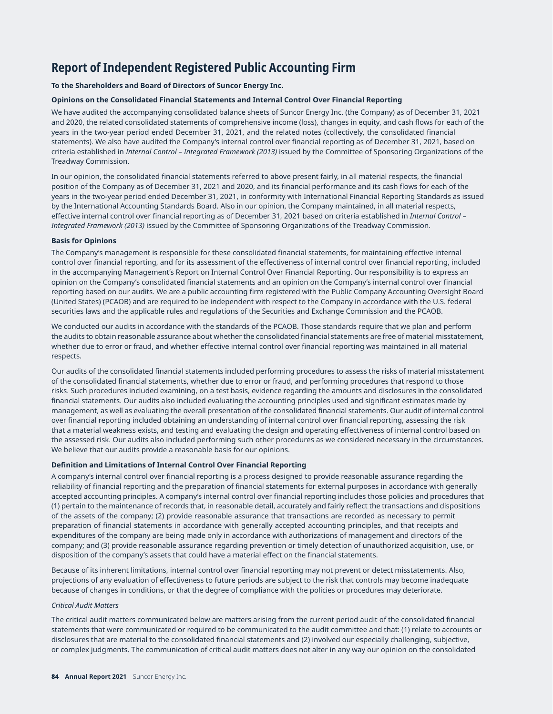# **Report of Independent Registered Public Accounting Firm**

#### **To the Shareholders and Board of Directors of Suncor Energy Inc.**

#### **Opinions on the Consolidated Financial Statements and Internal Control Over Financial Reporting**

We have audited the accompanying consolidated balance sheets of Suncor Energy Inc. (the Company) as of December 31, 2021 and 2020, the related consolidated statements of comprehensive income (loss), changes in equity, and cash flows for each of the years in the two-year period ended December 31, 2021, and the related notes (collectively, the consolidated financial statements). We also have audited the Company's internal control over financial reporting as of December 31, 2021, based on criteria established in *Internal Control – Integrated Framework (2013)* issued by the Committee of Sponsoring Organizations of the Treadway Commission.

In our opinion, the consolidated financial statements referred to above present fairly, in all material respects, the financial position of the Company as of December 31, 2021 and 2020, and its financial performance and its cash flows for each of the years in the two-year period ended December 31, 2021, in conformity with International Financial Reporting Standards as issued by the International Accounting Standards Board. Also in our opinion, the Company maintained, in all material respects, effective internal control over financial reporting as of December 31, 2021 based on criteria established in *Internal Control – Integrated Framework (2013)* issued by the Committee of Sponsoring Organizations of the Treadway Commission.

#### **Basis for Opinions**

The Company's management is responsible for these consolidated financial statements, for maintaining effective internal control over financial reporting, and for its assessment of the effectiveness of internal control over financial reporting, included in the accompanying Management's Report on Internal Control Over Financial Reporting. Our responsibility is to express an opinion on the Company's consolidated financial statements and an opinion on the Company's internal control over financial reporting based on our audits. We are a public accounting firm registered with the Public Company Accounting Oversight Board (United States) (PCAOB) and are required to be independent with respect to the Company in accordance with the U.S. federal securities laws and the applicable rules and regulations of the Securities and Exchange Commission and the PCAOB.

We conducted our audits in accordance with the standards of the PCAOB. Those standards require that we plan and perform the audits to obtain reasonable assurance about whether the consolidated financial statements are free of material misstatement, whether due to error or fraud, and whether effective internal control over financial reporting was maintained in all material respects.

Our audits of the consolidated financial statements included performing procedures to assess the risks of material misstatement of the consolidated financial statements, whether due to error or fraud, and performing procedures that respond to those risks. Such procedures included examining, on a test basis, evidence regarding the amounts and disclosures in the consolidated financial statements. Our audits also included evaluating the accounting principles used and significant estimates made by management, as well as evaluating the overall presentation of the consolidated financial statements. Our audit of internal control over financial reporting included obtaining an understanding of internal control over financial reporting, assessing the risk that a material weakness exists, and testing and evaluating the design and operating effectiveness of internal control based on the assessed risk. Our audits also included performing such other procedures as we considered necessary in the circumstances. We believe that our audits provide a reasonable basis for our opinions.

#### **Definition and Limitations of Internal Control Over Financial Reporting**

A company's internal control over financial reporting is a process designed to provide reasonable assurance regarding the reliability of financial reporting and the preparation of financial statements for external purposes in accordance with generally accepted accounting principles. A company's internal control over financial reporting includes those policies and procedures that (1) pertain to the maintenance of records that, in reasonable detail, accurately and fairly reflect the transactions and dispositions of the assets of the company; (2) provide reasonable assurance that transactions are recorded as necessary to permit preparation of financial statements in accordance with generally accepted accounting principles, and that receipts and expenditures of the company are being made only in accordance with authorizations of management and directors of the company; and (3) provide reasonable assurance regarding prevention or timely detection of unauthorized acquisition, use, or disposition of the company's assets that could have a material effect on the financial statements.

Because of its inherent limitations, internal control over financial reporting may not prevent or detect misstatements. Also, projections of any evaluation of effectiveness to future periods are subject to the risk that controls may become inadequate because of changes in conditions, or that the degree of compliance with the policies or procedures may deteriorate.

#### *Critical Audit Matters*

The critical audit matters communicated below are matters arising from the current period audit of the consolidated financial statements that were communicated or required to be communicated to the audit committee and that: (1) relate to accounts or disclosures that are material to the consolidated financial statements and (2) involved our especially challenging, subjective, or complex judgments. The communication of critical audit matters does not alter in any way our opinion on the consolidated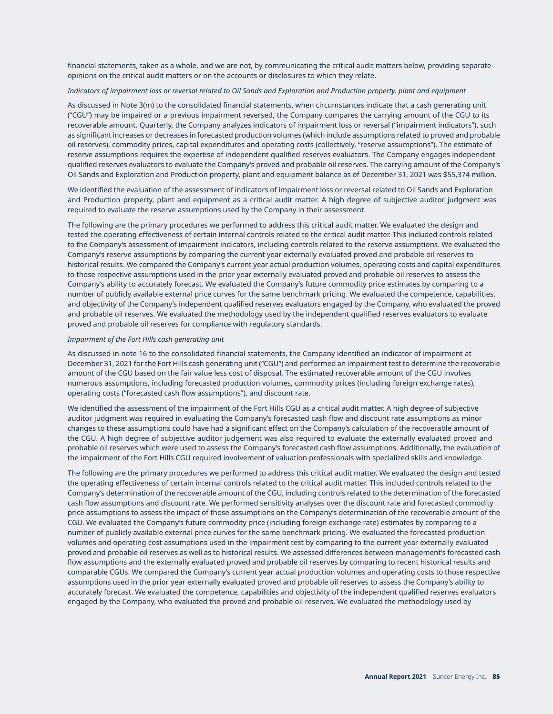financial statements, taken as a whole, and we are not, by communicating the critical audit matters below, providing separate opinions on the critical audit matters or on the accounts or disclosures to which they relate.

#### *Indicators of impairment loss or reversal related to Oil Sands and Exploration and Production property, plant and equipment*

As discussed in Note 3(m) to the consolidated financial statements, when circumstances indicate that a cash generating unit ("CGU") may be impaired or a previous impairment reversed, the Company compares the carrying amount of the CGU to its recoverable amount. Quarterly, the Company analyzes indicators of impairment loss or reversal ("impairment indicators"), such as significant increases or decreases in forecasted production volumes (which include assumptions related to proved and probable oil reserves), commodity prices, capital expenditures and operating costs (collectively, "reserve assumptions"). The estimate of reserve assumptions requires the expertise of independent qualified reserves evaluators. The Company engages independent qualified reserves evaluators to evaluate the Company's proved and probable oil reserves. The carrying amount of the Company's Oil Sands and Exploration and Production property, plant and equipment balance as of December 31, 2021 was \$55,374 million.

We identified the evaluation of the assessment of indicators of impairment loss or reversal related to Oil Sands and Exploration and Production property, plant and equipment as a critical audit matter. A high degree of subjective auditor judgment was required to evaluate the reserve assumptions used by the Company in their assessment.

The following are the primary procedures we performed to address this critical audit matter. We evaluated the design and tested the operating effectiveness of certain internal controls related to the critical audit matter. This included controls related to the Company's assessment of impairment indicators, including controls related to the reserve assumptions. We evaluated the Company's reserve assumptions by comparing the current year externally evaluated proved and probable oil reserves to historical results. We compared the Company's current year actual production volumes, operating costs and capital expenditures to those respective assumptions used in the prior year externally evaluated proved and probable oil reserves to assess the Company's ability to accurately forecast. We evaluated the Company's future commodity price estimates by comparing to a number of publicly available external price curves for the same benchmark pricing. We evaluated the competence, capabilities, and objectivity of the Company's independent qualified reserves evaluators engaged by the Company, who evaluated the proved and probable oil reserves. We evaluated the methodology used by the independent qualified reserves evaluators to evaluate proved and probable oil reserves for compliance with regulatory standards.

#### *Impairment of the Fort Hills cash generating unit*

As discussed in note 16 to the consolidated financial statements, the Company identified an indicator of impairment at December 31, 2021 for the Fort Hills cash generating unit ("CGU") and performed an impairment test to determine the recoverable amount of the CGU based on the fair value less cost of disposal. The estimated recoverable amount of the CGU involves numerous assumptions, including forecasted production volumes, commodity prices (including foreign exchange rates), operating costs ("forecasted cash flow assumptions"), and discount rate.

We identified the assessment of the impairment of the Fort Hills CGU as a critical audit matter. A high degree of subjective auditor judgment was required in evaluating the Company's forecasted cash flow and discount rate assumptions as minor changes to these assumptions could have had a significant effect on the Company's calculation of the recoverable amount of the CGU. A high degree of subjective auditor judgement was also required to evaluate the externally evaluated proved and probable oil reserves which were used to assess the Company's forecasted cash flow assumptions. Additionally, the evaluation of the impairment of the Fort Hills CGU required involvement of valuation professionals with specialized skills and knowledge.

The following are the primary procedures we performed to address this critical audit matter. We evaluated the design and tested the operating effectiveness of certain internal controls related to the critical audit matter. This included controls related to the Company's determination of the recoverable amount of the CGU, including controls related to the determination of the forecasted cash flow assumptions and discount rate. We performed sensitivity analyses over the discount rate and forecasted commodity price assumptions to assess the impact of those assumptions on the Company's determination of the recoverable amount of the CGU. We evaluated the Company's future commodity price (including foreign exchange rate) estimates by comparing to a number of publicly available external price curves for the same benchmark pricing. We evaluated the forecasted production volumes and operating cost assumptions used in the impairment test by comparing to the current year externally evaluated proved and probable oil reserves as well as to historical results. We assessed differences between management's forecasted cash flow assumptions and the externally evaluated proved and probable oil reserves by comparing to recent historical results and comparable CGUs. We compared the Company's current year actual production volumes and operating costs to those respective assumptions used in the prior year externally evaluated proved and probable oil reserves to assess the Company's ability to accurately forecast. We evaluated the competence, capabilities and objectivity of the independent qualified reserves evaluators engaged by the Company, who evaluated the proved and probable oil reserves. We evaluated the methodology used by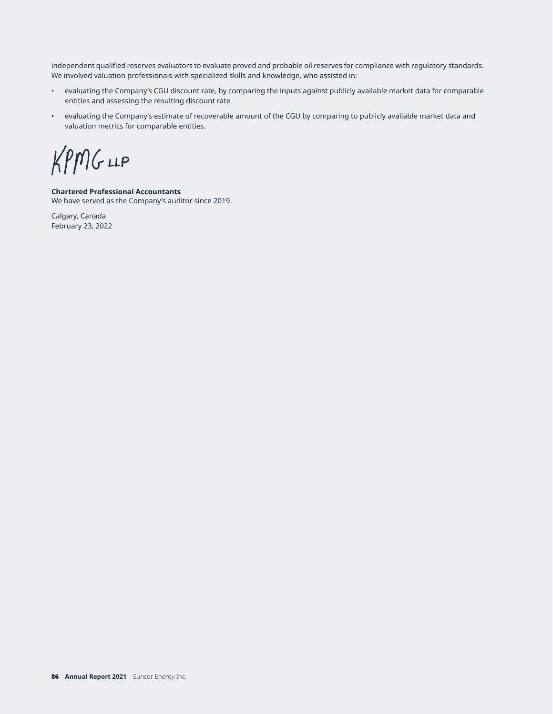independent qualified reserves evaluators to evaluate proved and probable oil reserves for compliance with regulatory standards. We involved valuation professionals with specialized skills and knowledge, who assisted in:

- evaluating the Company's CGU discount rate, by comparing the inputs against publicly available market data for comparable entities and assessing the resulting discount rate
- evaluating the Company's estimate of recoverable amount of the CGU by comparing to publicly available market data and valuation metrics for comparable entities.

KPMGLP

**Chartered Professional Accountants** We have served as the Company's auditor since 2019.

Calgary, Canada February 23, 2022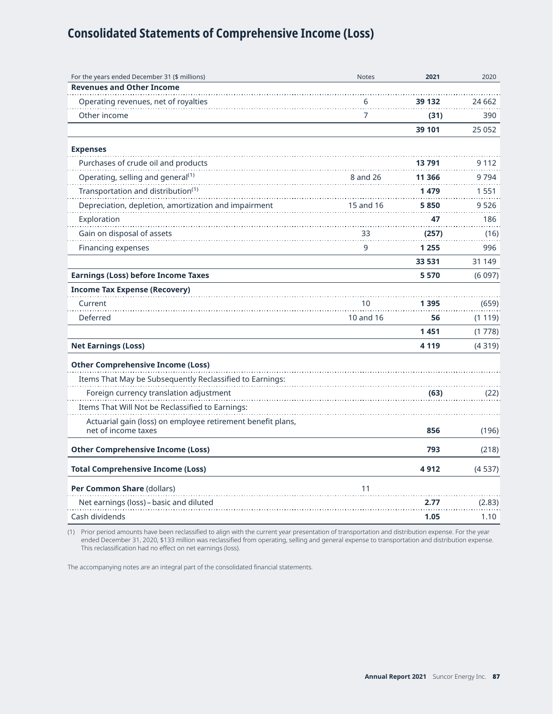# **Consolidated Statements of Comprehensive Income (Loss)**

| For the years ended December 31 (\$ millions)                                      | <b>Notes</b> | 2021    | 2020    |
|------------------------------------------------------------------------------------|--------------|---------|---------|
| <b>Revenues and Other Income</b>                                                   |              |         |         |
| Operating revenues, net of royalties                                               | 6            | 39 132  | 24 662  |
| Other income                                                                       | 7            | (31)    | 390     |
|                                                                                    |              | 39 101  | 25 052  |
| <b>Expenses</b>                                                                    |              |         |         |
| Purchases of crude oil and products                                                |              | 13791   | 9 1 1 2 |
| Operating, selling and general <sup>(1)</sup>                                      | 8 and 26     | 11 366  | 9794    |
| Transportation and distribution(1)                                                 |              | 1479    | 1 551   |
| Depreciation, depletion, amortization and impairment                               | 15 and 16    | 5850    | 9526    |
| Exploration                                                                        |              | 47      | 186     |
| Gain on disposal of assets                                                         | 33           | (257)   | (16)    |
| Financing expenses                                                                 | 9            | 1 2 5 5 | 996     |
|                                                                                    |              | 33 531  | 31 149  |
| <b>Earnings (Loss) before Income Taxes</b>                                         |              | 5 5 7 0 | (6097)  |
| <b>Income Tax Expense (Recovery)</b>                                               |              |         |         |
| Current                                                                            | 10           | 1 3 9 5 | (659)   |
| Deferred                                                                           | 10 and 16    | 56      | (1119)  |
|                                                                                    |              | 1451    | (1778)  |
| <b>Net Earnings (Loss)</b>                                                         |              | 4 1 1 9 | (4319)  |
| <b>Other Comprehensive Income (Loss)</b>                                           |              |         |         |
| Items That May be Subsequently Reclassified to Earnings:                           |              |         |         |
| Foreign currency translation adjustment                                            |              | (63)    | (22)    |
| Items That Will Not be Reclassified to Earnings:                                   |              |         |         |
| Actuarial gain (loss) on employee retirement benefit plans,<br>net of income taxes |              | 856     | (196)   |
| <b>Other Comprehensive Income (Loss)</b>                                           |              | 793     | (218)   |
| <b>Total Comprehensive Income (Loss)</b>                                           |              | 4912    | (4537)  |
| Per Common Share (dollars)                                                         | 11           |         |         |
| Net earnings (loss) - basic and diluted                                            |              | 2.77    | (2.83)  |
| Cash dividends                                                                     |              | 1.05    | 1.10    |

(1) Prior period amounts have been reclassified to align with the current year presentation of transportation and distribution expense. For the year ended December 31, 2020, \$133 million was reclassified from operating, selling and general expense to transportation and distribution expense. This reclassification had no effect on net earnings (loss).

The accompanying notes are an integral part of the consolidated financial statements.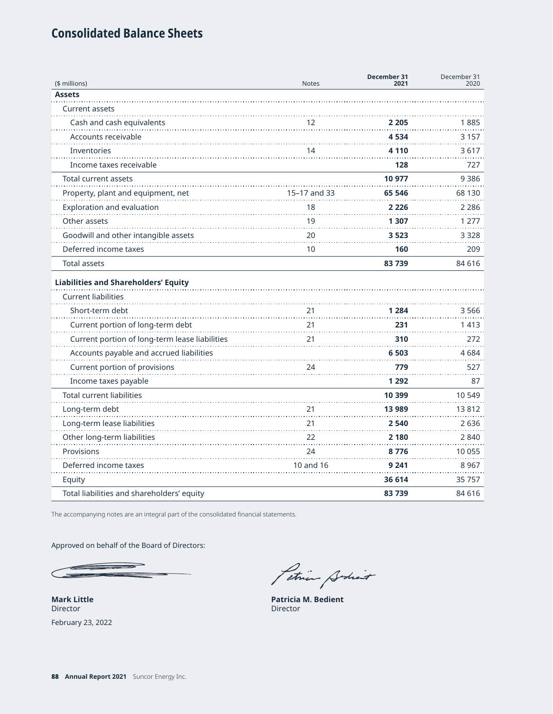# **Consolidated Balance Sheets**

| (\$ millions)                                  | <b>Notes</b> | December 31<br>2021 | December 31<br>2020 |
|------------------------------------------------|--------------|---------------------|---------------------|
| <b>Assets</b>                                  |              |                     |                     |
| <b>Current assets</b>                          |              |                     |                     |
| Cash and cash equivalents                      | 12           | 2 2 0 5             | 1885                |
| Accounts receivable                            |              | 4534                | 3 1 5 7             |
| Inventories                                    | 14           | 4 1 1 0             | 3617                |
| Income taxes receivable                        |              | 128                 | 727                 |
| <b>Total current assets</b>                    |              | 10 977              | 9 3 8 6             |
| Property, plant and equipment, net             | 15-17 and 33 | 65 546              | 68 130              |
| Exploration and evaluation                     | 18           | 2 2 2 6             | 2 2 8 6             |
| Other assets                                   | 19           | 1 307               | 1 277               |
| Goodwill and other intangible assets           | 20           | 3 5 23              | 3 3 2 8             |
| Deferred income taxes                          | 10           | 160                 | 209                 |
| <b>Total assets</b>                            |              | 83739               | 84 616              |
| <b>Liabilities and Shareholders' Equity</b>    |              |                     |                     |
| <b>Current liabilities</b>                     |              |                     |                     |
| Short-term debt                                | 21           | 1 2 8 4             | 3566                |
| Current portion of long-term debt              | 21           | 231                 | 1413                |
| Current portion of long-term lease liabilities | 21           | 310                 | 272                 |
| Accounts payable and accrued liabilities       |              | 6 503               | 4684                |
| Current portion of provisions                  | 24           | 779                 | 527                 |
| Income taxes payable                           |              | 1 2 9 2             | 87                  |
| <b>Total current liabilities</b>               |              | 10 399              | 10 549              |
| Long-term debt                                 | 21           | 13 989              | 13812               |
| Long-term lease liabilities                    | 21           | 2540                | 2636                |
| Other long-term liabilities                    | 22           | 2 180               | 2840                |
| Provisions                                     | 24           | 8776                | 10 055              |
| Deferred income taxes                          | 10 and 16    | 9 241               | 8 9 6 7             |
| Equity                                         |              | 36 614              | 35 757              |
| Total liabilities and shareholders' equity     |              | 83739               | 84 616              |

The accompanying notes are an integral part of the consolidated financial statements.

Approved on behalf of the Board of Directors:

 $\overline{\phantom{a}}$ <u> a component de la partida de la partida de la partida de la partida de la partida de la partida de la partida </u> ⊂

**Mark Little** Director

February 23, 2022

Petrie Schiet

**Patricia M. Bedient** Director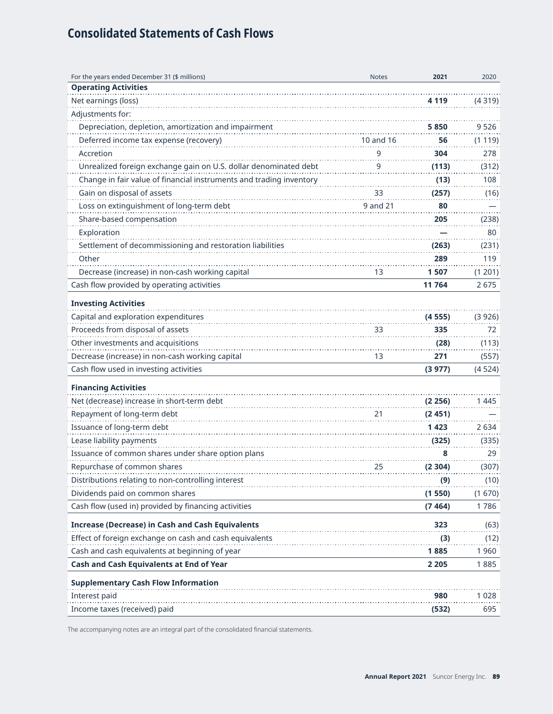# **Consolidated Statements of Cash Flows**

| For the years ended December 31 (\$ millions)                            | <b>Notes</b> | 2021    | 2020    |
|--------------------------------------------------------------------------|--------------|---------|---------|
| <b>Operating Activities</b>                                              |              |         |         |
| Net earnings (loss)                                                      |              | 4 119   | (4319)  |
| Adjustments for:                                                         |              |         |         |
| Depreciation, depletion, amortization and impairment                     |              | 5850    | 9 5 2 6 |
| Deferred income tax expense (recovery)                                   | 10 and 16    | 56      | (1119)  |
| Accretion                                                                | 9            | 304     | 278     |
| Unrealized foreign exchange gain on U.S. dollar denominated debt         | 9            | (113)   | (312)   |
| Change in fair value of financial instruments and trading inventory      |              | (13)    | 108     |
| Gain on disposal of assets                                               | 33           | (257)   | (16)    |
| Loss on extinguishment of long-term debt                                 | 9 and 21     | 80      |         |
| Share-based compensation                                                 |              | 205     | (238)   |
| Exploration                                                              |              |         | 80      |
| Settlement of decommissioning and restoration liabilities                |              | (263)   | (231)   |
| Other                                                                    |              | 289     | 119     |
| Decrease (increase) in non-cash working capital                          | 13           | 1507    | (1 201) |
| Cash flow provided by operating activities                               |              | 11764   | 2675    |
|                                                                          |              |         |         |
| <b>Investing Activities</b>                                              |              |         |         |
| Capital and exploration expenditures<br>Proceeds from disposal of assets |              | (4555)  | (3926)  |
|                                                                          | 33           | 335     | 72      |
| Other investments and acquisitions                                       |              | (28)    | (113)   |
| Decrease (increase) in non-cash working capital                          | 13           | 271     | (557)   |
| Cash flow used in investing activities                                   |              | (3977)  | (4524)  |
| <b>Financing Activities</b>                                              |              |         |         |
| Net (decrease) increase in short-term debt                               |              | (2 256) | 1 445   |
| Repayment of long-term debt                                              | 21           | (2451)  |         |
| Issuance of long-term debt                                               |              | 1423    | 2 6 3 4 |
| Lease liability payments                                                 |              | (325)   | (335)   |
| Issuance of common shares under share option plans                       |              | 8       | 29      |
| Repurchase of common shares                                              | 25           | (2304)  | (307)   |
| Distributions relating to non-controlling interest                       |              | (9)     | (10)    |
| Dividends paid on common shares                                          |              | (1550)  | (1670)  |
| Cash flow (used in) provided by financing activities                     |              | (7464)  | 1 786   |
| <b>Increase (Decrease) in Cash and Cash Equivalents</b>                  |              | 323     | (63)    |
| Effect of foreign exchange on cash and cash equivalents                  |              | (3)     | (12)    |
| Cash and cash equivalents at beginning of year                           |              | 1885    | 1960    |
| Cash and Cash Equivalents at End of Year                                 |              | 2 2 0 5 | 1885    |
| <b>Supplementary Cash Flow Information</b>                               |              |         |         |
| Interest paid                                                            |              | 980     | 1028    |
| Income taxes (received) paid                                             |              | (532)   | 695     |

The accompanying notes are an integral part of the consolidated financial statements.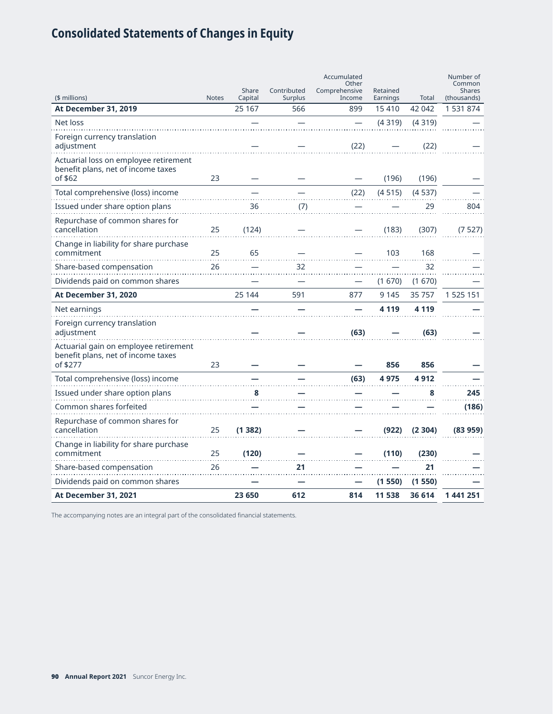# **Consolidated Statements of Changes in Equity**

| (\$ millions)                                                                           | <b>Notes</b> | Share<br>Capital | Contributed<br><b>Surplus</b> | Accumulated<br>Other<br>Comprehensive<br>Income | Retained<br>Earnings | Total   | Number of<br>Common<br><b>Shares</b><br>(thousands) |
|-----------------------------------------------------------------------------------------|--------------|------------------|-------------------------------|-------------------------------------------------|----------------------|---------|-----------------------------------------------------|
| At December 31, 2019                                                                    |              | 25 167           | 566                           | 899                                             | 15 410               | 42 042  | 1 531 874                                           |
| Net loss                                                                                |              |                  |                               |                                                 | (4319)               | (4319)  |                                                     |
| Foreign currency translation<br>adjustment                                              |              |                  |                               | (22)                                            |                      | (22)    |                                                     |
| Actuarial loss on employee retirement<br>benefit plans, net of income taxes<br>of \$62  | 23           |                  |                               |                                                 | (196)                | (196)   |                                                     |
| Total comprehensive (loss) income                                                       |              |                  |                               | (22)                                            | (4515)               | (4537)  |                                                     |
| Issued under share option plans                                                         |              | 36               | (7)                           |                                                 |                      | 29      | 804                                                 |
| Repurchase of common shares for<br>cancellation                                         | 25           | (124)            |                               |                                                 | (183)                | (307)   | (7527)                                              |
| Change in liability for share purchase<br>commitment                                    | 25           | 65               |                               |                                                 | 103                  | 168     |                                                     |
| Share-based compensation                                                                | 26           |                  | 32                            |                                                 |                      | 32      |                                                     |
| Dividends paid on common shares                                                         |              |                  |                               |                                                 | (1670)               | (1670)  |                                                     |
| At December 31, 2020                                                                    |              | 25 144           | 591                           | 877                                             | 9 1 4 5              | 35 757  | 1 525 151                                           |
| Net earnings                                                                            |              |                  |                               |                                                 | 4 1 1 9              | 4 1 1 9 |                                                     |
| Foreign currency translation<br>adjustment                                              |              |                  |                               | (63)                                            |                      | (63)    |                                                     |
| Actuarial gain on employee retirement<br>benefit plans, net of income taxes<br>of \$277 | 23           |                  |                               |                                                 | 856                  | 856     |                                                     |
| Total comprehensive (loss) income                                                       |              |                  |                               | (63)                                            | 4975                 | 4912    |                                                     |
| Issued under share option plans                                                         |              | 8                |                               |                                                 |                      | 8       | 245                                                 |
| Common shares forfeited                                                                 |              |                  |                               |                                                 |                      |         | (186)                                               |
| Repurchase of common shares for                                                         |              |                  |                               |                                                 |                      |         |                                                     |
| cancellation                                                                            | 25           | (1382)           |                               |                                                 | (922)                | (2304)  | (83959)                                             |
| Change in liability for share purchase<br>commitment                                    | 25           | (120)            |                               |                                                 | (110)                | (230)   |                                                     |
| Share-based compensation                                                                | 26           |                  | 21                            |                                                 |                      | 21      |                                                     |
| Dividends paid on common shares                                                         |              |                  |                               |                                                 | (1550)               | (1550)  |                                                     |
| At December 31, 2021                                                                    |              | 23 650           | 612                           | 814                                             | 11 538               | 36 614  | 1441251                                             |

The accompanying notes are an integral part of the consolidated financial statements.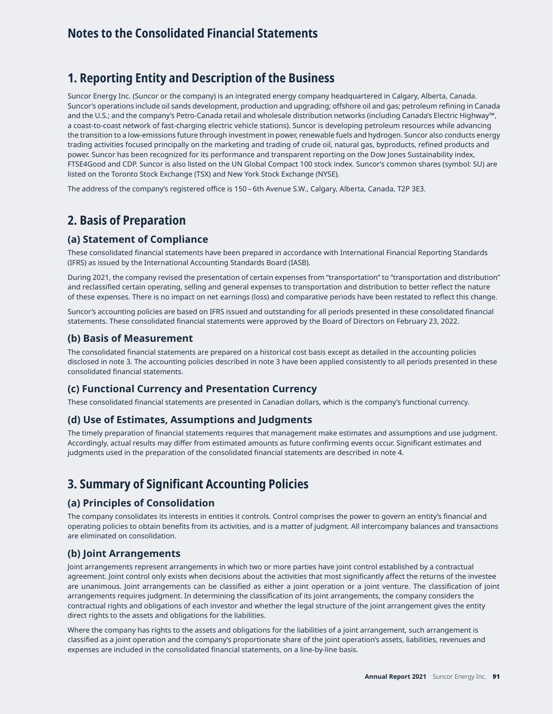## **1. Reporting Entity and Description of the Business**

Suncor Energy Inc. (Suncor or the company) is an integrated energy company headquartered in Calgary, Alberta, Canada. Suncor's operations include oil sands development, production and upgrading; offshore oil and gas; petroleum refining in Canada and the U.S.; and the company's Petro-Canada retail and wholesale distribution networks (including Canada's Electric Highway™, a coast-to-coast network of fast-charging electric vehicle stations). Suncor is developing petroleum resources while advancing the transition to a low-emissions future through investment in power, renewable fuels and hydrogen. Suncor also conducts energy trading activities focused principally on the marketing and trading of crude oil, natural gas, byproducts, refined products and power. Suncor has been recognized for its performance and transparent reporting on the Dow Jones Sustainability index, FTSE4Good and CDP. Suncor is also listed on the UN Global Compact 100 stock index. Suncor's common shares (symbol: SU) are listed on the Toronto Stock Exchange (TSX) and New York Stock Exchange (NYSE).

The address of the company's registered office is 150 – 6th Avenue S.W., Calgary, Alberta, Canada, T2P 3E3.

## **2. Basis of Preparation**

## **(a) Statement of Compliance**

These consolidated financial statements have been prepared in accordance with International Financial Reporting Standards (IFRS) as issued by the International Accounting Standards Board (IASB).

During 2021, the company revised the presentation of certain expenses from "transportation" to "transportation and distribution" and reclassified certain operating, selling and general expenses to transportation and distribution to better reflect the nature of these expenses. There is no impact on net earnings (loss) and comparative periods have been restated to reflect this change.

Suncor's accounting policies are based on IFRS issued and outstanding for all periods presented in these consolidated financial statements. These consolidated financial statements were approved by the Board of Directors on February 23, 2022.

## **(b) Basis of Measurement**

The consolidated financial statements are prepared on a historical cost basis except as detailed in the accounting policies disclosed in note 3. The accounting policies described in note 3 have been applied consistently to all periods presented in these consolidated financial statements.

## **(c) Functional Currency and Presentation Currency**

These consolidated financial statements are presented in Canadian dollars, which is the company's functional currency.

## **(d) Use of Estimates, Assumptions and Judgments**

The timely preparation of financial statements requires that management make estimates and assumptions and use judgment. Accordingly, actual results may differ from estimated amounts as future confirming events occur. Significant estimates and judgments used in the preparation of the consolidated financial statements are described in note 4.

## **3. Summary of Significant Accounting Policies**

## **(a) Principles of Consolidation**

The company consolidates its interests in entities it controls. Control comprises the power to govern an entity's financial and operating policies to obtain benefits from its activities, and is a matter of judgment. All intercompany balances and transactions are eliminated on consolidation.

## **(b) Joint Arrangements**

Joint arrangements represent arrangements in which two or more parties have joint control established by a contractual agreement. Joint control only exists when decisions about the activities that most significantly affect the returns of the investee are unanimous. Joint arrangements can be classified as either a joint operation or a joint venture. The classification of joint arrangements requires judgment. In determining the classification of its joint arrangements, the company considers the contractual rights and obligations of each investor and whether the legal structure of the joint arrangement gives the entity direct rights to the assets and obligations for the liabilities.

Where the company has rights to the assets and obligations for the liabilities of a joint arrangement, such arrangement is classified as a joint operation and the company's proportionate share of the joint operation's assets, liabilities, revenues and expenses are included in the consolidated financial statements, on a line-by-line basis.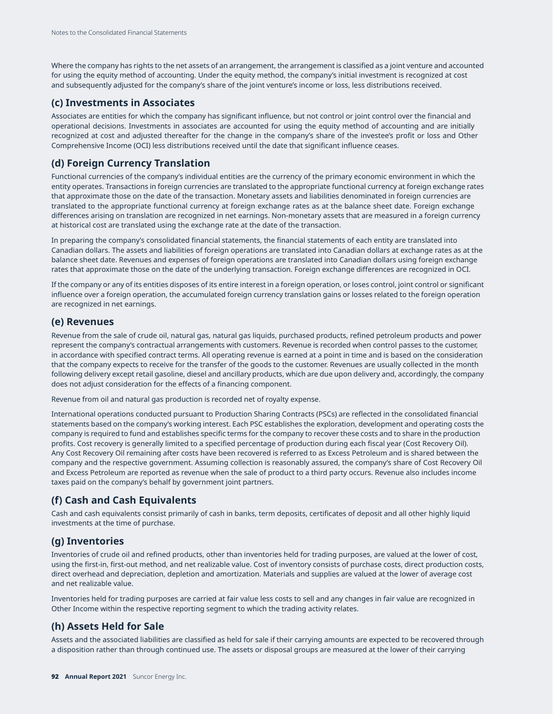Where the company has rights to the net assets of an arrangement, the arrangement is classified as a joint venture and accounted for using the equity method of accounting. Under the equity method, the company's initial investment is recognized at cost and subsequently adjusted for the company's share of the joint venture's income or loss, less distributions received.

### **(c) Investments in Associates**

Associates are entities for which the company has significant influence, but not control or joint control over the financial and operational decisions. Investments in associates are accounted for using the equity method of accounting and are initially recognized at cost and adjusted thereafter for the change in the company's share of the investee's profit or loss and Other Comprehensive Income (OCI) less distributions received until the date that significant influence ceases.

### **(d) Foreign Currency Translation**

Functional currencies of the company's individual entities are the currency of the primary economic environment in which the entity operates. Transactions in foreign currencies are translated to the appropriate functional currency at foreign exchange rates that approximate those on the date of the transaction. Monetary assets and liabilities denominated in foreign currencies are translated to the appropriate functional currency at foreign exchange rates as at the balance sheet date. Foreign exchange differences arising on translation are recognized in net earnings. Non-monetary assets that are measured in a foreign currency at historical cost are translated using the exchange rate at the date of the transaction.

In preparing the company's consolidated financial statements, the financial statements of each entity are translated into Canadian dollars. The assets and liabilities of foreign operations are translated into Canadian dollars at exchange rates as at the balance sheet date. Revenues and expenses of foreign operations are translated into Canadian dollars using foreign exchange rates that approximate those on the date of the underlying transaction. Foreign exchange differences are recognized in OCI.

If the company or any of its entities disposes of its entire interest in a foreign operation, or loses control, joint control or significant influence over a foreign operation, the accumulated foreign currency translation gains or losses related to the foreign operation are recognized in net earnings.

### **(e) Revenues**

Revenue from the sale of crude oil, natural gas, natural gas liquids, purchased products, refined petroleum products and power represent the company's contractual arrangements with customers. Revenue is recorded when control passes to the customer, in accordance with specified contract terms. All operating revenue is earned at a point in time and is based on the consideration that the company expects to receive for the transfer of the goods to the customer. Revenues are usually collected in the month following delivery except retail gasoline, diesel and ancillary products, which are due upon delivery and, accordingly, the company does not adjust consideration for the effects of a financing component.

Revenue from oil and natural gas production is recorded net of royalty expense.

International operations conducted pursuant to Production Sharing Contracts (PSCs) are reflected in the consolidated financial statements based on the company's working interest. Each PSC establishes the exploration, development and operating costs the company is required to fund and establishes specific terms for the company to recover these costs and to share in the production profits. Cost recovery is generally limited to a specified percentage of production during each fiscal year (Cost Recovery Oil). Any Cost Recovery Oil remaining after costs have been recovered is referred to as Excess Petroleum and is shared between the company and the respective government. Assuming collection is reasonably assured, the company's share of Cost Recovery Oil and Excess Petroleum are reported as revenue when the sale of product to a third party occurs. Revenue also includes income taxes paid on the company's behalf by government joint partners.

### **(f) Cash and Cash Equivalents**

Cash and cash equivalents consist primarily of cash in banks, term deposits, certificates of deposit and all other highly liquid investments at the time of purchase.

### **(g) Inventories**

Inventories of crude oil and refined products, other than inventories held for trading purposes, are valued at the lower of cost, using the first-in, first-out method, and net realizable value. Cost of inventory consists of purchase costs, direct production costs, direct overhead and depreciation, depletion and amortization. Materials and supplies are valued at the lower of average cost and net realizable value.

Inventories held for trading purposes are carried at fair value less costs to sell and any changes in fair value are recognized in Other Income within the respective reporting segment to which the trading activity relates.

### **(h) Assets Held for Sale**

Assets and the associated liabilities are classified as held for sale if their carrying amounts are expected to be recovered through a disposition rather than through continued use. The assets or disposal groups are measured at the lower of their carrying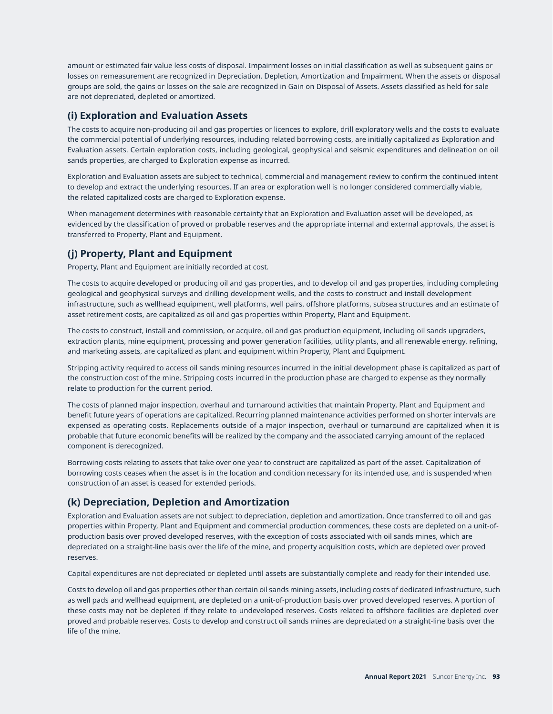amount or estimated fair value less costs of disposal. Impairment losses on initial classification as well as subsequent gains or losses on remeasurement are recognized in Depreciation, Depletion, Amortization and Impairment. When the assets or disposal groups are sold, the gains or losses on the sale are recognized in Gain on Disposal of Assets. Assets classified as held for sale are not depreciated, depleted or amortized.

## **(i) Exploration and Evaluation Assets**

The costs to acquire non-producing oil and gas properties or licences to explore, drill exploratory wells and the costs to evaluate the commercial potential of underlying resources, including related borrowing costs, are initially capitalized as Exploration and Evaluation assets. Certain exploration costs, including geological, geophysical and seismic expenditures and delineation on oil sands properties, are charged to Exploration expense as incurred.

Exploration and Evaluation assets are subject to technical, commercial and management review to confirm the continued intent to develop and extract the underlying resources. If an area or exploration well is no longer considered commercially viable, the related capitalized costs are charged to Exploration expense.

When management determines with reasonable certainty that an Exploration and Evaluation asset will be developed, as evidenced by the classification of proved or probable reserves and the appropriate internal and external approvals, the asset is transferred to Property, Plant and Equipment.

## **(j) Property, Plant and Equipment**

Property, Plant and Equipment are initially recorded at cost.

The costs to acquire developed or producing oil and gas properties, and to develop oil and gas properties, including completing geological and geophysical surveys and drilling development wells, and the costs to construct and install development infrastructure, such as wellhead equipment, well platforms, well pairs, offshore platforms, subsea structures and an estimate of asset retirement costs, are capitalized as oil and gas properties within Property, Plant and Equipment.

The costs to construct, install and commission, or acquire, oil and gas production equipment, including oil sands upgraders, extraction plants, mine equipment, processing and power generation facilities, utility plants, and all renewable energy, refining, and marketing assets, are capitalized as plant and equipment within Property, Plant and Equipment.

Stripping activity required to access oil sands mining resources incurred in the initial development phase is capitalized as part of the construction cost of the mine. Stripping costs incurred in the production phase are charged to expense as they normally relate to production for the current period.

The costs of planned major inspection, overhaul and turnaround activities that maintain Property, Plant and Equipment and benefit future years of operations are capitalized. Recurring planned maintenance activities performed on shorter intervals are expensed as operating costs. Replacements outside of a major inspection, overhaul or turnaround are capitalized when it is probable that future economic benefits will be realized by the company and the associated carrying amount of the replaced component is derecognized.

Borrowing costs relating to assets that take over one year to construct are capitalized as part of the asset. Capitalization of borrowing costs ceases when the asset is in the location and condition necessary for its intended use, and is suspended when construction of an asset is ceased for extended periods.

## **(k) Depreciation, Depletion and Amortization**

Exploration and Evaluation assets are not subject to depreciation, depletion and amortization. Once transferred to oil and gas properties within Property, Plant and Equipment and commercial production commences, these costs are depleted on a unit-ofproduction basis over proved developed reserves, with the exception of costs associated with oil sands mines, which are depreciated on a straight-line basis over the life of the mine, and property acquisition costs, which are depleted over proved reserves.

Capital expenditures are not depreciated or depleted until assets are substantially complete and ready for their intended use.

Costs to develop oil and gas properties other than certain oil sands mining assets, including costs of dedicated infrastructure, such as well pads and wellhead equipment, are depleted on a unit-of-production basis over proved developed reserves. A portion of these costs may not be depleted if they relate to undeveloped reserves. Costs related to offshore facilities are depleted over proved and probable reserves. Costs to develop and construct oil sands mines are depreciated on a straight-line basis over the life of the mine.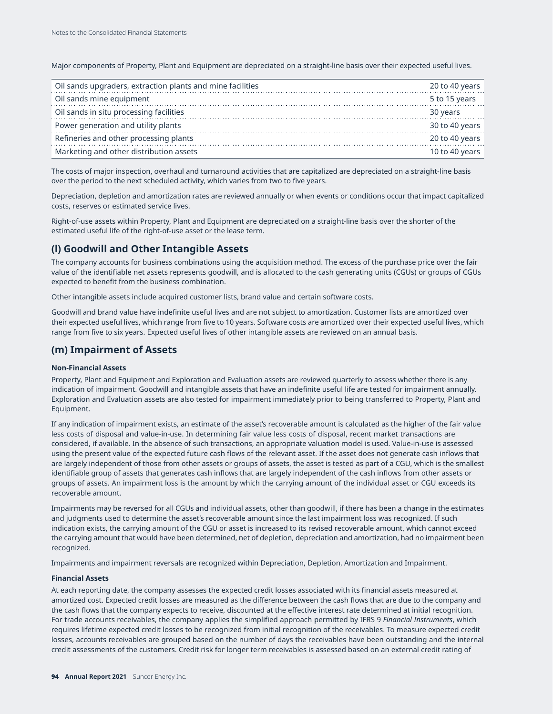Major components of Property, Plant and Equipment are depreciated on a straight-line basis over their expected useful lives.

| Oil sands upgraders, extraction plants and mine facilities | 20 to 40 years |
|------------------------------------------------------------|----------------|
| Oil sands mine equipment                                   | 5 to 15 years  |
| Oil sands in situ processing facilities                    | 30 years       |
| Power generation and utility plants                        | 30 to 40 years |
| Refineries and other processing plants                     | 20 to 40 years |
| Marketing and other distribution assets                    | 10 to 40 years |

The costs of major inspection, overhaul and turnaround activities that are capitalized are depreciated on a straight-line basis over the period to the next scheduled activity, which varies from two to five years.

Depreciation, depletion and amortization rates are reviewed annually or when events or conditions occur that impact capitalized costs, reserves or estimated service lives.

Right-of-use assets within Property, Plant and Equipment are depreciated on a straight-line basis over the shorter of the estimated useful life of the right-of-use asset or the lease term.

### **(l) Goodwill and Other Intangible Assets**

The company accounts for business combinations using the acquisition method. The excess of the purchase price over the fair value of the identifiable net assets represents goodwill, and is allocated to the cash generating units (CGUs) or groups of CGUs expected to benefit from the business combination.

Other intangible assets include acquired customer lists, brand value and certain software costs.

Goodwill and brand value have indefinite useful lives and are not subject to amortization. Customer lists are amortized over their expected useful lives, which range from five to 10 years. Software costs are amortized over their expected useful lives, which range from five to six years. Expected useful lives of other intangible assets are reviewed on an annual basis.

#### **(m) Impairment of Assets**

#### **Non-Financial Assets**

Property, Plant and Equipment and Exploration and Evaluation assets are reviewed quarterly to assess whether there is any indication of impairment. Goodwill and intangible assets that have an indefinite useful life are tested for impairment annually. Exploration and Evaluation assets are also tested for impairment immediately prior to being transferred to Property, Plant and Equipment.

If any indication of impairment exists, an estimate of the asset's recoverable amount is calculated as the higher of the fair value less costs of disposal and value-in-use. In determining fair value less costs of disposal, recent market transactions are considered, if available. In the absence of such transactions, an appropriate valuation model is used. Value-in-use is assessed using the present value of the expected future cash flows of the relevant asset. If the asset does not generate cash inflows that are largely independent of those from other assets or groups of assets, the asset is tested as part of a CGU, which is the smallest identifiable group of assets that generates cash inflows that are largely independent of the cash inflows from other assets or groups of assets. An impairment loss is the amount by which the carrying amount of the individual asset or CGU exceeds its recoverable amount.

Impairments may be reversed for all CGUs and individual assets, other than goodwill, if there has been a change in the estimates and judgments used to determine the asset's recoverable amount since the last impairment loss was recognized. If such indication exists, the carrying amount of the CGU or asset is increased to its revised recoverable amount, which cannot exceed the carrying amount that would have been determined, net of depletion, depreciation and amortization, had no impairment been recognized.

Impairments and impairment reversals are recognized within Depreciation, Depletion, Amortization and Impairment.

#### **Financial Assets**

At each reporting date, the company assesses the expected credit losses associated with its financial assets measured at amortized cost. Expected credit losses are measured as the difference between the cash flows that are due to the company and the cash flows that the company expects to receive, discounted at the effective interest rate determined at initial recognition. For trade accounts receivables, the company applies the simplified approach permitted by IFRS 9 *Financial Instruments*, which requires lifetime expected credit losses to be recognized from initial recognition of the receivables. To measure expected credit losses, accounts receivables are grouped based on the number of days the receivables have been outstanding and the internal credit assessments of the customers. Credit risk for longer term receivables is assessed based on an external credit rating of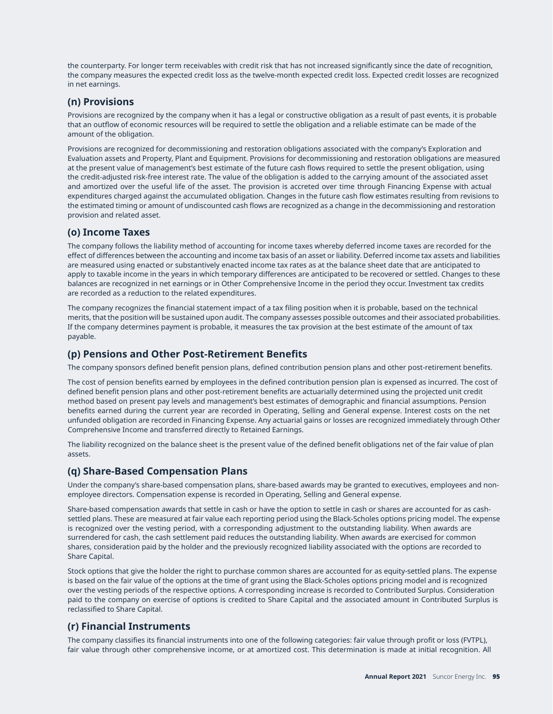the counterparty. For longer term receivables with credit risk that has not increased significantly since the date of recognition, the company measures the expected credit loss as the twelve-month expected credit loss. Expected credit losses are recognized in net earnings.

## **(n) Provisions**

Provisions are recognized by the company when it has a legal or constructive obligation as a result of past events, it is probable that an outflow of economic resources will be required to settle the obligation and a reliable estimate can be made of the amount of the obligation.

Provisions are recognized for decommissioning and restoration obligations associated with the company's Exploration and Evaluation assets and Property, Plant and Equipment. Provisions for decommissioning and restoration obligations are measured at the present value of management's best estimate of the future cash flows required to settle the present obligation, using the credit-adjusted risk-free interest rate. The value of the obligation is added to the carrying amount of the associated asset and amortized over the useful life of the asset. The provision is accreted over time through Financing Expense with actual expenditures charged against the accumulated obligation. Changes in the future cash flow estimates resulting from revisions to the estimated timing or amount of undiscounted cash flows are recognized as a change in the decommissioning and restoration provision and related asset.

## **(o) Income Taxes**

The company follows the liability method of accounting for income taxes whereby deferred income taxes are recorded for the effect of differences between the accounting and income tax basis of an asset or liability. Deferred income tax assets and liabilities are measured using enacted or substantively enacted income tax rates as at the balance sheet date that are anticipated to apply to taxable income in the years in which temporary differences are anticipated to be recovered or settled. Changes to these balances are recognized in net earnings or in Other Comprehensive Income in the period they occur. Investment tax credits are recorded as a reduction to the related expenditures.

The company recognizes the financial statement impact of a tax filing position when it is probable, based on the technical merits, that the position will be sustained upon audit. The company assesses possible outcomes and their associated probabilities. If the company determines payment is probable, it measures the tax provision at the best estimate of the amount of tax payable.

### **(p) Pensions and Other Post-Retirement Benefits**

The company sponsors defined benefit pension plans, defined contribution pension plans and other post-retirement benefits.

The cost of pension benefits earned by employees in the defined contribution pension plan is expensed as incurred. The cost of defined benefit pension plans and other post-retirement benefits are actuarially determined using the projected unit credit method based on present pay levels and management's best estimates of demographic and financial assumptions. Pension benefits earned during the current year are recorded in Operating, Selling and General expense. Interest costs on the net unfunded obligation are recorded in Financing Expense. Any actuarial gains or losses are recognized immediately through Other Comprehensive Income and transferred directly to Retained Earnings.

The liability recognized on the balance sheet is the present value of the defined benefit obligations net of the fair value of plan assets.

## **(q) Share-Based Compensation Plans**

Under the company's share-based compensation plans, share-based awards may be granted to executives, employees and nonemployee directors. Compensation expense is recorded in Operating, Selling and General expense.

Share-based compensation awards that settle in cash or have the option to settle in cash or shares are accounted for as cashsettled plans. These are measured at fair value each reporting period using the Black-Scholes options pricing model. The expense is recognized over the vesting period, with a corresponding adjustment to the outstanding liability. When awards are surrendered for cash, the cash settlement paid reduces the outstanding liability. When awards are exercised for common shares, consideration paid by the holder and the previously recognized liability associated with the options are recorded to Share Capital.

Stock options that give the holder the right to purchase common shares are accounted for as equity-settled plans. The expense is based on the fair value of the options at the time of grant using the Black-Scholes options pricing model and is recognized over the vesting periods of the respective options. A corresponding increase is recorded to Contributed Surplus. Consideration paid to the company on exercise of options is credited to Share Capital and the associated amount in Contributed Surplus is reclassified to Share Capital.

## **(r) Financial Instruments**

The company classifies its financial instruments into one of the following categories: fair value through profit or loss (FVTPL), fair value through other comprehensive income, or at amortized cost. This determination is made at initial recognition. All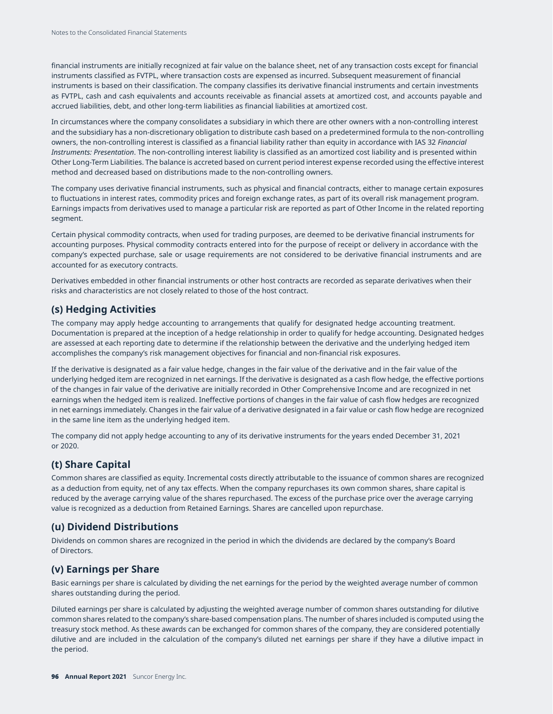financial instruments are initially recognized at fair value on the balance sheet, net of any transaction costs except for financial instruments classified as FVTPL, where transaction costs are expensed as incurred. Subsequent measurement of financial instruments is based on their classification. The company classifies its derivative financial instruments and certain investments as FVTPL, cash and cash equivalents and accounts receivable as financial assets at amortized cost, and accounts payable and accrued liabilities, debt, and other long-term liabilities as financial liabilities at amortized cost.

In circumstances where the company consolidates a subsidiary in which there are other owners with a non-controlling interest and the subsidiary has a non-discretionary obligation to distribute cash based on a predetermined formula to the non-controlling owners, the non-controlling interest is classified as a financial liability rather than equity in accordance with IAS 32 *Financial Instruments: Presentation*. The non-controlling interest liability is classified as an amortized cost liability and is presented within Other Long-Term Liabilities. The balance is accreted based on current period interest expense recorded using the effective interest method and decreased based on distributions made to the non-controlling owners.

The company uses derivative financial instruments, such as physical and financial contracts, either to manage certain exposures to fluctuations in interest rates, commodity prices and foreign exchange rates, as part of its overall risk management program. Earnings impacts from derivatives used to manage a particular risk are reported as part of Other Income in the related reporting segment.

Certain physical commodity contracts, when used for trading purposes, are deemed to be derivative financial instruments for accounting purposes. Physical commodity contracts entered into for the purpose of receipt or delivery in accordance with the company's expected purchase, sale or usage requirements are not considered to be derivative financial instruments and are accounted for as executory contracts.

Derivatives embedded in other financial instruments or other host contracts are recorded as separate derivatives when their risks and characteristics are not closely related to those of the host contract.

### **(s) Hedging Activities**

The company may apply hedge accounting to arrangements that qualify for designated hedge accounting treatment. Documentation is prepared at the inception of a hedge relationship in order to qualify for hedge accounting. Designated hedges are assessed at each reporting date to determine if the relationship between the derivative and the underlying hedged item accomplishes the company's risk management objectives for financial and non-financial risk exposures.

If the derivative is designated as a fair value hedge, changes in the fair value of the derivative and in the fair value of the underlying hedged item are recognized in net earnings. If the derivative is designated as a cash flow hedge, the effective portions of the changes in fair value of the derivative are initially recorded in Other Comprehensive Income and are recognized in net earnings when the hedged item is realized. Ineffective portions of changes in the fair value of cash flow hedges are recognized in net earnings immediately. Changes in the fair value of a derivative designated in a fair value or cash flow hedge are recognized in the same line item as the underlying hedged item.

The company did not apply hedge accounting to any of its derivative instruments for the years ended December 31, 2021 or 2020.

### **(t) Share Capital**

Common shares are classified as equity. Incremental costs directly attributable to the issuance of common shares are recognized as a deduction from equity, net of any tax effects. When the company repurchases its own common shares, share capital is reduced by the average carrying value of the shares repurchased. The excess of the purchase price over the average carrying value is recognized as a deduction from Retained Earnings. Shares are cancelled upon repurchase.

### **(u) Dividend Distributions**

Dividends on common shares are recognized in the period in which the dividends are declared by the company's Board of Directors.

### **(v) Earnings per Share**

Basic earnings per share is calculated by dividing the net earnings for the period by the weighted average number of common shares outstanding during the period.

Diluted earnings per share is calculated by adjusting the weighted average number of common shares outstanding for dilutive common shares related to the company's share-based compensation plans. The number of shares included is computed using the treasury stock method. As these awards can be exchanged for common shares of the company, they are considered potentially dilutive and are included in the calculation of the company's diluted net earnings per share if they have a dilutive impact in the period.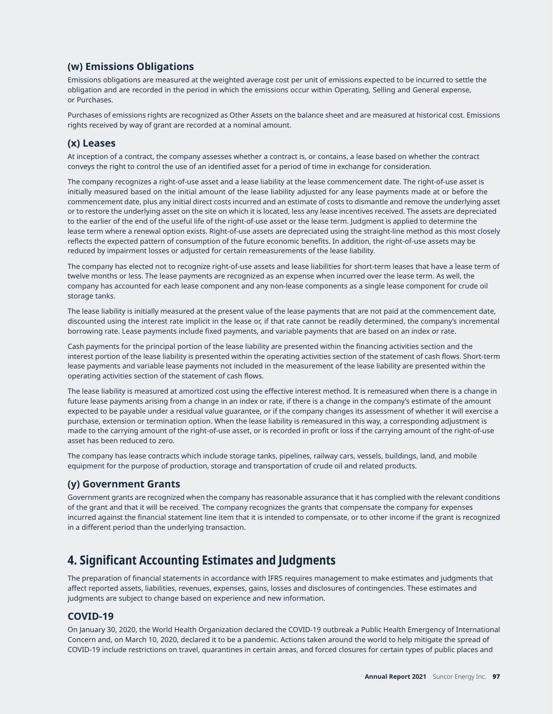## **(w) Emissions Obligations**

Emissions obligations are measured at the weighted average cost per unit of emissions expected to be incurred to settle the obligation and are recorded in the period in which the emissions occur within Operating, Selling and General expense, or Purchases.

Purchases of emissions rights are recognized as Other Assets on the balance sheet and are measured at historical cost. Emissions rights received by way of grant are recorded at a nominal amount.

## **(x) Leases**

At inception of a contract, the company assesses whether a contract is, or contains, a lease based on whether the contract conveys the right to control the use of an identified asset for a period of time in exchange for consideration.

The company recognizes a right-of-use asset and a lease liability at the lease commencement date. The right-of-use asset is initially measured based on the initial amount of the lease liability adjusted for any lease payments made at or before the commencement date, plus any initial direct costs incurred and an estimate of costs to dismantle and remove the underlying asset or to restore the underlying asset on the site on which it is located, less any lease incentives received. The assets are depreciated to the earlier of the end of the useful life of the right-of-use asset or the lease term. Judgment is applied to determine the lease term where a renewal option exists. Right-of-use assets are depreciated using the straight-line method as this most closely reflects the expected pattern of consumption of the future economic benefits. In addition, the right-of-use assets may be reduced by impairment losses or adjusted for certain remeasurements of the lease liability.

The company has elected not to recognize right-of-use assets and lease liabilities for short-term leases that have a lease term of twelve months or less. The lease payments are recognized as an expense when incurred over the lease term. As well, the company has accounted for each lease component and any non-lease components as a single lease component for crude oil storage tanks.

The lease liability is initially measured at the present value of the lease payments that are not paid at the commencement date, discounted using the interest rate implicit in the lease or, if that rate cannot be readily determined, the company's incremental borrowing rate. Lease payments include fixed payments, and variable payments that are based on an index or rate.

Cash payments for the principal portion of the lease liability are presented within the financing activities section and the interest portion of the lease liability is presented within the operating activities section of the statement of cash flows. Short-term lease payments and variable lease payments not included in the measurement of the lease liability are presented within the operating activities section of the statement of cash flows.

The lease liability is measured at amortized cost using the effective interest method. It is remeasured when there is a change in future lease payments arising from a change in an index or rate, if there is a change in the company's estimate of the amount expected to be payable under a residual value guarantee, or if the company changes its assessment of whether it will exercise a purchase, extension or termination option. When the lease liability is remeasured in this way, a corresponding adjustment is made to the carrying amount of the right-of-use asset, or is recorded in profit or loss if the carrying amount of the right-of-use asset has been reduced to zero.

The company has lease contracts which include storage tanks, pipelines, railway cars, vessels, buildings, land, and mobile equipment for the purpose of production, storage and transportation of crude oil and related products.

## **(y) Government Grants**

Government grants are recognized when the company has reasonable assurance that it has complied with the relevant conditions of the grant and that it will be received. The company recognizes the grants that compensate the company for expenses incurred against the financial statement line item that it is intended to compensate, or to other income if the grant is recognized in a different period than the underlying transaction.

## **4. Significant Accounting Estimates and Judgments**

The preparation of financial statements in accordance with IFRS requires management to make estimates and judgments that affect reported assets, liabilities, revenues, expenses, gains, losses and disclosures of contingencies. These estimates and judgments are subject to change based on experience and new information.

## **COVID-19**

On January 30, 2020, the World Health Organization declared the COVID-19 outbreak a Public Health Emergency of International Concern and, on March 10, 2020, declared it to be a pandemic. Actions taken around the world to help mitigate the spread of COVID-19 include restrictions on travel, quarantines in certain areas, and forced closures for certain types of public places and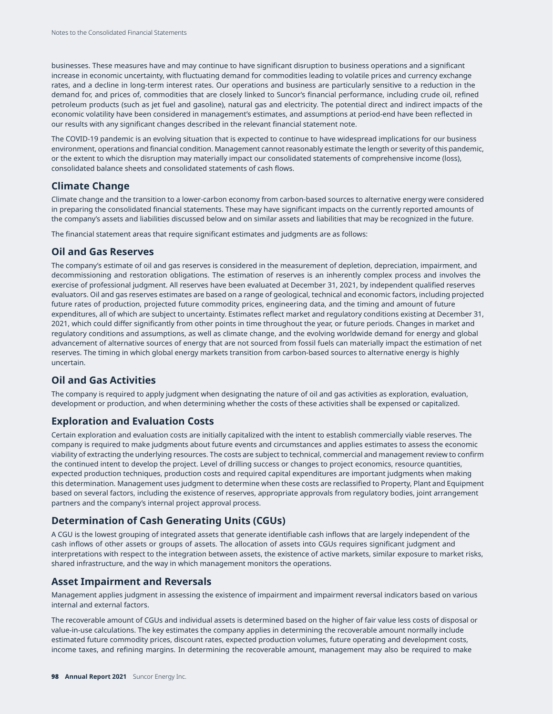businesses. These measures have and may continue to have significant disruption to business operations and a significant increase in economic uncertainty, with fluctuating demand for commodities leading to volatile prices and currency exchange rates, and a decline in long-term interest rates. Our operations and business are particularly sensitive to a reduction in the demand for, and prices of, commodities that are closely linked to Suncor's financial performance, including crude oil, refined petroleum products (such as jet fuel and gasoline), natural gas and electricity. The potential direct and indirect impacts of the economic volatility have been considered in management's estimates, and assumptions at period-end have been reflected in our results with any significant changes described in the relevant financial statement note.

The COVID-19 pandemic is an evolving situation that is expected to continue to have widespread implications for our business environment, operations and financial condition. Management cannot reasonably estimate the length or severity of this pandemic, or the extent to which the disruption may materially impact our consolidated statements of comprehensive income (loss), consolidated balance sheets and consolidated statements of cash flows.

### **Climate Change**

Climate change and the transition to a lower-carbon economy from carbon-based sources to alternative energy were considered in preparing the consolidated financial statements. These may have significant impacts on the currently reported amounts of the company's assets and liabilities discussed below and on similar assets and liabilities that may be recognized in the future.

The financial statement areas that require significant estimates and judgments are as follows:

#### **Oil and Gas Reserves**

The company's estimate of oil and gas reserves is considered in the measurement of depletion, depreciation, impairment, and decommissioning and restoration obligations. The estimation of reserves is an inherently complex process and involves the exercise of professional judgment. All reserves have been evaluated at December 31, 2021, by independent qualified reserves evaluators. Oil and gas reserves estimates are based on a range of geological, technical and economic factors, including projected future rates of production, projected future commodity prices, engineering data, and the timing and amount of future expenditures, all of which are subject to uncertainty. Estimates reflect market and regulatory conditions existing at December 31, 2021, which could differ significantly from other points in time throughout the year, or future periods. Changes in market and regulatory conditions and assumptions, as well as climate change, and the evolving worldwide demand for energy and global advancement of alternative sources of energy that are not sourced from fossil fuels can materially impact the estimation of net reserves. The timing in which global energy markets transition from carbon-based sources to alternative energy is highly uncertain.

### **Oil and Gas Activities**

The company is required to apply judgment when designating the nature of oil and gas activities as exploration, evaluation, development or production, and when determining whether the costs of these activities shall be expensed or capitalized.

#### **Exploration and Evaluation Costs**

Certain exploration and evaluation costs are initially capitalized with the intent to establish commercially viable reserves. The company is required to make judgments about future events and circumstances and applies estimates to assess the economic viability of extracting the underlying resources. The costs are subject to technical, commercial and management review to confirm the continued intent to develop the project. Level of drilling success or changes to project economics, resource quantities, expected production techniques, production costs and required capital expenditures are important judgments when making this determination. Management uses judgment to determine when these costs are reclassified to Property, Plant and Equipment based on several factors, including the existence of reserves, appropriate approvals from regulatory bodies, joint arrangement partners and the company's internal project approval process.

### **Determination of Cash Generating Units (CGUs)**

A CGU is the lowest grouping of integrated assets that generate identifiable cash inflows that are largely independent of the cash inflows of other assets or groups of assets. The allocation of assets into CGUs requires significant judgment and interpretations with respect to the integration between assets, the existence of active markets, similar exposure to market risks, shared infrastructure, and the way in which management monitors the operations.

#### **Asset Impairment and Reversals**

Management applies judgment in assessing the existence of impairment and impairment reversal indicators based on various internal and external factors.

The recoverable amount of CGUs and individual assets is determined based on the higher of fair value less costs of disposal or value-in-use calculations. The key estimates the company applies in determining the recoverable amount normally include estimated future commodity prices, discount rates, expected production volumes, future operating and development costs, income taxes, and refining margins. In determining the recoverable amount, management may also be required to make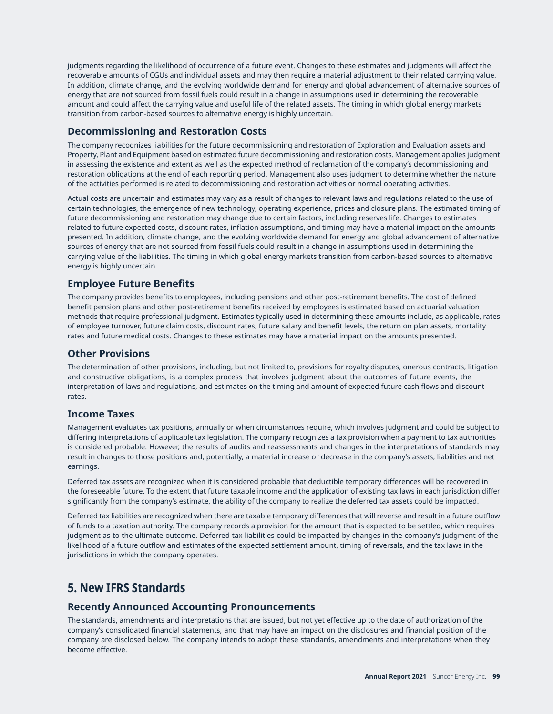judgments regarding the likelihood of occurrence of a future event. Changes to these estimates and judgments will affect the recoverable amounts of CGUs and individual assets and may then require a material adjustment to their related carrying value. In addition, climate change, and the evolving worldwide demand for energy and global advancement of alternative sources of energy that are not sourced from fossil fuels could result in a change in assumptions used in determining the recoverable amount and could affect the carrying value and useful life of the related assets. The timing in which global energy markets transition from carbon-based sources to alternative energy is highly uncertain.

### **Decommissioning and Restoration Costs**

The company recognizes liabilities for the future decommissioning and restoration of Exploration and Evaluation assets and Property, Plant and Equipment based on estimated future decommissioning and restoration costs. Management applies judgment in assessing the existence and extent as well as the expected method of reclamation of the company's decommissioning and restoration obligations at the end of each reporting period. Management also uses judgment to determine whether the nature of the activities performed is related to decommissioning and restoration activities or normal operating activities.

Actual costs are uncertain and estimates may vary as a result of changes to relevant laws and regulations related to the use of certain technologies, the emergence of new technology, operating experience, prices and closure plans. The estimated timing of future decommissioning and restoration may change due to certain factors, including reserves life. Changes to estimates related to future expected costs, discount rates, inflation assumptions, and timing may have a material impact on the amounts presented. In addition, climate change, and the evolving worldwide demand for energy and global advancement of alternative sources of energy that are not sourced from fossil fuels could result in a change in assumptions used in determining the carrying value of the liabilities. The timing in which global energy markets transition from carbon-based sources to alternative energy is highly uncertain.

## **Employee Future Benefits**

The company provides benefits to employees, including pensions and other post-retirement benefits. The cost of defined benefit pension plans and other post-retirement benefits received by employees is estimated based on actuarial valuation methods that require professional judgment. Estimates typically used in determining these amounts include, as applicable, rates of employee turnover, future claim costs, discount rates, future salary and benefit levels, the return on plan assets, mortality rates and future medical costs. Changes to these estimates may have a material impact on the amounts presented.

### **Other Provisions**

The determination of other provisions, including, but not limited to, provisions for royalty disputes, onerous contracts, litigation and constructive obligations, is a complex process that involves judgment about the outcomes of future events, the interpretation of laws and regulations, and estimates on the timing and amount of expected future cash flows and discount rates.

### **Income Taxes**

Management evaluates tax positions, annually or when circumstances require, which involves judgment and could be subject to differing interpretations of applicable tax legislation. The company recognizes a tax provision when a payment to tax authorities is considered probable. However, the results of audits and reassessments and changes in the interpretations of standards may result in changes to those positions and, potentially, a material increase or decrease in the company's assets, liabilities and net earnings.

Deferred tax assets are recognized when it is considered probable that deductible temporary differences will be recovered in the foreseeable future. To the extent that future taxable income and the application of existing tax laws in each jurisdiction differ significantly from the company's estimate, the ability of the company to realize the deferred tax assets could be impacted.

Deferred tax liabilities are recognized when there are taxable temporary differences that will reverse and result in a future outflow of funds to a taxation authority. The company records a provision for the amount that is expected to be settled, which requires judgment as to the ultimate outcome. Deferred tax liabilities could be impacted by changes in the company's judgment of the likelihood of a future outflow and estimates of the expected settlement amount, timing of reversals, and the tax laws in the jurisdictions in which the company operates.

## **5. New IFRS Standards**

### **Recently Announced Accounting Pronouncements**

The standards, amendments and interpretations that are issued, but not yet effective up to the date of authorization of the company's consolidated financial statements, and that may have an impact on the disclosures and financial position of the company are disclosed below. The company intends to adopt these standards, amendments and interpretations when they become effective.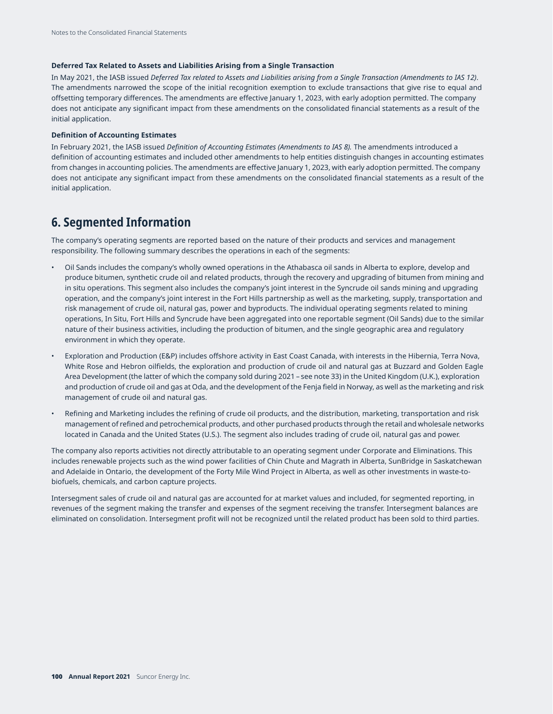#### **Deferred Tax Related to Assets and Liabilities Arising from a Single Transaction**

In May 2021, the IASB issued *Deferred Tax related to Assets and Liabilities arising from a Single Transaction (Amendments to IAS 12)*. The amendments narrowed the scope of the initial recognition exemption to exclude transactions that give rise to equal and offsetting temporary differences. The amendments are effective January 1, 2023, with early adoption permitted. The company does not anticipate any significant impact from these amendments on the consolidated financial statements as a result of the initial application.

#### **Definition of Accounting Estimates**

In February 2021, the IASB issued *Definition of Accounting Estimates (Amendments to IAS 8).* The amendments introduced a definition of accounting estimates and included other amendments to help entities distinguish changes in accounting estimates from changes in accounting policies. The amendments are effective January 1, 2023, with early adoption permitted. The company does not anticipate any significant impact from these amendments on the consolidated financial statements as a result of the initial application.

## **6. Segmented Information**

The company's operating segments are reported based on the nature of their products and services and management responsibility. The following summary describes the operations in each of the segments:

- Oil Sands includes the company's wholly owned operations in the Athabasca oil sands in Alberta to explore, develop and produce bitumen, synthetic crude oil and related products, through the recovery and upgrading of bitumen from mining and in situ operations. This segment also includes the company's joint interest in the Syncrude oil sands mining and upgrading operation, and the company's joint interest in the Fort Hills partnership as well as the marketing, supply, transportation and risk management of crude oil, natural gas, power and byproducts. The individual operating segments related to mining operations, In Situ, Fort Hills and Syncrude have been aggregated into one reportable segment (Oil Sands) due to the similar nature of their business activities, including the production of bitumen, and the single geographic area and regulatory environment in which they operate.
- Exploration and Production (E&P) includes offshore activity in East Coast Canada, with interests in the Hibernia, Terra Nova, White Rose and Hebron oilfields, the exploration and production of crude oil and natural gas at Buzzard and Golden Eagle Area Development (the latter of which the company sold during 2021 – see note 33) in the United Kingdom (U.K.), exploration and production of crude oil and gas at Oda, and the development of the Fenja field in Norway, as well as the marketing and risk management of crude oil and natural gas.
- Refining and Marketing includes the refining of crude oil products, and the distribution, marketing, transportation and risk management of refined and petrochemical products, and other purchased products through the retail and wholesale networks located in Canada and the United States (U.S.). The segment also includes trading of crude oil, natural gas and power.

The company also reports activities not directly attributable to an operating segment under Corporate and Eliminations. This includes renewable projects such as the wind power facilities of Chin Chute and Magrath in Alberta, SunBridge in Saskatchewan and Adelaide in Ontario, the development of the Forty Mile Wind Project in Alberta, as well as other investments in waste-tobiofuels, chemicals, and carbon capture projects.

Intersegment sales of crude oil and natural gas are accounted for at market values and included, for segmented reporting, in revenues of the segment making the transfer and expenses of the segment receiving the transfer. Intersegment balances are eliminated on consolidation. Intersegment profit will not be recognized until the related product has been sold to third parties.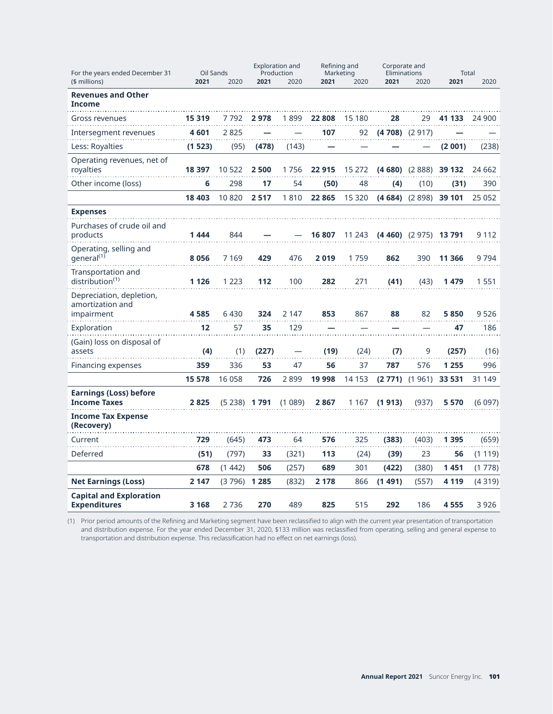| For the years ended December 31                            | Oil Sands |         |         | <b>Exploration and</b><br>Production | Refining and<br>Marketing |         | Corporate and<br>Eliminations |                       | Total   |         |
|------------------------------------------------------------|-----------|---------|---------|--------------------------------------|---------------------------|---------|-------------------------------|-----------------------|---------|---------|
| (\$ millions)                                              | 2021      | 2020    | 2021    | 2020                                 | 2021                      | 2020    | 2021                          | 2020                  | 2021    | 2020    |
| <b>Revenues and Other</b><br>Income                        |           |         |         |                                      |                           |         |                               |                       |         |         |
| Gross revenues                                             | 15 319    | 7 792   | 2978    | 1899                                 | 22 808                    | 15 180  | 28                            | 29                    | 41 133  | 24 900  |
| Intersegment revenues                                      | 4 601     | 2 825   |         |                                      | 107                       | 92      | $(4708)$ $(2917)$             |                       |         |         |
| Less: Royalties                                            | (1523)    | (95)    | (478)   | (143)                                |                           |         |                               |                       | (2 001) | (238)   |
| Operating revenues, net of<br>royalties                    | 18 397    | 10 522  | 2 500   | 1756                                 | 22 915                    | 15 272  |                               | $(4680)$ $(2888)$     | 39 132  | 24 6 62 |
| Other income (loss)                                        | 6         | 298     | 17      | 54                                   | (50)                      | 48      | (4)                           | (10)                  | (31)    | 390     |
|                                                            | 18 4 03   | 10820   | 2517    | 1810                                 | 22 865                    | 15 3 20 | (4684)                        | (2898)                | 39 101  | 25 0 52 |
| <b>Expenses</b>                                            |           |         |         |                                      |                           |         |                               |                       |         |         |
| Purchases of crude oil and<br>products                     | 1444      | 844     |         |                                      | 16 807                    | 11 243  |                               | $(4\,460)$ $(2\,975)$ | 13 791  | 9 1 1 2 |
| Operating, selling and<br>general <sup>(1)</sup>           | 8056      | 7 169   | 429     | 476                                  | 2 019                     | 1759    | 862                           | 390                   | 11 366  | 9 7 9 4 |
| Transportation and<br>distribution <sup>(1)</sup>          | 1 1 2 6   | 1 2 2 3 | 112     | 100                                  | 282                       | 271     | (41)                          | (43)                  | 1479    | 1 5 5 1 |
| Depreciation, depletion,<br>amortization and<br>impairment | 4585      | 6430    | 324     | 2 147                                | 853                       | 867     | 88                            | 82                    | 5850    | 9 5 2 6 |
| Exploration                                                | 12        | 57      | 35      | 129                                  |                           |         |                               |                       | 47      | 186     |
| (Gain) loss on disposal of<br>assets                       | (4)       | (1)     | (227)   |                                      | (19)                      | (24)    | (7)                           | 9                     | (257)   | (16)    |
| Financing expenses                                         | 359       | 336     | 53      | 47                                   | 56                        | 37      | 787                           | 576                   | 1 2 5 5 | 996     |
|                                                            | 15 578    | 16 0 58 | 726     | 2899                                 | 19 998                    | 14 153  | (2771)                        | (1961)                | 33 531  | 31 149  |
| Earnings (Loss) before<br><b>Income Taxes</b>              | 2825      | (5238)  | 1 791   | (1089)                               | 2867                      | 1 167   | (1913)                        | (937)                 | 5 570   | (6097)  |
| <b>Income Tax Expense</b><br>(Recovery)                    |           |         |         |                                      |                           |         |                               |                       |         |         |
| Current                                                    | 729       | (645)   | 473     | 64                                   | 576                       | 325     | (383)                         | (403)                 | 1 3 9 5 | (659)   |
| Deferred                                                   | (51)      | (797)   | 33      | (321)                                | 113                       | (24)    | (39)                          | 23                    | 56      | (1119)  |
|                                                            | 678       | (1442)  | 506     | (257)                                | 689                       | 301     | (422)                         | (380)                 | 1451    | (1778)  |
| <b>Net Earnings (Loss)</b>                                 | 2 1 4 7   | (3796)  | 1 2 8 5 | (832)                                | 2 178                     | 866     | (1491)                        | (557)                 | 4 1 1 9 | (4319)  |
| <b>Capital and Exploration</b><br><b>Expenditures</b>      | 3 1 6 8   | 2736    | 270     | 489                                  | 825                       | 515     | 292                           | 186                   | 4 5 5 5 | 3 9 2 6 |

(1) Prior period amounts of the Refining and Marketing segment have been reclassified to align with the current year presentation of transportation and distribution expense. For the year ended December 31, 2020, \$133 million was reclassified from operating, selling and general expense to transportation and distribution expense. This reclassification had no effect on net earnings (loss).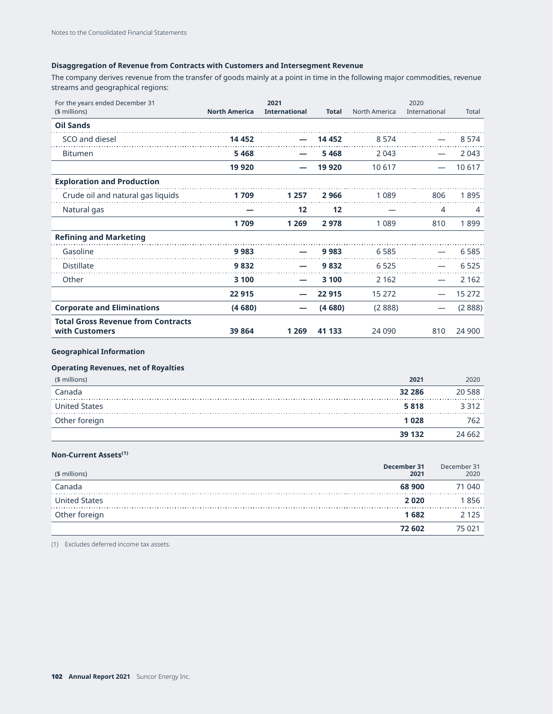#### **Disaggregation of Revenue from Contracts with Customers and Intersegment Revenue**

The company derives revenue from the transfer of goods mainly at a point in time in the following major commodities, revenue streams and geographical regions:

| For the years ended December 31                             | 2021                 |                      |              |               | 2020          |              |
|-------------------------------------------------------------|----------------------|----------------------|--------------|---------------|---------------|--------------|
| (\$ millions)                                               | <b>North America</b> | <b>International</b> | <b>Total</b> | North America | International | <b>Total</b> |
| <b>Oil Sands</b>                                            |                      |                      |              |               |               |              |
| SCO and diesel                                              | 14 452               |                      | 14 4 52      | 8 5 7 4       |               | 8 5 7 4      |
| <b>Bitumen</b>                                              | 5468                 |                      | 5468         | 2 0 4 3       |               | 2 0 4 3      |
|                                                             | 19 9 20              |                      | 19 9 20      | 10 617        |               | 10 617       |
| <b>Exploration and Production</b>                           |                      |                      |              |               |               |              |
| Crude oil and natural gas liquids                           | 1709                 | 1 2 5 7              | 2966         | 1 0 8 9       | 806           | 1895         |
| Natural gas                                                 |                      | 12                   | 12           |               | 4             | 4            |
|                                                             | 1709                 | 1 2 6 9              | 2978         | 1 0 8 9       | 810           | 1899         |
| <b>Refining and Marketing</b>                               |                      |                      |              |               |               |              |
| Gasoline                                                    | 9983                 |                      | 9983         | 6585          |               | 6 5 8 5      |
| <b>Distillate</b>                                           | 9832                 |                      | 9832         | 6 5 2 5       |               | 6 5 2 5      |
| Other                                                       | 3 100                |                      | 3 100        | 2 1 6 2       |               | 2 1 6 2      |
|                                                             | 22 915               |                      | 22 915       | 15 272        |               | 15 272       |
| <b>Corporate and Eliminations</b>                           | (4680)               |                      | (4680)       | (2888)        |               | (2888)       |
| <b>Total Gross Revenue from Contracts</b><br>with Customers | 39 864               | 1 2 6 9              | 41 133       | 24 0 90       | 810           | 24 900       |
|                                                             |                      |                      |              |               |               |              |

#### **Geographical Information**

#### **Operating Revenues, net of Royalties**

| $$$ millions)        | 2021   | 2020    |
|----------------------|--------|---------|
| Canada               | 32 286 | 20 5 88 |
| <b>United States</b> | 5818   | 3.312   |
| Other foreign        | 1028   | 762     |
|                      | 39 132 | 24 662  |

#### **Non-Current Assets(1)**

| (\$ millions)        | December 31<br>2021 | December 31<br>2020 |
|----------------------|---------------------|---------------------|
| Canada               | 68 900              | 71 040              |
| <b>United States</b> | 2020                | 856                 |
| Other foreign        | 1682                | 2 125               |
|                      | 72 602              | 75 N21              |

(1) Excludes deferred income tax assets.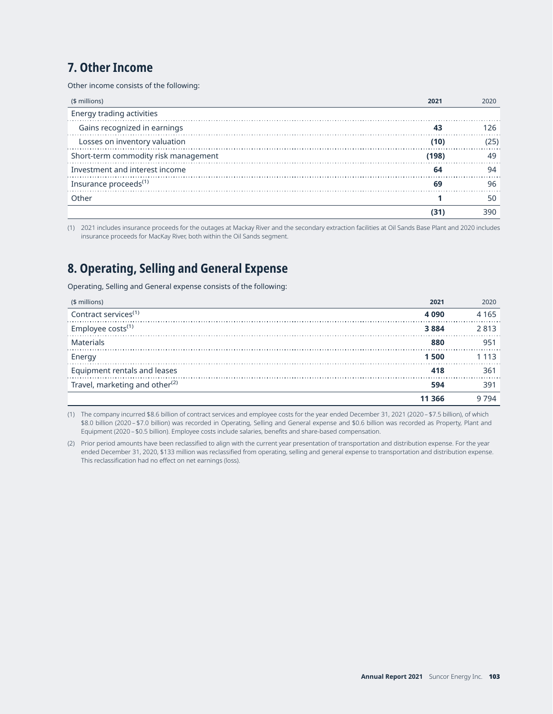## **7. Other Income**

Other income consists of the following:

| $$$ millions)                        |       | ንበንበ |
|--------------------------------------|-------|------|
| Energy trading activities            |       |      |
| Gains recognized in earnings         |       |      |
| Losses on inventory valuation        | (10)  |      |
| Short-term commodity risk management | (198) |      |
| Investment and interest income       | 64    |      |
| Insurance proceeds <sup>(1)</sup>    |       |      |
| Other                                |       |      |
|                                      |       |      |

(1) 2021 includes insurance proceeds for the outages at Mackay River and the secondary extraction facilities at Oil Sands Base Plant and 2020 includes insurance proceeds for MacKay River, both within the Oil Sands segment.

## **8. Operating, Selling and General Expense**

Operating, Selling and General expense consists of the following:

| (\$ millions)                              | 2021    | 2020    |
|--------------------------------------------|---------|---------|
| Contract services <sup>(1)</sup>           | 4 0 9 0 | 4 1 6 5 |
| Employee costs <sup>(1)</sup>              | 3884    | 2 813   |
| <b>Materials</b>                           | 880     | 95      |
| Energy                                     | 1500    | 1 113   |
| Equipment rentals and leases               | 418     | 361     |
| Travel, marketing and other <sup>(2)</sup> | 594     | 39      |
|                                            | 11 366  |         |

(1) The company incurred \$8.6 billion of contract services and employee costs for the year ended December 31, 2021 (2020 – \$7.5 billion), of which \$8.0 billion (2020 – \$7.0 billion) was recorded in Operating, Selling and General expense and \$0.6 billion was recorded as Property, Plant and Equipment (2020 – \$0.5 billion). Employee costs include salaries, benefits and share-based compensation.

(2) Prior period amounts have been reclassified to align with the current year presentation of transportation and distribution expense. For the year ended December 31, 2020, \$133 million was reclassified from operating, selling and general expense to transportation and distribution expense. This reclassification had no effect on net earnings (loss).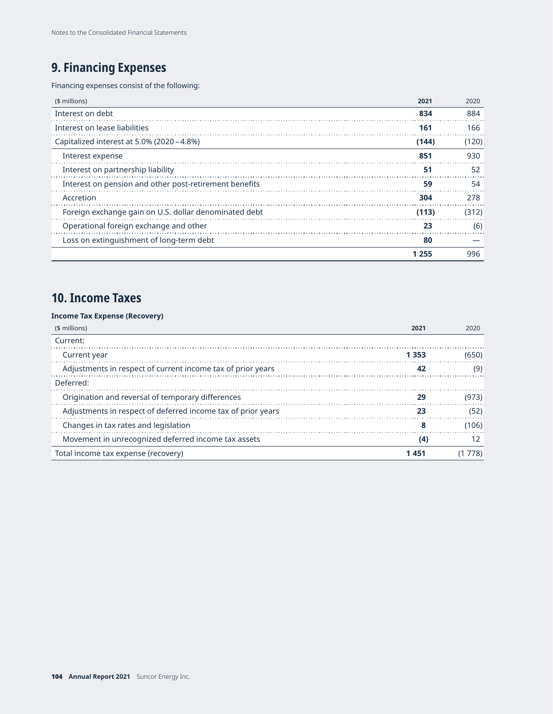# **9. Financing Expenses**

Financing expenses consist of the following:

| $($$ millions)                                         | 2021  | 2020  |
|--------------------------------------------------------|-------|-------|
| Interest on debt                                       | 834   | 884   |
| Interest on lease liabilities                          | 161   | 166   |
| Capitalized interest at 5.0% (2020 – 4.8%)             | (144) | (120) |
| Interest expense                                       | 851   | 930   |
| Interest on partnership liability                      | 51    | 52    |
| Interest on pension and other post-retirement benefits | 59    | 54    |
| Accretion                                              | 304   | 278   |
| Foreign exchange gain on U.S. dollar denominated debt  | (113) | (312) |
| Operational foreign exchange and other                 | 23    | (6)   |
| Loss on extinguishment of long-term debt               | 80    |       |
|                                                        | -255  | 996   |

## **10. Income Taxes**

### **Income Tax Expense (Recovery)**

| (\$ millions)                                                |       | 2020  |
|--------------------------------------------------------------|-------|-------|
| Current:                                                     |       |       |
| Current year                                                 | 1 353 | (650) |
| Adjustments in respect of current income tax of prior years  | 42    |       |
| Deferred:                                                    |       |       |
| Origination and reversal of temporary differences            | 79    | (973) |
| Adjustments in respect of deferred income tax of prior years | 23    | (52)  |
| Changes in tax rates and legislation                         | Զ     | (106) |
| Movement in unrecognized deferred income tax assets          | (4)   |       |
| Total income tax expense (recovery)                          | 1 451 | 78)   |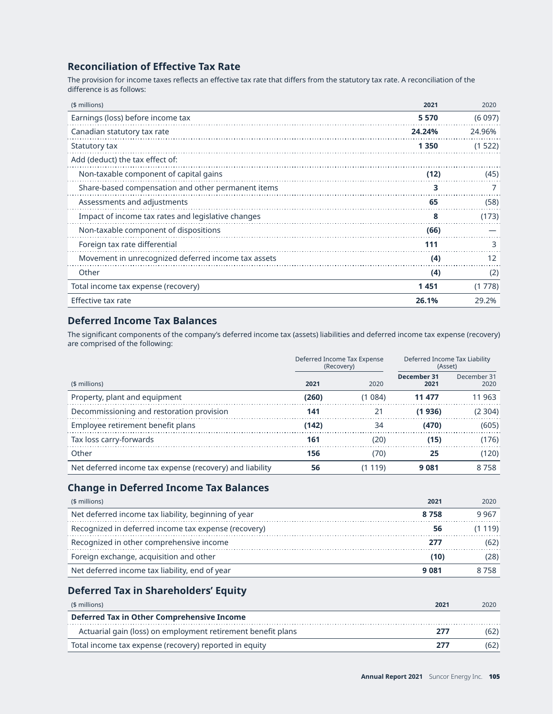## **Reconciliation of Effective Tax Rate**

The provision for income taxes reflects an effective tax rate that differs from the statutory tax rate. A reconciliation of the difference is as follows:

| (\$ millions)                                       | 2021    | 2020    |
|-----------------------------------------------------|---------|---------|
| Earnings (loss) before income tax                   | 5 5 7 0 | (6097)  |
| Canadian statutory tax rate                         | 24.24%  | 24.96%  |
| Statutory tax                                       | 1 3 5 0 | (1 522) |
| Add (deduct) the tax effect of:                     |         |         |
| Non-taxable component of capital gains              | (12)    | (45)    |
| Share-based compensation and other permanent items  | З       |         |
| Assessments and adjustments                         | 65      | (58)    |
| Impact of income tax rates and legislative changes  | 8       | (173)   |
| Non-taxable component of dispositions               | (66)    |         |
| Foreign tax rate differential                       | 111     | 3       |
| Movement in unrecognized deferred income tax assets | (4)     | 12      |
| Other                                               | (4)     | (2)     |
| Total income tax expense (recovery)                 | 1451    | (1778)  |
| Effective tax rate                                  | 26.1%   | 29.2%   |

## **Deferred Income Tax Balances**

The significant components of the company's deferred income tax (assets) liabilities and deferred income tax expense (recovery) are comprised of the following:

|                                                          | Deferred Income Tax Expense<br>(Recovery) |        | Deferred Income Tax Liability<br>(Asset) |                     |  |
|----------------------------------------------------------|-------------------------------------------|--------|------------------------------------------|---------------------|--|
| (\$ millions)                                            | 2021                                      | 2020   | December 31<br>2021                      | December 31<br>2020 |  |
| Property, plant and equipment                            | (260)                                     | (1084) | 11 477                                   | 11 963              |  |
| Decommissioning and restoration provision                | 141                                       | 21     | (1936)                                   | (2304)              |  |
| Employee retirement benefit plans                        | (142)                                     | 34     | (470)                                    | (605)               |  |
| Tax loss carry-forwards                                  | 161                                       | (20)   | (15)                                     | (176)               |  |
| Other                                                    | 156                                       | (70)   | 25                                       | (120)               |  |
| Net deferred income tax expense (recovery) and liability | 56                                        | 119)   | 9081                                     | 8758                |  |

## **Change in Deferred Income Tax Balances**

| (\$ millions)                                        |       | 2020    |
|------------------------------------------------------|-------|---------|
| Net deferred income tax liability, beginning of year | 8758  | 9967    |
| Recognized in deferred income tax expense (recovery) |       | 1 119). |
| Recognized in other comprehensive income             |       | 6Z)     |
| Foreign exchange, acquisition and other              | (10)  | 28)     |
| Net deferred income tax liability, end of year       | 9 081 | 8 758.  |

## **Deferred Tax in Shareholders' Equity**

| $$$ millions)                                                | 2021 | 2020 |
|--------------------------------------------------------------|------|------|
| Deferred Tax in Other Comprehensive Income                   |      |      |
| Actuarial gain (loss) on employment retirement benefit plans | 777  | (62) |
| Total income tax expense (recovery) reported in equity       | 277  |      |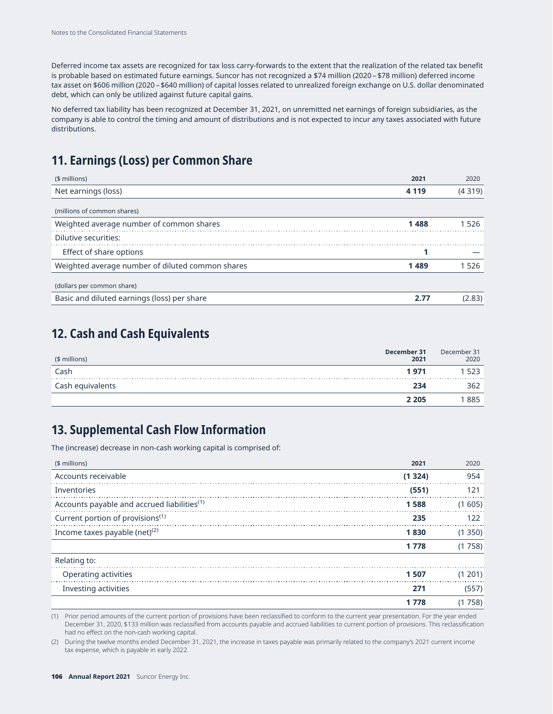Deferred income tax assets are recognized for tax loss carry-forwards to the extent that the realization of the related tax benefit is probable based on estimated future earnings. Suncor has not recognized a \$74 million (2020 – \$78 million) deferred income tax asset on \$606 million (2020 – \$640 million) of capital losses related to unrealized foreign exchange on U.S. dollar denominated debt, which can only be utilized against future capital gains.

No deferred tax liability has been recognized at December 31, 2021, on unremitted net earnings of foreign subsidiaries, as the company is able to control the timing and amount of distributions and is not expected to incur any taxes associated with future distributions.

## **11. Earnings (Loss) per Common Share**

| (\$ millions)                                    | 2021    | 2020    |
|--------------------------------------------------|---------|---------|
| Net earnings (loss)                              | 4 1 1 9 | (4319)  |
| (millions of common shares)                      |         |         |
| Weighted average number of common shares         | 1488    | 1.526   |
| Dilutive securities:                             |         |         |
| Effect of share options                          |         |         |
| Weighted average number of diluted common shares | 1489    | 1 5 2 6 |
| (dollars per common share)                       |         |         |
| Basic and diluted earnings (loss) per share      | 2.77    | (2.83)  |

## **12. Cash and Cash Equivalents**

| (\$ millions)    | December 31<br>2021 | December 31<br>2020 |
|------------------|---------------------|---------------------|
| Cash             | 1971                | -523                |
| Cash equivalents | 234                 | 362                 |
|                  | 2 2 0 5             | 885                 |

## **13. Supplemental Cash Flow Information**

The (increase) decrease in non-cash working capital is comprised of:

| (\$ millions)                                           | 2021    | 2020   |
|---------------------------------------------------------|---------|--------|
| Accounts receivable                                     | (1324)  | 954    |
| Inventories                                             | (551)   | 121    |
| Accounts payable and accrued liabilities <sup>(1)</sup> | 1588    | (1605) |
| Current portion of provisions <sup>(1)</sup>            | 235     | 122    |
| Income taxes payable (net) <sup>(2)</sup>               | 1830    | (1350) |
|                                                         | 1 7 7 8 | (1758) |
| Relating to:                                            |         |        |
| Operating activities                                    | 1507    | (1201) |
| Investing activities                                    | 271     | (557)  |
|                                                         | 1 778   | (1758) |

(1) Prior period amounts of the current portion of provisions have been reclassified to conform to the current year presentation. For the year ended December 31, 2020, \$133 million was reclassified from accounts payable and accrued liabilities to current portion of provisions. This reclassification had no effect on the non-cash working capital.

(2) During the twelve months ended December 31, 2021, the increase in taxes payable was primarily related to the company's 2021 current income tax expense, which is payable in early 2022.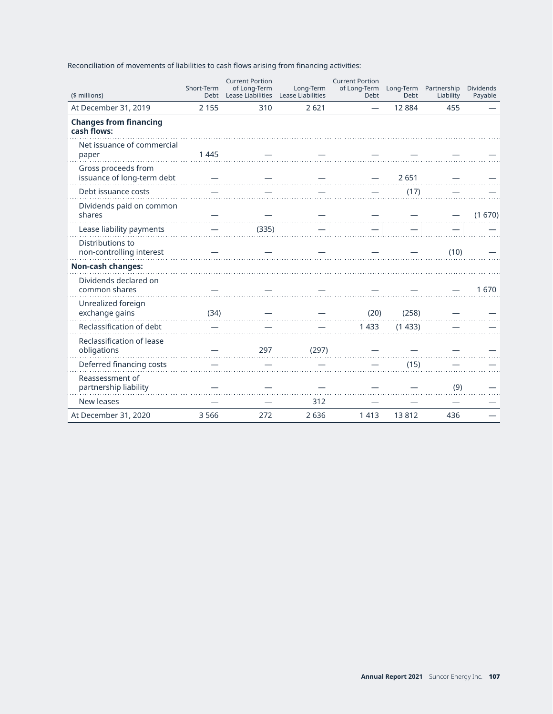Reconciliation of movements of liabilities to cash flows arising from financing activities:

| (\$ millions)                                     | Short-Term<br><b>Debt</b> | <b>Current Portion</b><br>of Long-Term<br>Lease Liabilities | Long-Term<br>Lease Liabilities | <b>Current Portion</b><br>of Long-Term<br><b>Debt</b> | Long-Term<br>Debt | Partnership<br>Liability | <b>Dividends</b><br>Payable |
|---------------------------------------------------|---------------------------|-------------------------------------------------------------|--------------------------------|-------------------------------------------------------|-------------------|--------------------------|-----------------------------|
| At December 31, 2019                              | 2 1 5 5                   | 310                                                         | 2621                           |                                                       | 12884             | 455                      |                             |
| <b>Changes from financing</b><br>cash flows:      |                           |                                                             |                                |                                                       |                   |                          |                             |
| Net issuance of commercial<br>paper               | 1 4 4 5                   |                                                             |                                |                                                       |                   |                          |                             |
| Gross proceeds from<br>issuance of long-term debt |                           |                                                             |                                |                                                       | 2651              |                          |                             |
| Debt issuance costs                               |                           |                                                             |                                |                                                       | (17)              |                          |                             |
| Dividends paid on common<br>shares                |                           |                                                             |                                |                                                       |                   |                          | (1670)                      |
| Lease liability payments                          |                           | (335)                                                       |                                |                                                       |                   |                          |                             |
| Distributions to<br>non-controlling interest      |                           |                                                             |                                |                                                       |                   | (10)                     |                             |
| <b>Non-cash changes:</b>                          |                           |                                                             |                                |                                                       |                   |                          |                             |
| Dividends declared on<br>common shares            |                           |                                                             |                                |                                                       |                   |                          | 1670                        |
| Unrealized foreign<br>exchange gains              | (34)                      |                                                             |                                | (20)                                                  | (258)             |                          |                             |
| Reclassification of debt                          |                           |                                                             |                                | 1 4 3 3                                               | (1433)            |                          |                             |
| Reclassification of lease<br>obligations          |                           | 297                                                         | (297)                          |                                                       |                   |                          |                             |
| Deferred financing costs                          |                           |                                                             |                                |                                                       | (15)              |                          |                             |
| Reassessment of<br>partnership liability          |                           |                                                             |                                |                                                       |                   | (9)                      |                             |
| New leases                                        |                           |                                                             | 312                            |                                                       |                   |                          |                             |
| At December 31, 2020                              | 3566                      | 272                                                         | 2 6 3 6                        | 1413                                                  | 13812             | 436                      |                             |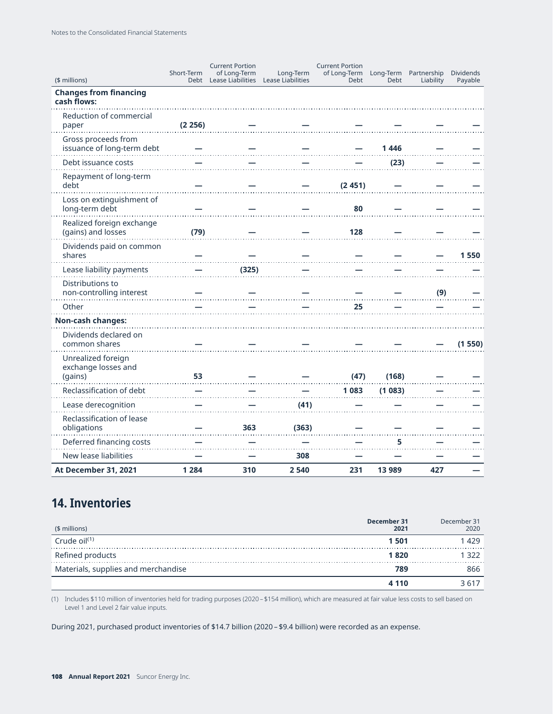| (\$ millions)                                        | Short-Term<br><b>Debt</b> | <b>Current Portion</b><br>of Long-Term<br>Lease Liabilities | Long-Term<br><b>Lease Liabilities</b> | <b>Current Portion</b><br>of Long-Term<br><b>Debt</b> | <b>Debt</b> | Long-Term Partnership<br>Liability | <b>Dividends</b><br>Payable |
|------------------------------------------------------|---------------------------|-------------------------------------------------------------|---------------------------------------|-------------------------------------------------------|-------------|------------------------------------|-----------------------------|
| <b>Changes from financing</b><br>cash flows:         |                           |                                                             |                                       |                                                       |             |                                    |                             |
| Reduction of commercial<br>paper                     | (2256)                    |                                                             |                                       |                                                       |             |                                    |                             |
| Gross proceeds from<br>issuance of long-term debt    |                           |                                                             |                                       |                                                       | 1446        |                                    |                             |
| Debt issuance costs                                  |                           |                                                             |                                       |                                                       | (23)        |                                    |                             |
| Repayment of long-term<br>debt                       |                           |                                                             |                                       | (2451)                                                |             |                                    |                             |
| Loss on extinguishment of<br>long-term debt          |                           |                                                             |                                       | 80                                                    |             |                                    |                             |
| Realized foreign exchange<br>(gains) and losses      | (79)                      |                                                             |                                       | 128                                                   |             |                                    |                             |
| Dividends paid on common<br>shares                   |                           |                                                             |                                       |                                                       |             |                                    | 1 550                       |
| Lease liability payments                             |                           | (325)                                                       |                                       |                                                       |             |                                    |                             |
| Distributions to<br>non-controlling interest         |                           |                                                             |                                       |                                                       |             | (9)                                |                             |
| Other                                                |                           |                                                             |                                       | 25                                                    |             |                                    |                             |
| Non-cash changes:                                    |                           |                                                             |                                       |                                                       |             |                                    |                             |
| Dividends declared on<br>common shares               |                           |                                                             |                                       |                                                       |             |                                    | (1550)                      |
| Unrealized foreign<br>exchange losses and<br>(gains) | 53                        |                                                             |                                       | (47)                                                  | (168)       |                                    |                             |
| Reclassification of debt                             |                           |                                                             |                                       | 1 0 8 3                                               | (1083)      |                                    |                             |
| Lease derecognition                                  |                           |                                                             | (41)                                  |                                                       |             |                                    |                             |
| Reclassification of lease<br>obligations             |                           | 363                                                         | (363)                                 |                                                       |             |                                    |                             |
| Deferred financing costs                             |                           |                                                             |                                       |                                                       |             |                                    |                             |
| New lease liabilities                                |                           |                                                             | 308                                   |                                                       |             |                                    |                             |
| At December 31, 2021                                 | 1 2 8 4                   | 310                                                         | 2 5 4 0                               | 231                                                   | 13 989      | 427                                |                             |

## **14. Inventories**

| (\$ millions)                       | December 31<br>2021 | December 31<br>2020 |
|-------------------------------------|---------------------|---------------------|
| Crude oil <sup>(1)</sup>            | 1501                | 1429                |
| Refined products                    | 1820                | 1 322               |
| Materials, supplies and merchandise | 789                 | 866                 |
|                                     | 4 1 1 0             | 3.617               |

(1) Includes \$110 million of inventories held for trading purposes (2020 – \$154 million), which are measured at fair value less costs to sell based on Level 1 and Level 2 fair value inputs.

During 2021, purchased product inventories of \$14.7 billion (2020 – \$9.4 billion) were recorded as an expense.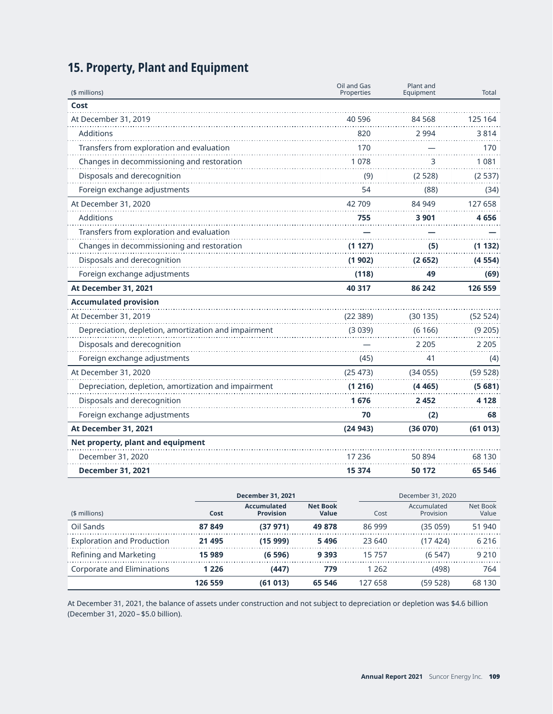# **15. Property, Plant and Equipment**

| (\$ millions)                                        | Oil and Gas<br>Properties | Plant and<br>Equipment | Total    |
|------------------------------------------------------|---------------------------|------------------------|----------|
| Cost                                                 |                           |                        |          |
| At December 31. 2019                                 | 40 596                    | 84 568                 | 125 164  |
| <b>Additions</b>                                     | 820                       | 2 994                  | 3814     |
| Transfers from exploration and evaluation            | 170                       |                        | 170      |
| Changes in decommissioning and restoration           | 1078                      | 3                      | 1 0 8 1  |
| Disposals and derecognition                          | (9)                       | (2528)                 | (2537)   |
| Foreign exchange adjustments                         | 54                        | (88)                   | (34)     |
| At December 31, 2020                                 | 42709                     | 84 949                 | 127 658  |
| Additions                                            | 755                       | 3 901                  | 4 656    |
| Transfers from exploration and evaluation            |                           |                        |          |
| Changes in decommissioning and restoration           | (1127)                    | (5)                    | (1132)   |
| Disposals and derecognition                          | (1902)                    | (2652)                 | (4554)   |
| Foreign exchange adjustments                         | (118)                     | 49                     | (69)     |
| At December 31, 2021                                 | 40 317                    | 86 242                 | 126 559  |
| <b>Accumulated provision</b>                         |                           |                        |          |
| At December 31, 2019                                 | (22 389)                  | (30135)                | (52 524) |
| Depreciation, depletion, amortization and impairment | (3039)                    | (6166)                 | (9, 205) |
| Disposals and derecognition                          |                           | 2 2 0 5                | 2 2 0 5  |
| Foreign exchange adjustments                         | (45)                      | 41                     | (4)      |
| At December 31, 2020                                 | (25 473)                  | (34055)                | (59 528) |
| Depreciation, depletion, amortization and impairment | (1216)                    | (4465)                 | (5681)   |
| Disposals and derecognition                          | 1676                      | 2452                   | 4 1 2 8  |
| Foreign exchange adjustments                         | 70                        | (2)                    | 68       |
| At December 31, 2021                                 | (24943)                   | (36070)                | (61013)  |
| Net property, plant and equipment                    |                           |                        |          |
| December 31, 2020                                    | 17 236                    | 50 894                 | 68 130   |
| <b>December 31, 2021</b>                             | 15 374                    | 50 172                 | 65 546   |

|                                   |          | <b>December 31, 2021</b>               |                          |         | December 31, 2020        |                   |
|-----------------------------------|----------|----------------------------------------|--------------------------|---------|--------------------------|-------------------|
| $$$ millions)                     | Cost     | <b>Accumulated</b><br><b>Provision</b> | <b>Net Book</b><br>Value | Cost    | Accumulated<br>Provision | Net Book<br>Value |
| Oil Sands                         | 87849    | (37 971)                               | 49 878                   | 86 999  | (35 059)                 | 51 940            |
| <b>Exploration and Production</b> | 21 4 9 5 | (15 999)                               | 5496                     | 23 640  | (17 424)                 | 6 2 1 6           |
| Refining and Marketing            | 15 989   | (6596)                                 | 9 3 9 3                  | 15757   | (6 547)                  | 9 2 1 0           |
| <b>Corporate and Eliminations</b> | 1 2 2 6  | (447)                                  | 779                      | 1 2 6 2 | (498)                    | 764               |
|                                   | 126 559  | (61 013)                               | 65 546                   | 127 658 | (59 528)                 | 68 130            |

At December 31, 2021, the balance of assets under construction and not subject to depreciation or depletion was \$4.6 billion (December 31, 2020 – \$5.0 billion).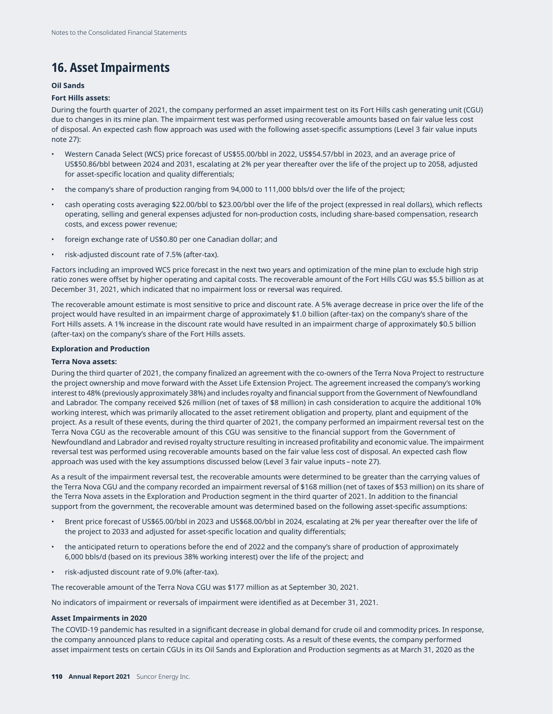## **16. Asset Impairments**

#### **Oil Sands**

#### **Fort Hills assets:**

During the fourth quarter of 2021, the company performed an asset impairment test on its Fort Hills cash generating unit (CGU) due to changes in its mine plan. The impairment test was performed using recoverable amounts based on fair value less cost of disposal. An expected cash flow approach was used with the following asset-specific assumptions (Level 3 fair value inputs note 27):

- Western Canada Select (WCS) price forecast of US\$55.00/bbl in 2022, US\$54.57/bbl in 2023, and an average price of US\$50.86/bbl between 2024 and 2031, escalating at 2% per year thereafter over the life of the project up to 2058, adjusted for asset-specific location and quality differentials;
- the company's share of production ranging from 94,000 to 111,000 bbls/d over the life of the project;
- cash operating costs averaging \$22.00/bbl to \$23.00/bbl over the life of the project (expressed in real dollars), which reflects operating, selling and general expenses adjusted for non-production costs, including share-based compensation, research costs, and excess power revenue;
- foreign exchange rate of US\$0.80 per one Canadian dollar; and
- risk-adjusted discount rate of 7.5% (after-tax).

Factors including an improved WCS price forecast in the next two years and optimization of the mine plan to exclude high strip ratio zones were offset by higher operating and capital costs. The recoverable amount of the Fort Hills CGU was \$5.5 billion as at December 31, 2021, which indicated that no impairment loss or reversal was required.

The recoverable amount estimate is most sensitive to price and discount rate. A 5% average decrease in price over the life of the project would have resulted in an impairment charge of approximately \$1.0 billion (after-tax) on the company's share of the Fort Hills assets. A 1% increase in the discount rate would have resulted in an impairment charge of approximately \$0.5 billion (after-tax) on the company's share of the Fort Hills assets.

#### **Exploration and Production**

#### **Terra Nova assets:**

During the third quarter of 2021, the company finalized an agreement with the co-owners of the Terra Nova Project to restructure the project ownership and move forward with the Asset Life Extension Project. The agreement increased the company's working interest to 48% (previously approximately 38%) and includes royalty and financial support from the Government of Newfoundland and Labrador. The company received \$26 million (net of taxes of \$8 million) in cash consideration to acquire the additional 10% working interest, which was primarily allocated to the asset retirement obligation and property, plant and equipment of the project. As a result of these events, during the third quarter of 2021, the company performed an impairment reversal test on the Terra Nova CGU as the recoverable amount of this CGU was sensitive to the financial support from the Government of Newfoundland and Labrador and revised royalty structure resulting in increased profitability and economic value. The impairment reversal test was performed using recoverable amounts based on the fair value less cost of disposal. An expected cash flow approach was used with the key assumptions discussed below (Level 3 fair value inputs – note 27).

As a result of the impairment reversal test, the recoverable amounts were determined to be greater than the carrying values of the Terra Nova CGU and the company recorded an impairment reversal of \$168 million (net of taxes of \$53 million) on its share of the Terra Nova assets in the Exploration and Production segment in the third quarter of 2021. In addition to the financial support from the government, the recoverable amount was determined based on the following asset-specific assumptions:

- Brent price forecast of US\$65.00/bbl in 2023 and US\$68.00/bbl in 2024, escalating at 2% per year thereafter over the life of the project to 2033 and adjusted for asset-specific location and quality differentials;
- the anticipated return to operations before the end of 2022 and the company's share of production of approximately 6,000 bbls/d (based on its previous 38% working interest) over the life of the project; and
- risk-adjusted discount rate of 9.0% (after-tax).

The recoverable amount of the Terra Nova CGU was \$177 million as at September 30, 2021.

No indicators of impairment or reversals of impairment were identified as at December 31, 2021.

#### **Asset Impairments in 2020**

The COVID-19 pandemic has resulted in a significant decrease in global demand for crude oil and commodity prices. In response, the company announced plans to reduce capital and operating costs. As a result of these events, the company performed asset impairment tests on certain CGUs in its Oil Sands and Exploration and Production segments as at March 31, 2020 as the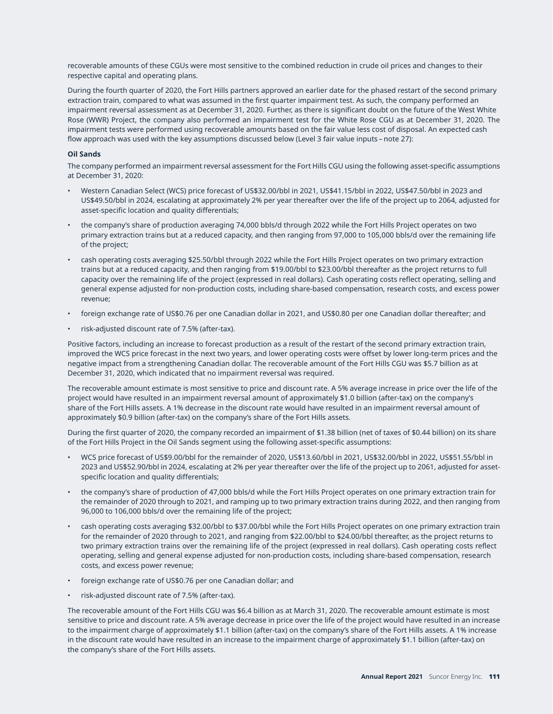recoverable amounts of these CGUs were most sensitive to the combined reduction in crude oil prices and changes to their respective capital and operating plans.

During the fourth quarter of 2020, the Fort Hills partners approved an earlier date for the phased restart of the second primary extraction train, compared to what was assumed in the first quarter impairment test. As such, the company performed an impairment reversal assessment as at December 31, 2020. Further, as there is significant doubt on the future of the West White Rose (WWR) Project, the company also performed an impairment test for the White Rose CGU as at December 31, 2020. The impairment tests were performed using recoverable amounts based on the fair value less cost of disposal. An expected cash flow approach was used with the key assumptions discussed below (Level 3 fair value inputs – note 27):

#### **Oil Sands**

The company performed an impairment reversal assessment for the Fort Hills CGU using the following asset-specific assumptions at December 31, 2020:

- Western Canadian Select (WCS) price forecast of US\$32.00/bbl in 2021, US\$41.15/bbl in 2022, US\$47.50/bbl in 2023 and US\$49.50/bbl in 2024, escalating at approximately 2% per year thereafter over the life of the project up to 2064, adjusted for asset-specific location and quality differentials;
- the company's share of production averaging 74,000 bbls/d through 2022 while the Fort Hills Project operates on two primary extraction trains but at a reduced capacity, and then ranging from 97,000 to 105,000 bbls/d over the remaining life of the project;
- cash operating costs averaging \$25.50/bbl through 2022 while the Fort Hills Project operates on two primary extraction trains but at a reduced capacity, and then ranging from \$19.00/bbl to \$23.00/bbl thereafter as the project returns to full capacity over the remaining life of the project (expressed in real dollars). Cash operating costs reflect operating, selling and general expense adjusted for non-production costs, including share-based compensation, research costs, and excess power revenue;
- foreign exchange rate of US\$0.76 per one Canadian dollar in 2021, and US\$0.80 per one Canadian dollar thereafter; and
- risk-adjusted discount rate of 7.5% (after-tax).

Positive factors, including an increase to forecast production as a result of the restart of the second primary extraction train, improved the WCS price forecast in the next two years, and lower operating costs were offset by lower long-term prices and the negative impact from a strengthening Canadian dollar. The recoverable amount of the Fort Hills CGU was \$5.7 billion as at December 31, 2020, which indicated that no impairment reversal was required.

The recoverable amount estimate is most sensitive to price and discount rate. A 5% average increase in price over the life of the project would have resulted in an impairment reversal amount of approximately \$1.0 billion (after-tax) on the company's share of the Fort Hills assets. A 1% decrease in the discount rate would have resulted in an impairment reversal amount of approximately \$0.9 billion (after-tax) on the company's share of the Fort Hills assets.

During the first quarter of 2020, the company recorded an impairment of \$1.38 billion (net of taxes of \$0.44 billion) on its share of the Fort Hills Project in the Oil Sands segment using the following asset-specific assumptions:

- WCS price forecast of US\$9.00/bbl for the remainder of 2020, US\$13.60/bbl in 2021, US\$32.00/bbl in 2022, US\$51.55/bbl in 2023 and US\$52.90/bbl in 2024, escalating at 2% per year thereafter over the life of the project up to 2061, adjusted for assetspecific location and quality differentials;
- the company's share of production of 47,000 bbls/d while the Fort Hills Project operates on one primary extraction train for the remainder of 2020 through to 2021, and ramping up to two primary extraction trains during 2022, and then ranging from 96,000 to 106,000 bbls/d over the remaining life of the project;
- cash operating costs averaging \$32.00/bbl to \$37.00/bbl while the Fort Hills Project operates on one primary extraction train for the remainder of 2020 through to 2021, and ranging from \$22.00/bbl to \$24.00/bbl thereafter, as the project returns to two primary extraction trains over the remaining life of the project (expressed in real dollars). Cash operating costs reflect operating, selling and general expense adjusted for non-production costs, including share-based compensation, research costs, and excess power revenue;
- foreign exchange rate of US\$0.76 per one Canadian dollar; and
- risk-adjusted discount rate of 7.5% (after-tax).

The recoverable amount of the Fort Hills CGU was \$6.4 billion as at March 31, 2020. The recoverable amount estimate is most sensitive to price and discount rate. A 5% average decrease in price over the life of the project would have resulted in an increase to the impairment charge of approximately \$1.1 billion (after-tax) on the company's share of the Fort Hills assets. A 1% increase in the discount rate would have resulted in an increase to the impairment charge of approximately \$1.1 billion (after-tax) on the company's share of the Fort Hills assets.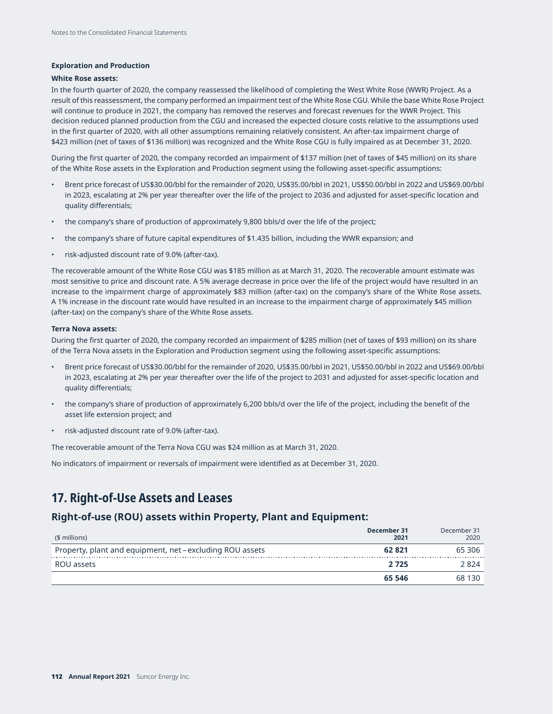#### **Exploration and Production**

#### **White Rose assets:**

In the fourth quarter of 2020, the company reassessed the likelihood of completing the West White Rose (WWR) Project. As a result of this reassessment, the company performed an impairment test of the White Rose CGU. While the base White Rose Project will continue to produce in 2021, the company has removed the reserves and forecast revenues for the WWR Project. This decision reduced planned production from the CGU and increased the expected closure costs relative to the assumptions used in the first quarter of 2020, with all other assumptions remaining relatively consistent. An after-tax impairment charge of \$423 million (net of taxes of \$136 million) was recognized and the White Rose CGU is fully impaired as at December 31, 2020.

During the first quarter of 2020, the company recorded an impairment of \$137 million (net of taxes of \$45 million) on its share of the White Rose assets in the Exploration and Production segment using the following asset-specific assumptions:

- Brent price forecast of US\$30.00/bbl for the remainder of 2020, US\$35.00/bbl in 2021, US\$50.00/bbl in 2022 and US\$69.00/bbl in 2023, escalating at 2% per year thereafter over the life of the project to 2036 and adjusted for asset-specific location and quality differentials;
- the company's share of production of approximately 9,800 bbls/d over the life of the project;
- the company's share of future capital expenditures of \$1.435 billion, including the WWR expansion; and
- risk-adjusted discount rate of 9.0% (after-tax).

The recoverable amount of the White Rose CGU was \$185 million as at March 31, 2020. The recoverable amount estimate was most sensitive to price and discount rate. A 5% average decrease in price over the life of the project would have resulted in an increase to the impairment charge of approximately \$83 million (after-tax) on the company's share of the White Rose assets. A 1% increase in the discount rate would have resulted in an increase to the impairment charge of approximately \$45 million (after-tax) on the company's share of the White Rose assets.

#### **Terra Nova assets:**

During the first quarter of 2020, the company recorded an impairment of \$285 million (net of taxes of \$93 million) on its share of the Terra Nova assets in the Exploration and Production segment using the following asset-specific assumptions:

- Brent price forecast of US\$30.00/bbl for the remainder of 2020, US\$35.00/bbl in 2021, US\$50.00/bbl in 2022 and US\$69.00/bbl in 2023, escalating at 2% per year thereafter over the life of the project to 2031 and adjusted for asset-specific location and quality differentials;
- the company's share of production of approximately 6,200 bbls/d over the life of the project, including the benefit of the asset life extension project; and
- risk-adjusted discount rate of 9.0% (after-tax).

The recoverable amount of the Terra Nova CGU was \$24 million as at March 31, 2020.

No indicators of impairment or reversals of impairment were identified as at December 31, 2020.

## **17. Right-of-Use Assets and Leases**

#### **Right-of-use (ROU) assets within Property, Plant and Equipment:**

| $$$ millions)                                             | December 31<br>2021 | December 31<br>2020 |
|-----------------------------------------------------------|---------------------|---------------------|
| Property, plant and equipment, net – excluding ROU assets | 62 821              | 65 306              |
| ROU assets                                                | 2 7 2 5             | 2824                |
|                                                           | 65 546              | 68 130              |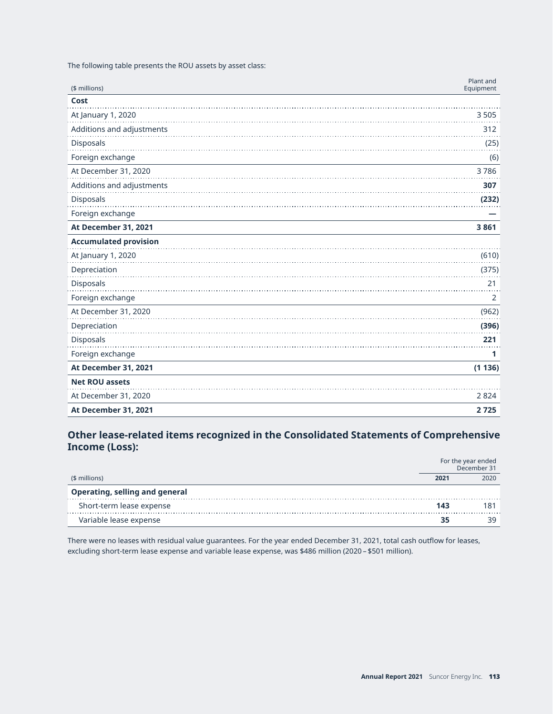The following table presents the ROU assets by asset class:

| (\$ millions)                | Plant and<br>Equipment |
|------------------------------|------------------------|
| Cost                         |                        |
| At January 1, 2020           | 3 5 0 5                |
| Additions and adjustments    | 312                    |
| Disposals                    | (25)                   |
| Foreign exchange             | (6)                    |
| At December 31, 2020         | 3786                   |
| Additions and adjustments    | 307                    |
| Disposals                    | (232)                  |
| Foreign exchange             |                        |
| At December 31, 2021         | 3 8 6 1                |
| <b>Accumulated provision</b> |                        |
| At January 1, 2020           | (610)                  |
| Depreciation                 | (375)                  |
| Disposals                    | 21                     |
| Foreign exchange             | 2                      |
| At December 31, 2020         | (962)                  |
| Depreciation                 | (396)                  |
| Disposals                    | 221                    |
| Foreign exchange             | 1                      |
| At December 31, 2021         | (1136)                 |
| <b>Net ROU assets</b>        |                        |
| At December 31, 2020         | 2824                   |
| At December 31, 2021         | 2 7 2 5                |

## **Other lease-related items recognized in the Consolidated Statements of Comprehensive Income (Loss):**

|                                       |      | For the year ended<br>December 31 |
|---------------------------------------|------|-----------------------------------|
| $$$ millions)                         | 2021 | 2020                              |
| <b>Operating, selling and general</b> |      |                                   |
| Short-term lease expense              | 143  | 18                                |
| Variable lease expense                |      |                                   |

There were no leases with residual value guarantees. For the year ended December 31, 2021, total cash outflow for leases, excluding short-term lease expense and variable lease expense, was \$486 million (2020 – \$501 million).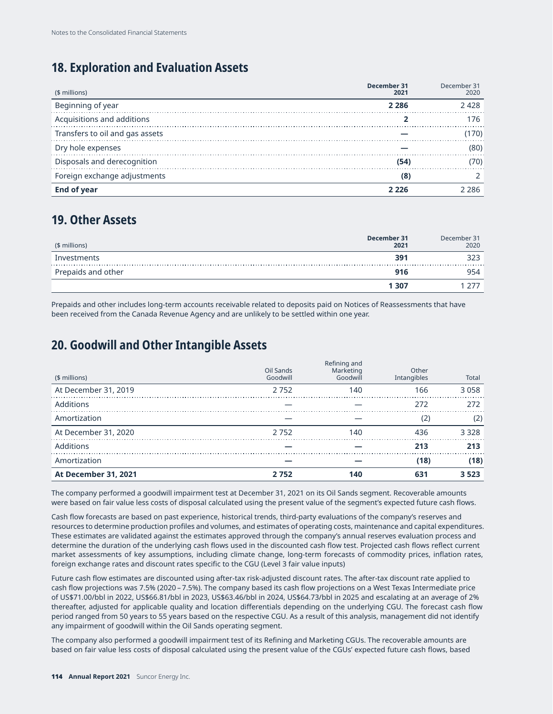## **18. Exploration and Evaluation Assets**

| (\$ millions)                   | December 31<br>2021 | December 31<br>2020 |
|---------------------------------|---------------------|---------------------|
| Beginning of year               | 2 2 8 6             | 2 4 2 8             |
| Acquisitions and additions      |                     | 176                 |
| Transfers to oil and gas assets |                     | (170)               |
| Dry hole expenses               |                     | (80)                |
| Disposals and derecognition     | (54)                | (70)                |
| Foreign exchange adjustments    | (8)                 |                     |
| <b>End of year</b>              | 2 226               | 2 286               |

## **19. Other Assets**

| (\$ millions)      | December 31<br>2021 | December 31<br>2020 |
|--------------------|---------------------|---------------------|
| Investments        | 391                 |                     |
| Prepaids and other | 916                 | 954                 |
|                    | 1 3 0 7             |                     |

Prepaids and other includes long-term accounts receivable related to deposits paid on Notices of Reassessments that have been received from the Canada Revenue Agency and are unlikely to be settled within one year.

## **20. Goodwill and Other Intangible Assets**

| (\$ millions)               | Oil Sands<br>Goodwill | Refining and<br>Marketing<br>Goodwill | Other<br>Intangibles | Total |
|-----------------------------|-----------------------|---------------------------------------|----------------------|-------|
| At December 31, 2019        | 2752                  | 140                                   | 166                  | 3058  |
| Additions                   |                       |                                       | 272                  | 272   |
| Amortization                |                       |                                       | (2)                  | (2)   |
| At December 31, 2020        | 2752                  | 140                                   | 436                  | 3.328 |
| Additions                   |                       |                                       | 213                  | 213   |
| Amortization                |                       |                                       | (18)                 | (18)  |
| <b>At December 31, 2021</b> | 2752                  | 140                                   | 631                  | 3.523 |

The company performed a goodwill impairment test at December 31, 2021 on its Oil Sands segment. Recoverable amounts were based on fair value less costs of disposal calculated using the present value of the segment's expected future cash flows.

Cash flow forecasts are based on past experience, historical trends, third-party evaluations of the company's reserves and resources to determine production profiles and volumes, and estimates of operating costs, maintenance and capital expenditures. These estimates are validated against the estimates approved through the company's annual reserves evaluation process and determine the duration of the underlying cash flows used in the discounted cash flow test. Projected cash flows reflect current market assessments of key assumptions, including climate change, long-term forecasts of commodity prices, inflation rates, foreign exchange rates and discount rates specific to the CGU (Level 3 fair value inputs)

Future cash flow estimates are discounted using after-tax risk-adjusted discount rates. The after-tax discount rate applied to cash flow projections was 7.5% (2020 – 7.5%). The company based its cash flow projections on a West Texas Intermediate price of US\$71.00/bbl in 2022, US\$66.81/bbl in 2023, US\$63.46/bbl in 2024, US\$64.73/bbl in 2025 and escalating at an average of 2% thereafter, adjusted for applicable quality and location differentials depending on the underlying CGU. The forecast cash flow period ranged from 50 years to 55 years based on the respective CGU. As a result of this analysis, management did not identify any impairment of goodwill within the Oil Sands operating segment.

The company also performed a goodwill impairment test of its Refining and Marketing CGUs. The recoverable amounts are based on fair value less costs of disposal calculated using the present value of the CGUs' expected future cash flows, based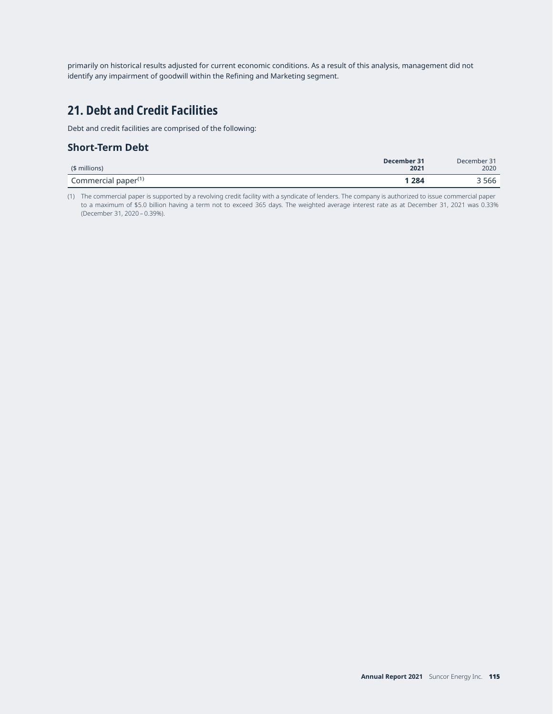primarily on historical results adjusted for current economic conditions. As a result of this analysis, management did not identify any impairment of goodwill within the Refining and Marketing segment.

## **21. Debt and Credit Facilities**

Debt and credit facilities are comprised of the following:

## **Short-Term Debt**

| (\$ millions)                   | December 31<br>2021 | December 31<br>2020 |
|---------------------------------|---------------------|---------------------|
| Commercial paper <sup>(1)</sup> | 1 284               | 3566                |

(1) The commercial paper is supported by a revolving credit facility with a syndicate of lenders. The company is authorized to issue commercial paper to a maximum of \$5.0 billion having a term not to exceed 365 days. The weighted average interest rate as at December 31, 2021 was 0.33% (December 31, 2020 – 0.39%).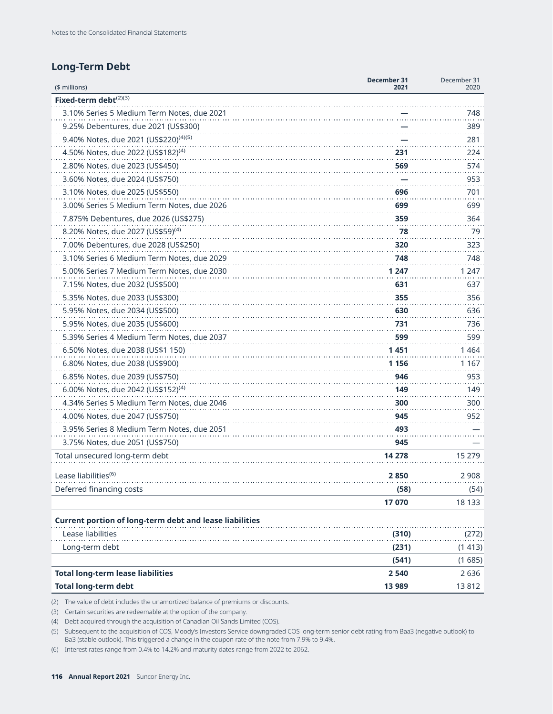## **Long-Term Debt**

| (\$ millions)                                           | December 31<br>2021 | December 31<br>2020 |
|---------------------------------------------------------|---------------------|---------------------|
| Fixed-term debt $^{(2)(3)}$                             |                     |                     |
| 3.10% Series 5 Medium Term Notes, due 2021              |                     | 748                 |
| 9.25% Debentures, due 2021 (US\$300)                    |                     | 389                 |
| 9.40% Notes, due 2021 (US\$220) <sup>(4)(5)</sup>       |                     | 281                 |
| 4.50% Notes, due 2022 (US\$182) <sup>(4)</sup>          | 231                 | 224                 |
| 2.80% Notes, due 2023 (US\$450)                         | 569                 | 574                 |
| 3.60% Notes, due 2024 (US\$750)                         |                     | 953                 |
| 3.10% Notes, due 2025 (US\$550)                         | 696                 | 701                 |
| 3.00% Series 5 Medium Term Notes, due 2026              | 699                 | 699                 |
| 7.875% Debentures, due 2026 (US\$275)                   | 359                 | 364                 |
| 8.20% Notes, due 2027 (US\$59) <sup>(4)</sup>           | 78                  | 79                  |
| 7.00% Debentures, due 2028 (US\$250)                    | 320                 | 323                 |
| 3.10% Series 6 Medium Term Notes, due 2029              | 748                 | 748                 |
| 5.00% Series 7 Medium Term Notes, due 2030              | 1 247               | 1 247               |
| 7.15% Notes, due 2032 (US\$500)                         | 631                 | 637                 |
| 5.35% Notes, due 2033 (US\$300)                         | 355                 | 356                 |
| 5.95% Notes, due 2034 (US\$500)                         | 630                 | 636                 |
| 5.95% Notes, due 2035 (US\$600)                         | 731                 | 736                 |
| 5.39% Series 4 Medium Term Notes, due 2037              | 599                 | 599                 |
| 6.50% Notes, due 2038 (US\$1 150)                       | 1 451               | 1 464               |
| 6.80% Notes, due 2038 (US\$900)                         | 1 156               | 1 167               |
| 6.85% Notes, due 2039 (US\$750)                         | 946                 | 953                 |
| 6.00% Notes, due 2042 (US\$152) <sup>(4)</sup>          | 149                 | 149                 |
| 4.34% Series 5 Medium Term Notes, due 2046              | 300                 | 300                 |
| 4.00% Notes, due 2047 (US\$750)                         | 945                 | 952                 |
| 3.95% Series 8 Medium Term Notes, due 2051              | 493                 |                     |
| 3.75% Notes, due 2051 (US\$750)                         | 945                 |                     |
| Total unsecured long-term debt                          | 14 278              | 15 279              |
| Lease liabilities <sup>(6)</sup>                        | 2850                | 2 9 0 8             |
| Deferred financing costs                                | (58)                | (54)                |
|                                                         | 17070               | 18 133              |
| Current portion of long-term debt and lease liabilities |                     |                     |
| Lease liabilities                                       | (310)               | (272)               |
| Long-term debt                                          | (231)               | (1413)              |
|                                                         | (541)               | (1685)              |
| <b>Total long-term lease liabilities</b>                | 2 5 4 0             | 2636                |
| <b>Total long-term debt</b>                             | 13 989              | 13812               |

(2) The value of debt includes the unamortized balance of premiums or discounts.

(3) Certain securities are redeemable at the option of the company.

(4) Debt acquired through the acquisition of Canadian Oil Sands Limited (COS).

(5) Subsequent to the acquisition of COS, Moody's Investors Service downgraded COS long-term senior debt rating from Baa3 (negative outlook) to Ba3 (stable outlook). This triggered a change in the coupon rate of the note from 7.9% to 9.4%.

(6) Interest rates range from 0.4% to 14.2% and maturity dates range from 2022 to 2062.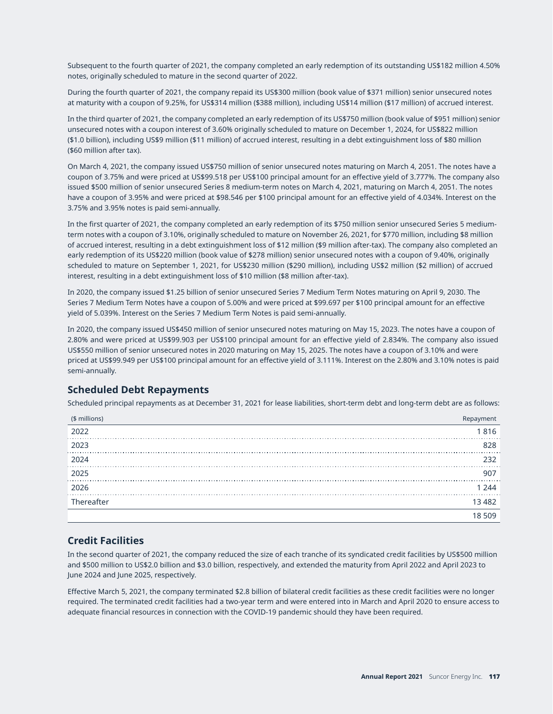Subsequent to the fourth quarter of 2021, the company completed an early redemption of its outstanding US\$182 million 4.50% notes, originally scheduled to mature in the second quarter of 2022.

During the fourth quarter of 2021, the company repaid its US\$300 million (book value of \$371 million) senior unsecured notes at maturity with a coupon of 9.25%, for US\$314 million (\$388 million), including US\$14 million (\$17 million) of accrued interest.

In the third quarter of 2021, the company completed an early redemption of its US\$750 million (book value of \$951 million) senior unsecured notes with a coupon interest of 3.60% originally scheduled to mature on December 1, 2024, for US\$822 million (\$1.0 billion), including US\$9 million (\$11 million) of accrued interest, resulting in a debt extinguishment loss of \$80 million (\$60 million after tax).

On March 4, 2021, the company issued US\$750 million of senior unsecured notes maturing on March 4, 2051. The notes have a coupon of 3.75% and were priced at US\$99.518 per US\$100 principal amount for an effective yield of 3.777%. The company also issued \$500 million of senior unsecured Series 8 medium-term notes on March 4, 2021, maturing on March 4, 2051. The notes have a coupon of 3.95% and were priced at \$98.546 per \$100 principal amount for an effective yield of 4.034%. Interest on the 3.75% and 3.95% notes is paid semi-annually.

In the first quarter of 2021, the company completed an early redemption of its \$750 million senior unsecured Series 5 mediumterm notes with a coupon of 3.10%, originally scheduled to mature on November 26, 2021, for \$770 million, including \$8 million of accrued interest, resulting in a debt extinguishment loss of \$12 million (\$9 million after-tax). The company also completed an early redemption of its US\$220 million (book value of \$278 million) senior unsecured notes with a coupon of 9.40%, originally scheduled to mature on September 1, 2021, for US\$230 million (\$290 million), including US\$2 million (\$2 million) of accrued interest, resulting in a debt extinguishment loss of \$10 million (\$8 million after-tax).

In 2020, the company issued \$1.25 billion of senior unsecured Series 7 Medium Term Notes maturing on April 9, 2030. The Series 7 Medium Term Notes have a coupon of 5.00% and were priced at \$99.697 per \$100 principal amount for an effective yield of 5.039%. Interest on the Series 7 Medium Term Notes is paid semi-annually.

In 2020, the company issued US\$450 million of senior unsecured notes maturing on May 15, 2023. The notes have a coupon of 2.80% and were priced at US\$99.903 per US\$100 principal amount for an effective yield of 2.834%. The company also issued US\$550 million of senior unsecured notes in 2020 maturing on May 15, 2025. The notes have a coupon of 3.10% and were priced at US\$99.949 per US\$100 principal amount for an effective yield of 3.111%. Interest on the 2.80% and 3.10% notes is paid semi-annually.

### **Scheduled Debt Repayments**

Scheduled principal repayments as at December 31, 2021 for lease liabilities, short-term debt and long-term debt are as follows:

| (\$ millions) | Repayment |
|---------------|-----------|
| 2022          | 1816      |
| 2023          | 828       |
| 2024          | 232       |
| 2025          | 907       |
| 2026          | 244       |
| Thereafter    | 13 482    |
|               | 509       |

### **Credit Facilities**

In the second quarter of 2021, the company reduced the size of each tranche of its syndicated credit facilities by US\$500 million and \$500 million to US\$2.0 billion and \$3.0 billion, respectively, and extended the maturity from April 2022 and April 2023 to June 2024 and June 2025, respectively.

Effective March 5, 2021, the company terminated \$2.8 billion of bilateral credit facilities as these credit facilities were no longer required. The terminated credit facilities had a two-year term and were entered into in March and April 2020 to ensure access to adequate financial resources in connection with the COVID-19 pandemic should they have been required.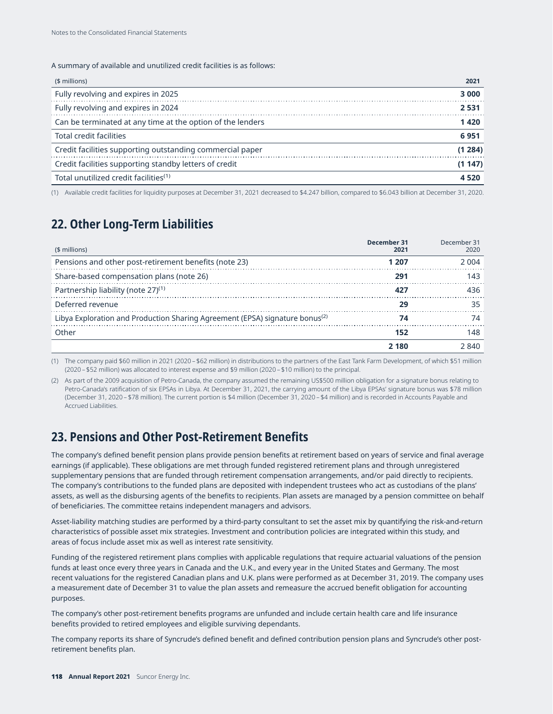#### A summary of available and unutilized credit facilities is as follows:

| (\$ millions)                                              | 2021    |
|------------------------------------------------------------|---------|
| Fully revolving and expires in 2025                        | 3 000   |
| Fully revolving and expires in 2024                        | 2.531   |
| Can be terminated at any time at the option of the lenders | 1 420   |
| <b>Total credit facilities</b>                             | 6951    |
| Credit facilities supporting outstanding commercial paper  | 1 284   |
| Credit facilities supporting standby letters of credit     | (1 147) |
| Total unutilized credit facilities <sup>(1)</sup>          |         |

(1) Available credit facilities for liquidity purposes at December 31, 2021 decreased to \$4.247 billion, compared to \$6.043 billion at December 31, 2020.

## **22. Other Long-Term Liabilities**

| (\$ millions)                                                                            | December 31<br>2021 | December 31<br>2020 |
|------------------------------------------------------------------------------------------|---------------------|---------------------|
| Pensions and other post-retirement benefits (note 23)                                    | 1 207               | 2.004               |
| Share-based compensation plans (note 26)                                                 | 291                 | 143                 |
| Partnership liability (note 27) <sup>(1)</sup>                                           | 427                 | 436                 |
| Deferred revenue                                                                         |                     |                     |
| Libya Exploration and Production Sharing Agreement (EPSA) signature bonus <sup>(2)</sup> |                     |                     |
| Other                                                                                    | 152                 | 148                 |
|                                                                                          |                     |                     |

(1) The company paid \$60 million in 2021 (2020 – \$62 million) in distributions to the partners of the East Tank Farm Development, of which \$51 million (2020 – \$52 million) was allocated to interest expense and \$9 million (2020 – \$10 million) to the principal.

(2) As part of the 2009 acquisition of Petro-Canada, the company assumed the remaining US\$500 million obligation for a signature bonus relating to Petro-Canada's ratification of six EPSAs in Libya. At December 31, 2021, the carrying amount of the Libya EPSAs' signature bonus was \$78 million (December 31, 2020 – \$78 million). The current portion is \$4 million (December 31, 2020 – \$4 million) and is recorded in Accounts Payable and Accrued Liabilities.

## **23. Pensions and Other Post-Retirement Benefits**

The company's defined benefit pension plans provide pension benefits at retirement based on years of service and final average earnings (if applicable). These obligations are met through funded registered retirement plans and through unregistered supplementary pensions that are funded through retirement compensation arrangements, and/or paid directly to recipients. The company's contributions to the funded plans are deposited with independent trustees who act as custodians of the plans' assets, as well as the disbursing agents of the benefits to recipients. Plan assets are managed by a pension committee on behalf of beneficiaries. The committee retains independent managers and advisors.

Asset-liability matching studies are performed by a third-party consultant to set the asset mix by quantifying the risk-and-return characteristics of possible asset mix strategies. Investment and contribution policies are integrated within this study, and areas of focus include asset mix as well as interest rate sensitivity.

Funding of the registered retirement plans complies with applicable regulations that require actuarial valuations of the pension funds at least once every three years in Canada and the U.K., and every year in the United States and Germany. The most recent valuations for the registered Canadian plans and U.K. plans were performed as at December 31, 2019. The company uses a measurement date of December 31 to value the plan assets and remeasure the accrued benefit obligation for accounting purposes.

The company's other post-retirement benefits programs are unfunded and include certain health care and life insurance benefits provided to retired employees and eligible surviving dependants.

The company reports its share of Syncrude's defined benefit and defined contribution pension plans and Syncrude's other postretirement benefits plan.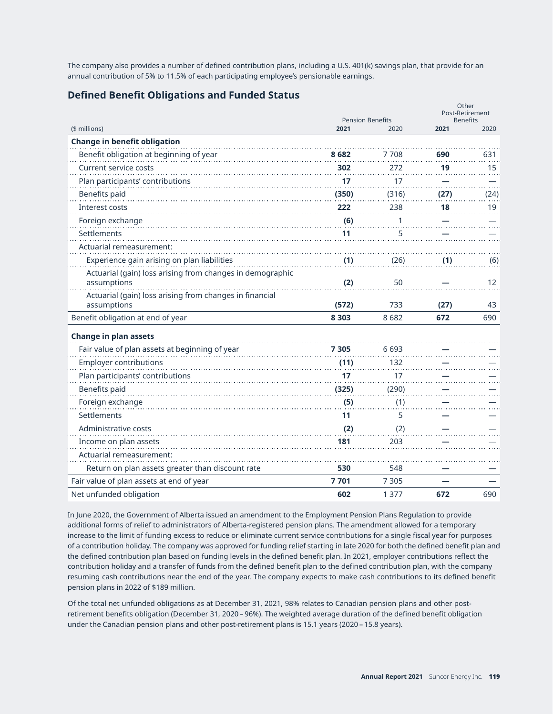The company also provides a number of defined contribution plans, including a U.S. 401(k) savings plan, that provide for an annual contribution of 5% to 11.5% of each participating employee's pensionable earnings.

## **Defined Benefit Obligations and Funded Status**

| <b>Pension Benefits</b>                                                  |         |         | Other<br>Post-Retirement<br><b>Benefits</b> |                   |
|--------------------------------------------------------------------------|---------|---------|---------------------------------------------|-------------------|
| (\$ millions)                                                            | 2021    | 2020    | 2021                                        | 2020              |
| <b>Change in benefit obligation</b>                                      |         |         |                                             |                   |
| Benefit obligation at beginning of year                                  | 8682    | 7 708   | 690                                         | 631               |
| <b>Current service costs</b>                                             | 302     | 272     | 19                                          | 15                |
| Plan participants' contributions                                         | 17      | 17      |                                             |                   |
| <b>Benefits paid</b>                                                     | (350)   | (316)   | (27)                                        | (24)              |
| Interest costs                                                           | 222     | 238     | 18                                          | 19                |
| Foreign exchange                                                         | (6)     | 1       |                                             |                   |
| Settlements                                                              | 11      | 5       |                                             |                   |
| Actuarial remeasurement:                                                 |         |         |                                             |                   |
| Experience gain arising on plan liabilities                              | (1)     | (26)    | (1)                                         | (6)               |
| Actuarial (gain) loss arising from changes in demographic<br>assumptions | (2)     | 50      |                                             | $12 \overline{ }$ |
| Actuarial (gain) loss arising from changes in financial<br>assumptions   | (572)   | 733     | (27)                                        | 43                |
| Benefit obligation at end of year                                        | 8 3 0 3 | 8682    | 672                                         | 690               |
| <b>Change in plan assets</b>                                             |         |         |                                             |                   |
| Fair value of plan assets at beginning of year                           | 7 305   | 6 693   |                                             |                   |
| <b>Employer contributions</b>                                            | (11)    | 132     |                                             |                   |
| Plan participants' contributions                                         | 17      | 17      |                                             |                   |
| Benefits paid                                                            | (325)   | (290)   |                                             |                   |
| Foreign exchange                                                         | (5)     | (1)     |                                             |                   |
| Settlements                                                              | 11      | 5       |                                             |                   |
| Administrative costs                                                     | (2)     | (2)     |                                             |                   |
| Income on plan assets                                                    | 181     | 203     |                                             |                   |
| Actuarial remeasurement:                                                 |         |         |                                             |                   |
| Return on plan assets greater than discount rate                         | 530     | 548     |                                             |                   |
| Fair value of plan assets at end of year                                 | 7701    | 7 3 0 5 |                                             |                   |
| Net unfunded obligation                                                  | 602     | 1 3 7 7 | 672                                         | 690               |

In June 2020, the Government of Alberta issued an amendment to the Employment Pension Plans Regulation to provide additional forms of relief to administrators of Alberta-registered pension plans. The amendment allowed for a temporary increase to the limit of funding excess to reduce or eliminate current service contributions for a single fiscal year for purposes of a contribution holiday. The company was approved for funding relief starting in late 2020 for both the defined benefit plan and the defined contribution plan based on funding levels in the defined benefit plan. In 2021, employer contributions reflect the contribution holiday and a transfer of funds from the defined benefit plan to the defined contribution plan, with the company resuming cash contributions near the end of the year. The company expects to make cash contributions to its defined benefit pension plans in 2022 of \$189 million.

Of the total net unfunded obligations as at December 31, 2021, 98% relates to Canadian pension plans and other postretirement benefits obligation (December 31, 2020 – 96%). The weighted average duration of the defined benefit obligation under the Canadian pension plans and other post-retirement plans is 15.1 years (2020 – 15.8 years).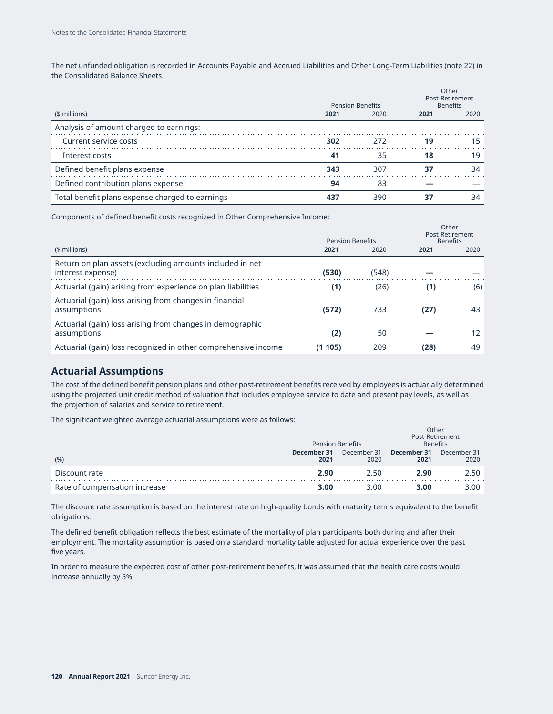The net unfunded obligation is recorded in Accounts Payable and Accrued Liabilities and Other Long-Term Liabilities (note 22) in the Consolidated Balance Sheets.

|                                                 |      | <b>Pension Benefits</b> | Other<br>Post-Retirement | <b>Benefits</b> |
|-------------------------------------------------|------|-------------------------|--------------------------|-----------------|
| (\$ millions)                                   | 2021 | 2020                    | 2021                     | 2020            |
| Analysis of amount charged to earnings:         |      |                         |                          |                 |
| Current service costs                           | 302  | 272                     | 19                       | 15              |
| Interest costs                                  | 41   | 35                      | 18                       | 19              |
| Defined benefit plans expense                   | 343  | 307                     | 37                       | 34              |
| Defined contribution plans expense              | 94   | 83                      |                          |                 |
| Total benefit plans expense charged to earnings | 437  | 390                     |                          |                 |

Components of defined benefit costs recognized in Other Comprehensive Income:

|                                                                               | <b>Pension Benefits</b> |       | Other<br>Post-Retirement<br><b>Benefits</b> |      |
|-------------------------------------------------------------------------------|-------------------------|-------|---------------------------------------------|------|
| (\$ millions)                                                                 | 2021                    | 2020  | 2021                                        | 2020 |
| Return on plan assets (excluding amounts included in net<br>interest expense) | (530)                   | (548) |                                             |      |
| Actuarial (gain) arising from experience on plan liabilities                  | (1)                     | (26)  | (1)                                         | (6)  |
| Actuarial (gain) loss arising from changes in financial<br>assumptions        | (572)                   | 733   | (27)                                        | 43   |
| Actuarial (gain) loss arising from changes in demographic<br>assumptions      | (2)                     | 50    |                                             |      |
| Actuarial (gain) loss recognized in other comprehensive income                | (1 105)                 | 209   | (28)                                        | 49   |

## **Actuarial Assumptions**

The cost of the defined benefit pension plans and other post-retirement benefits received by employees is actuarially determined using the projected unit credit method of valuation that includes employee service to date and present pay levels, as well as the projection of salaries and service to retirement.

The significant weighted average actuarial assumptions were as follows:

|                               | <b>Pension Benefits</b> |                     | Other<br>Post-Retirement<br><b>Benefits</b> |                     |
|-------------------------------|-------------------------|---------------------|---------------------------------------------|---------------------|
| (% )                          | December 31<br>2021     | December 31<br>2020 | December 31<br>2021                         | December 31<br>2020 |
| Discount rate                 | 2.90                    | 2.50                | 2.90                                        | 2.50                |
| Rate of compensation increase | 3.00                    | 3.00                | 3.00                                        | 3.00                |

The discount rate assumption is based on the interest rate on high-quality bonds with maturity terms equivalent to the benefit obligations.

The defined benefit obligation reflects the best estimate of the mortality of plan participants both during and after their employment. The mortality assumption is based on a standard mortality table adjusted for actual experience over the past five years.

In order to measure the expected cost of other post-retirement benefits, it was assumed that the health care costs would increase annually by 5%.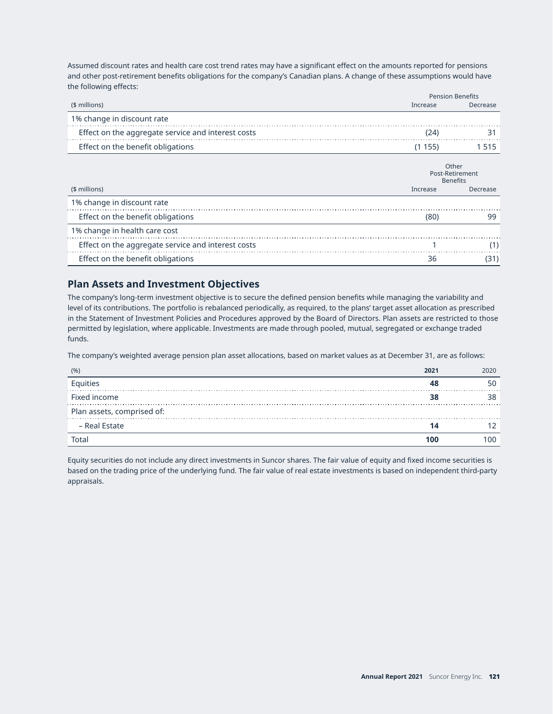Assumed discount rates and health care cost trend rates may have a significant effect on the amounts reported for pensions and other post-retirement benefits obligations for the company's Canadian plans. A change of these assumptions would have the following effects:

|                                                    |          | <b>Pension Benefits</b> |
|----------------------------------------------------|----------|-------------------------|
| (\$ millions)                                      | Increase | Decrease                |
| 1% change in discount rate                         |          |                         |
| Effect on the aggregate service and interest costs | 24       |                         |
| Effect on the benefit obligations                  | (1 155)  | 515                     |
|                                                    |          |                         |

|                                                    | Other<br>Post-Retirement<br><b>Benefits</b> |          |
|----------------------------------------------------|---------------------------------------------|----------|
| $$$ millions)                                      | Increase                                    | Decrease |
| 1% change in discount rate                         |                                             |          |
| Effect on the benefit obligations                  | 80                                          |          |
| 1% change in health care cost                      |                                             |          |
| Effect on the aggregate service and interest costs |                                             |          |
| Effect on the benefit obligations                  | 36                                          |          |

## **Plan Assets and Investment Objectives**

The company's long-term investment objective is to secure the defined pension benefits while managing the variability and level of its contributions. The portfolio is rebalanced periodically, as required, to the plans' target asset allocation as prescribed in the Statement of Investment Policies and Procedures approved by the Board of Directors. Plan assets are restricted to those permitted by legislation, where applicable. Investments are made through pooled, mutual, segregated or exchange traded funds.

The company's weighted average pension plan asset allocations, based on market values as at December 31, are as follows:

| (%)                        | 2021 | 2020 |
|----------------------------|------|------|
| Equities                   | 48   |      |
| Fixed income               | 38   |      |
| Plan assets, comprised of: |      |      |
| – Real Estate              |      |      |
| Total                      | 100  |      |

Equity securities do not include any direct investments in Suncor shares. The fair value of equity and fixed income securities is based on the trading price of the underlying fund. The fair value of real estate investments is based on independent third-party appraisals.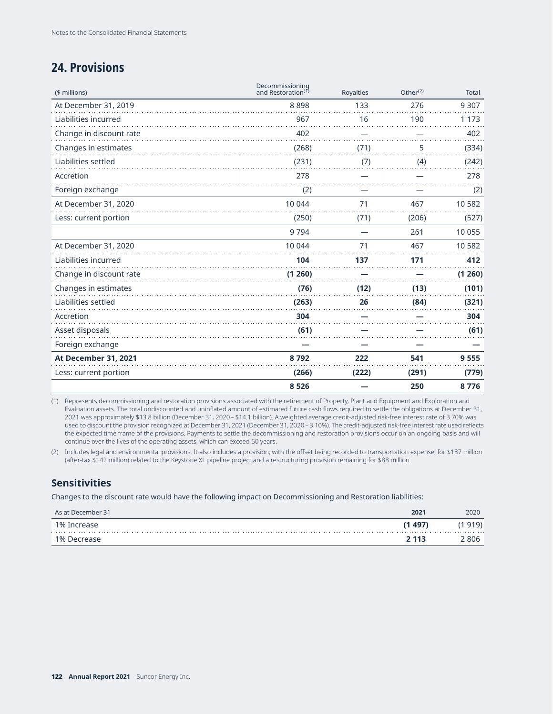## **24. Provisions**

| (\$ millions)           | Decommissioning<br>and Restoration <sup>(1)</sup> | <b>Royalties</b> | Other $(2)$ | <b>Total</b> |
|-------------------------|---------------------------------------------------|------------------|-------------|--------------|
| At December 31, 2019    | 8898                                              | 133              | 276         | 9 3 0 7      |
| Liabilities incurred    | 967                                               | 16               | 190         | 1 1 7 3      |
| Change in discount rate | 402                                               |                  |             | 402          |
| Changes in estimates    | (268)                                             | (71)             | 5           | (334)        |
| Liabilities settled     | (231)                                             | (7)              | (4)         | (242)        |
| Accretion               | 278                                               |                  |             | 278          |
| Foreign exchange        | (2)                                               |                  |             | (2)          |
| At December 31, 2020    | 10 044                                            | 71               | 467         | 10582        |
| Less: current portion   | (250)                                             | (71)             | (206)       | (527)        |
|                         | 9 7 9 4                                           |                  | 261         | 10 055       |
| At December 31, 2020    | 10 044                                            | 71               | 467         | 10582        |
| Liabilities incurred    | 104                                               | 137              | 171         | 412          |
| Change in discount rate | (1260)                                            |                  |             | (1260)       |
| Changes in estimates    | (76)                                              | (12)             | (13)        | (101)        |
| Liabilities settled     | (263)                                             | 26               | (84)        | (321)        |
| Accretion               | 304                                               |                  |             | 304          |
| Asset disposals         | (61)                                              |                  |             | (61)         |
| Foreign exchange        |                                                   |                  |             |              |
| At December 31, 2021    | 8792                                              | 222              | 541         | 9555         |
| Less: current portion   | (266)                                             | (222)            | (291)       | (779)        |
|                         | 8 5 2 6                                           |                  | 250         | 8776         |

(1) Represents decommissioning and restoration provisions associated with the retirement of Property, Plant and Equipment and Exploration and Evaluation assets. The total undiscounted and uninflated amount of estimated future cash flows required to settle the obligations at December 31, 2021 was approximately \$13.8 billion (December 31, 2020 – \$14.1 billion). A weighted average credit-adjusted risk-free interest rate of 3.70% was used to discount the provision recognized at December 31, 2021 (December 31, 2020 – 3.10%). The credit-adjusted risk-free interest rate used reflects the expected time frame of the provisions. Payments to settle the decommissioning and restoration provisions occur on an ongoing basis and will continue over the lives of the operating assets, which can exceed 50 years.

(2) Includes legal and environmental provisions. It also includes a provision, with the offset being recorded to transportation expense, for \$187 million (after-tax \$142 million) related to the Keystone XL pipeline project and a restructuring provision remaining for \$88 million.

## **Sensitivities**

Changes to the discount rate would have the following impact on Decommissioning and Restoration liabilities:

| As at December 31 | 2021   | 2020  |
|-------------------|--------|-------|
| 1% Increase       | (1 497 | 919)  |
| 1% Decrease       | つ 113  | 2 806 |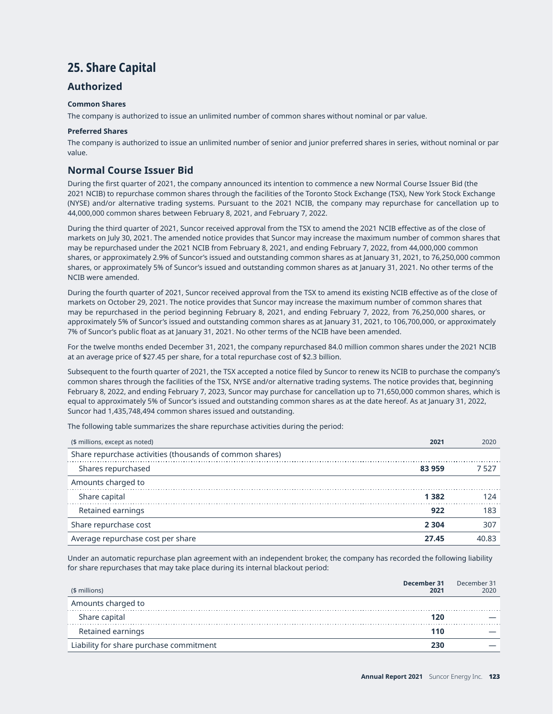# **25. Share Capital**

## **Authorized**

#### **Common Shares**

The company is authorized to issue an unlimited number of common shares without nominal or par value.

#### **Preferred Shares**

The company is authorized to issue an unlimited number of senior and junior preferred shares in series, without nominal or par value.

## **Normal Course Issuer Bid**

During the first quarter of 2021, the company announced its intention to commence a new Normal Course Issuer Bid (the 2021 NCIB) to repurchase common shares through the facilities of the Toronto Stock Exchange (TSX), New York Stock Exchange (NYSE) and/or alternative trading systems. Pursuant to the 2021 NCIB, the company may repurchase for cancellation up to 44,000,000 common shares between February 8, 2021, and February 7, 2022.

During the third quarter of 2021, Suncor received approval from the TSX to amend the 2021 NCIB effective as of the close of markets on July 30, 2021. The amended notice provides that Suncor may increase the maximum number of common shares that may be repurchased under the 2021 NCIB from February 8, 2021, and ending February 7, 2022, from 44,000,000 common shares, or approximately 2.9% of Suncor's issued and outstanding common shares as at January 31, 2021, to 76,250,000 common shares, or approximately 5% of Suncor's issued and outstanding common shares as at January 31, 2021. No other terms of the NCIB were amended.

During the fourth quarter of 2021, Suncor received approval from the TSX to amend its existing NCIB effective as of the close of markets on October 29, 2021. The notice provides that Suncor may increase the maximum number of common shares that may be repurchased in the period beginning February 8, 2021, and ending February 7, 2022, from 76,250,000 shares, or approximately 5% of Suncor's issued and outstanding common shares as at January 31, 2021, to 106,700,000, or approximately 7% of Suncor's public float as at January 31, 2021. No other terms of the NCIB have been amended.

For the twelve months ended December 31, 2021, the company repurchased 84.0 million common shares under the 2021 NCIB at an average price of \$27.45 per share, for a total repurchase cost of \$2.3 billion.

Subsequent to the fourth quarter of 2021, the TSX accepted a notice filed by Suncor to renew its NCIB to purchase the company's common shares through the facilities of the TSX, NYSE and/or alternative trading systems. The notice provides that, beginning February 8, 2022, and ending February 7, 2023, Suncor may purchase for cancellation up to 71,650,000 common shares, which is equal to approximately 5% of Suncor's issued and outstanding common shares as at the date hereof. As at January 31, 2022, Suncor had 1,435,748,494 common shares issued and outstanding.

The following table summarizes the share repurchase activities during the period:

| (\$ millions, except as noted)                           | 2021   | 2020  |
|----------------------------------------------------------|--------|-------|
| Share repurchase activities (thousands of common shares) |        |       |
| Shares repurchased                                       | 83 959 | 7 527 |
| Amounts charged to                                       |        |       |
| Share capital                                            | 1 382  | 124   |
| Retained earnings                                        | 922    | 183   |
| Share repurchase cost                                    | 2.304  | 307   |
| Average repurchase cost per share                        | 27.45  | 40.83 |

Under an automatic repurchase plan agreement with an independent broker, the company has recorded the following liability for share repurchases that may take place during its internal blackout period:

| (\$ millions)                           | December 31<br>2021 | December 31<br>2020 |
|-----------------------------------------|---------------------|---------------------|
| Amounts charged to                      |                     |                     |
| Share capital                           | 120                 |                     |
| Retained earnings                       | 110                 |                     |
| Liability for share purchase commitment | 230                 |                     |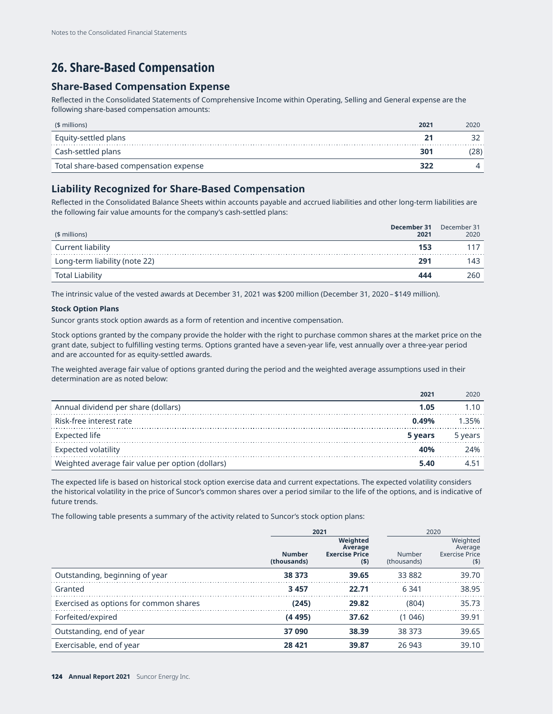# **26. Share-Based Compensation**

### **Share-Based Compensation Expense**

Reflected in the Consolidated Statements of Comprehensive Income within Operating, Selling and General expense are the following share-based compensation amounts:

| $$$ millions)                          | 2021 | 2020 |
|----------------------------------------|------|------|
| Equity-settled plans                   |      |      |
| Cash-settled plans                     | 301  | 28)  |
| Total share-based compensation expense | 322  |      |

## **Liability Recognized for Share-Based Compensation**

Reflected in the Consolidated Balance Sheets within accounts payable and accrued liabilities and other long-term liabilities are the following fair value amounts for the company's cash-settled plans:

| (\$ millions)                 | December 31<br>2021 | December 31<br>2020 |
|-------------------------------|---------------------|---------------------|
| Current liability             | 153                 |                     |
| Long-term liability (note 22) | 291                 | 143                 |
| <b>Total Liability</b>        | 444                 | 260                 |

The intrinsic value of the vested awards at December 31, 2021 was \$200 million (December 31, 2020 – \$149 million).

#### **Stock Option Plans**

Suncor grants stock option awards as a form of retention and incentive compensation.

Stock options granted by the company provide the holder with the right to purchase common shares at the market price on the grant date, subject to fulfilling vesting terms. Options granted have a seven-year life, vest annually over a three-year period and are accounted for as equity-settled awards.

The weighted average fair value of options granted during the period and the weighted average assumptions used in their determination are as noted below:

| Annual dividend per share (dollars)              | 1.05    |         |
|--------------------------------------------------|---------|---------|
| Risk-free interest rate                          | 0.49%   | 35%     |
| <b>Expected life</b>                             | 5 years | 5 years |
| <b>Expected volatility</b>                       | 40%     |         |
| Weighted average fair value per option (dollars) | 5 40    |         |

The expected life is based on historical stock option exercise data and current expectations. The expected volatility considers the historical volatility in the price of Suncor's common shares over a period similar to the life of the options, and is indicative of future trends.

The following table presents a summary of the activity related to Suncor's stock option plans:

|                                        | 2021                         |                                                     |                       | 2020                                                    |
|----------------------------------------|------------------------------|-----------------------------------------------------|-----------------------|---------------------------------------------------------|
|                                        | <b>Number</b><br>(thousands) | Weighted<br>Average<br><b>Exercise Price</b><br>(5) | Number<br>(thousands) | Weighted<br>Average<br><b>Exercise Price</b><br>$($ \$) |
| Outstanding, beginning of year         | 38 373                       | 39.65                                               | 33 882                | 39.70                                                   |
| Granted                                | 3457                         | 22.71                                               | 6 3 4 1               | 38.95                                                   |
| Exercised as options for common shares | (245)                        | 29.82                                               | (804)                 | 35.73                                                   |
| Forfeited/expired                      | (4495)                       | 37.62                                               | (1046)                | 39.91                                                   |
| Outstanding, end of year               | 37 090                       | 38.39                                               | 38 373                | 39.65                                                   |
| Exercisable, end of year               | 28 4 21                      | 39.87                                               | 26 943                | 39.10                                                   |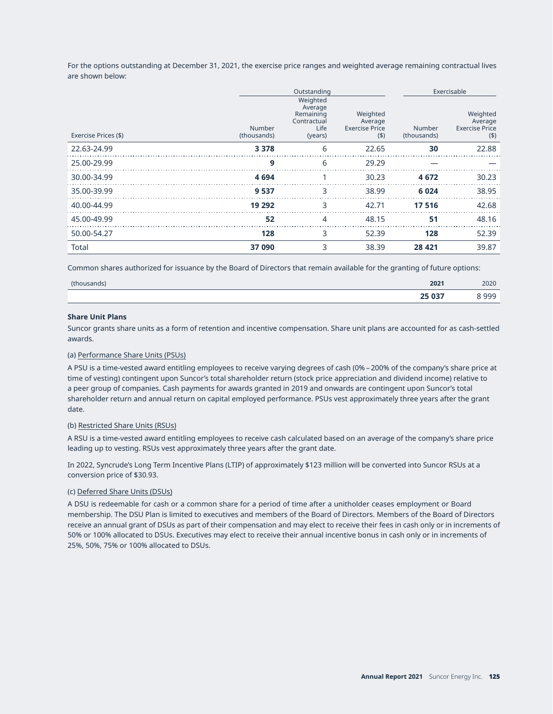For the options outstanding at December 31, 2021, the exercise price ranges and weighted average remaining contractual lives are shown below:

|                      | Outstanding                  |                                                                    |                                                     | Exercisable                  |                                                         |
|----------------------|------------------------------|--------------------------------------------------------------------|-----------------------------------------------------|------------------------------|---------------------------------------------------------|
| Exercise Prices (\$) | <b>Number</b><br>(thousands) | Weighted<br>Average<br>Remaining<br>Contractual<br>Life<br>(years) | Weighted<br>Average<br><b>Exercise Price</b><br>(5) | <b>Number</b><br>(thousands) | Weighted<br>Average<br><b>Exercise Price</b><br>$($ \$) |
| 22.63-24.99          | 3 3 7 8                      | 6                                                                  | 22.65                                               | 30                           | 22.88                                                   |
| 25.00-29.99          | 9                            | 6                                                                  | 29.29                                               |                              |                                                         |
| 30.00-34.99          | 4 6 94                       |                                                                    | 30.23                                               | 4672                         | 30.23                                                   |
| 35.00-39.99          | 9 5 3 7                      | 3                                                                  | 38.99                                               | 6024                         | 38.95                                                   |
| 40.00-44.99          | 19 292                       | 3                                                                  | 42.71                                               | 17516                        | 42.68                                                   |
| 45.00-49.99          | 52                           | 4                                                                  | 48.15                                               | 51                           | 48.16                                                   |
| 50.00-54.27          | 128                          | 3                                                                  | 52.39                                               | 128                          | 52.39                                                   |
| <b>Total</b>         | 37 090                       | 3                                                                  | 38.39                                               | 28 4 21                      | 39.87                                                   |

Common shares authorized for issuance by the Board of Directors that remain available for the granting of future options:

| (thousands) | 2021                      | 2020 |
|-------------|---------------------------|------|
|             | דרח הר<br>. .<br>$-0.001$ | aac  |

#### **Share Unit Plans**

Suncor grants share units as a form of retention and incentive compensation. Share unit plans are accounted for as cash-settled awards.

#### (a) Performance Share Units (PSUs)

A PSU is a time-vested award entitling employees to receive varying degrees of cash (0% – 200% of the company's share price at time of vesting) contingent upon Suncor's total shareholder return (stock price appreciation and dividend income) relative to a peer group of companies. Cash payments for awards granted in 2019 and onwards are contingent upon Suncor's total shareholder return and annual return on capital employed performance. PSUs vest approximately three years after the grant date.

#### (b) Restricted Share Units (RSUs)

A RSU is a time-vested award entitling employees to receive cash calculated based on an average of the company's share price leading up to vesting. RSUs vest approximately three years after the grant date.

In 2022, Syncrude's Long Term Incentive Plans (LTIP) of approximately \$123 million will be converted into Suncor RSUs at a conversion price of \$30.93.

#### (c) Deferred Share Units (DSUs)

A DSU is redeemable for cash or a common share for a period of time after a unitholder ceases employment or Board membership. The DSU Plan is limited to executives and members of the Board of Directors. Members of the Board of Directors receive an annual grant of DSUs as part of their compensation and may elect to receive their fees in cash only or in increments of 50% or 100% allocated to DSUs. Executives may elect to receive their annual incentive bonus in cash only or in increments of 25%, 50%, 75% or 100% allocated to DSUs.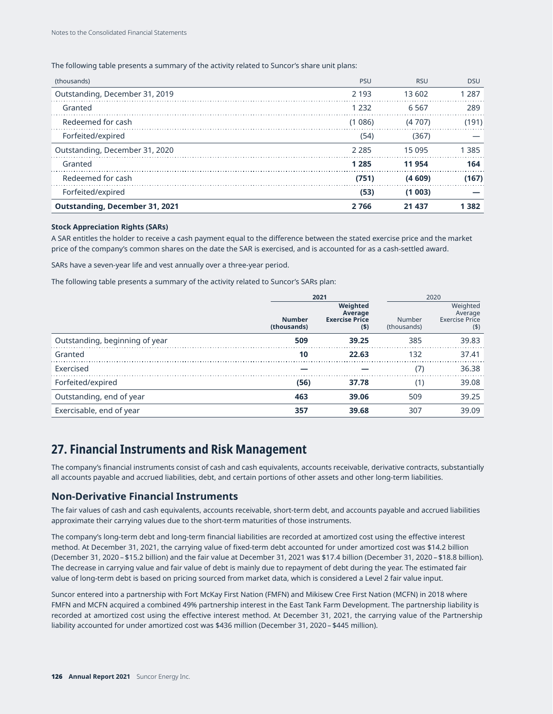The following table presents a summary of the activity related to Suncor's share unit plans:

| (thousands)                           | <b>PSU</b> | <b>RSU</b> | <b>DSU</b> |
|---------------------------------------|------------|------------|------------|
| Outstanding, December 31, 2019        | 2 1 9 3    | 13 602     | 1 2 8 7    |
| Granted                               | 1 2 3 2    | 6.567      | 289        |
| Redeemed for cash                     | (1086)     | (4707)     | (191)      |
| Forfeited/expired                     | (54)       | (367)      |            |
| Outstanding, December 31, 2020        | 2 2 8 5    | 15 095     | 1 385      |
| Granted                               | 1 2 8 5    | 11 954     | 164        |
| Redeemed for cash                     | (751)      | (4609)     | (167)      |
| Forfeited/expired                     | (53)       | (1003)     |            |
| <b>Outstanding, December 31, 2021</b> | 2766       | 21 437     | 1 3 8 2    |

#### **Stock Appreciation Rights (SARs)**

A SAR entitles the holder to receive a cash payment equal to the difference between the stated exercise price and the market price of the company's common shares on the date the SAR is exercised, and is accounted for as a cash-settled award.

SARs have a seven-year life and vest annually over a three-year period.

The following table presents a summary of the activity related to Suncor's SARs plan:

|                                | 2021                         |                                                     | 2020                  |                                                         |
|--------------------------------|------------------------------|-----------------------------------------------------|-----------------------|---------------------------------------------------------|
|                                | <b>Number</b><br>(thousands) | Weighted<br>Average<br><b>Exercise Price</b><br>(5) | Number<br>(thousands) | Weighted<br>Average<br><b>Exercise Price</b><br>$($ \$) |
| Outstanding, beginning of year | 509                          | 39.25                                               | 385                   | 39.83                                                   |
| Granted                        | 10                           | 22.63                                               | 132                   | 37.41                                                   |
| Exercised                      |                              |                                                     | (7)                   | 36.38                                                   |
| Forfeited/expired              | (56)                         | 37.78                                               | (1)                   | 39.08                                                   |
| Outstanding, end of year       | 463                          | 39.06                                               | 509                   | 39.25                                                   |
| Exercisable, end of year       | 357                          | 39.68                                               | 307                   | 39.09                                                   |

## **27. Financial Instruments and Risk Management**

The company's financial instruments consist of cash and cash equivalents, accounts receivable, derivative contracts, substantially all accounts payable and accrued liabilities, debt, and certain portions of other assets and other long-term liabilities.

### **Non-Derivative Financial Instruments**

The fair values of cash and cash equivalents, accounts receivable, short-term debt, and accounts payable and accrued liabilities approximate their carrying values due to the short-term maturities of those instruments.

The company's long-term debt and long-term financial liabilities are recorded at amortized cost using the effective interest method. At December 31, 2021, the carrying value of fixed-term debt accounted for under amortized cost was \$14.2 billion (December 31, 2020 – \$15.2 billion) and the fair value at December 31, 2021 was \$17.4 billion (December 31, 2020 – \$18.8 billion). The decrease in carrying value and fair value of debt is mainly due to repayment of debt during the year. The estimated fair value of long-term debt is based on pricing sourced from market data, which is considered a Level 2 fair value input.

Suncor entered into a partnership with Fort McKay First Nation (FMFN) and Mikisew Cree First Nation (MCFN) in 2018 where FMFN and MCFN acquired a combined 49% partnership interest in the East Tank Farm Development. The partnership liability is recorded at amortized cost using the effective interest method. At December 31, 2021, the carrying value of the Partnership liability accounted for under amortized cost was \$436 million (December 31, 2020 – \$445 million).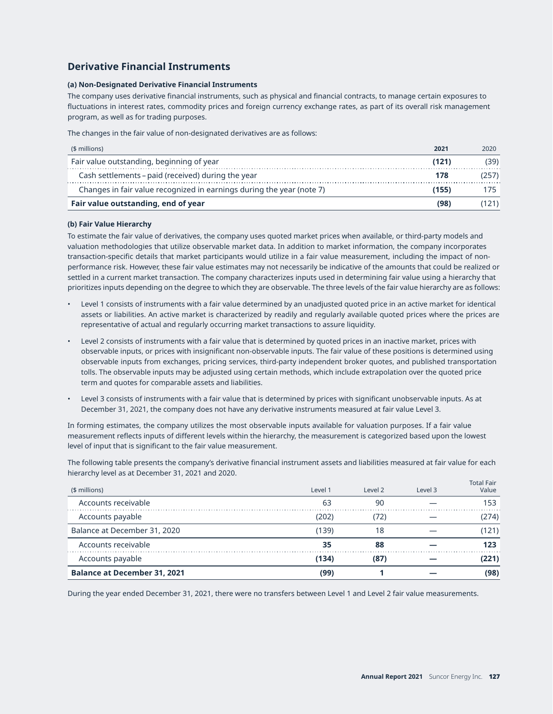## **Derivative Financial Instruments**

#### **(a) Non-Designated Derivative Financial Instruments**

The company uses derivative financial instruments, such as physical and financial contracts, to manage certain exposures to fluctuations in interest rates, commodity prices and foreign currency exchange rates, as part of its overall risk management program, as well as for trading purposes.

The changes in the fair value of non-designated derivatives are as follows:

| (\$ millions)                                                         | 2021  | 2020 |
|-----------------------------------------------------------------------|-------|------|
| Fair value outstanding, beginning of year                             | (121) | 39)  |
| Cash settlements - paid (received) during the year                    | 178   |      |
| Changes in fair value recognized in earnings during the year (note 7) | (155) |      |
| Fair value outstanding, end of year                                   | (98   |      |

#### **(b) Fair Value Hierarchy**

To estimate the fair value of derivatives, the company uses quoted market prices when available, or third-party models and valuation methodologies that utilize observable market data. In addition to market information, the company incorporates transaction-specific details that market participants would utilize in a fair value measurement, including the impact of nonperformance risk. However, these fair value estimates may not necessarily be indicative of the amounts that could be realized or settled in a current market transaction. The company characterizes inputs used in determining fair value using a hierarchy that prioritizes inputs depending on the degree to which they are observable. The three levels of the fair value hierarchy are as follows:

- Level 1 consists of instruments with a fair value determined by an unadjusted quoted price in an active market for identical assets or liabilities. An active market is characterized by readily and regularly available quoted prices where the prices are representative of actual and regularly occurring market transactions to assure liquidity.
- Level 2 consists of instruments with a fair value that is determined by quoted prices in an inactive market, prices with observable inputs, or prices with insignificant non-observable inputs. The fair value of these positions is determined using observable inputs from exchanges, pricing services, third-party independent broker quotes, and published transportation tolls. The observable inputs may be adjusted using certain methods, which include extrapolation over the quoted price term and quotes for comparable assets and liabilities.
- Level 3 consists of instruments with a fair value that is determined by prices with significant unobservable inputs. As at December 31, 2021, the company does not have any derivative instruments measured at fair value Level 3.

In forming estimates, the company utilizes the most observable inputs available for valuation purposes. If a fair value measurement reflects inputs of different levels within the hierarchy, the measurement is categorized based upon the lowest level of input that is significant to the fair value measurement.

The following table presents the company's derivative financial instrument assets and liabilities measured at fair value for each hierarchy level as at December 31, 2021 and 2020.

| $$$ millions)                       | Level 1 | Level 2 | Level 3 | <b>Total Fair</b><br>Value |
|-------------------------------------|---------|---------|---------|----------------------------|
| Accounts receivable                 | 63      | 90      |         | 153                        |
| Accounts payable                    | (202)   | [72]    |         | 274)                       |
| Balance at December 31, 2020        | (139)   | 18      |         | 121                        |
| Accounts receivable                 | 35      | 88      |         | 123                        |
| Accounts payable                    | (134)   | (87)    |         | .221'                      |
| <b>Balance at December 31, 2021</b> | (99)    |         |         | (98)                       |

During the year ended December 31, 2021, there were no transfers between Level 1 and Level 2 fair value measurements.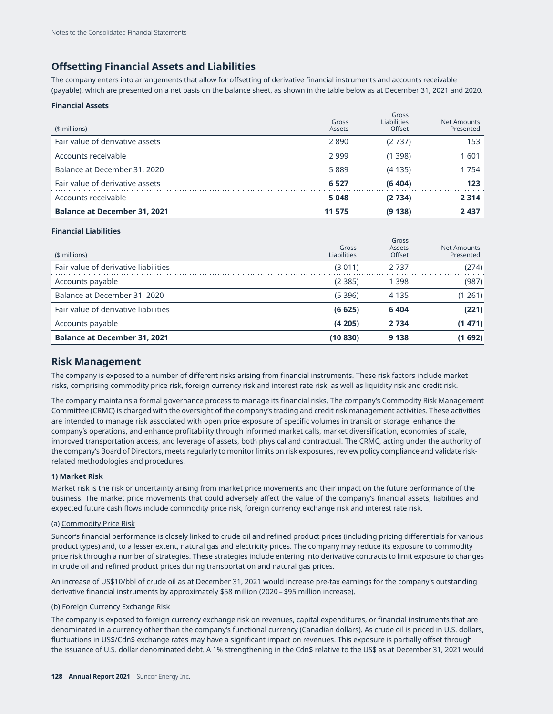## **Offsetting Financial Assets and Liabilities**

The company enters into arrangements that allow for offsetting of derivative financial instruments and accounts receivable (payable), which are presented on a net basis on the balance sheet, as shown in the table below as at December 31, 2021 and 2020.

#### **Financial Assets**

| $$$ millions)                       | Gross<br>Assets | Gross<br>Liabilities<br>Offset | Net Amounts<br>Presented |
|-------------------------------------|-----------------|--------------------------------|--------------------------|
| Fair value of derivative assets     | 2890            | (2737)                         | 153                      |
| Accounts receivable                 | 2999            | (1398)                         | 1 601                    |
| Balance at December 31, 2020        | 5889            | (4135)                         | 1 754                    |
| Fair value of derivative assets     | 6 5 2 7         | (6404)                         | 123                      |
| Accounts receivable                 | 5 0 4 8         | (2734)                         | 2 3 1 4                  |
| <b>Balance at December 31, 2021</b> | 11 575          | (9 138)                        | 2437                     |

#### **Financial Liabilities**

| $$$ millions)                        | Gross<br>Liabilities | Gross<br>Assets<br>Offset | <b>Net Amounts</b><br>Presented |
|--------------------------------------|----------------------|---------------------------|---------------------------------|
| Fair value of derivative liabilities | (3011)               | 2737                      | (274)                           |
| Accounts payable                     | (2385)               | 1 3 9 8                   | (987)                           |
| Balance at December 31, 2020         | (5396)               | 4 1 3 5                   | (1261)                          |
| Fair value of derivative liabilities | (6625)               | 6404                      | (221)                           |
| Accounts payable                     | (4205)               | 2 7 3 4                   | (1471)                          |
| <b>Balance at December 31, 2021</b>  | (10 830)             | 9 1 3 8                   | (1692)                          |

### **Risk Management**

The company is exposed to a number of different risks arising from financial instruments. These risk factors include market risks, comprising commodity price risk, foreign currency risk and interest rate risk, as well as liquidity risk and credit risk.

The company maintains a formal governance process to manage its financial risks. The company's Commodity Risk Management Committee (CRMC) is charged with the oversight of the company's trading and credit risk management activities. These activities are intended to manage risk associated with open price exposure of specific volumes in transit or storage, enhance the company's operations, and enhance profitability through informed market calls, market diversification, economies of scale, improved transportation access, and leverage of assets, both physical and contractual. The CRMC, acting under the authority of the company's Board of Directors, meets regularly to monitor limits on risk exposures, review policy compliance and validate riskrelated methodologies and procedures.

#### **1) Market Risk**

Market risk is the risk or uncertainty arising from market price movements and their impact on the future performance of the business. The market price movements that could adversely affect the value of the company's financial assets, liabilities and expected future cash flows include commodity price risk, foreign currency exchange risk and interest rate risk.

#### (a) Commodity Price Risk

Suncor's financial performance is closely linked to crude oil and refined product prices (including pricing differentials for various product types) and, to a lesser extent, natural gas and electricity prices. The company may reduce its exposure to commodity price risk through a number of strategies. These strategies include entering into derivative contracts to limit exposure to changes in crude oil and refined product prices during transportation and natural gas prices.

An increase of US\$10/bbl of crude oil as at December 31, 2021 would increase pre-tax earnings for the company's outstanding derivative financial instruments by approximately \$58 million (2020 – \$95 million increase).

#### (b) Foreign Currency Exchange Risk

The company is exposed to foreign currency exchange risk on revenues, capital expenditures, or financial instruments that are denominated in a currency other than the company's functional currency (Canadian dollars). As crude oil is priced in U.S. dollars, fluctuations in US\$/Cdn\$ exchange rates may have a significant impact on revenues. This exposure is partially offset through the issuance of U.S. dollar denominated debt. A 1% strengthening in the Cdn\$ relative to the US\$ as at December 31, 2021 would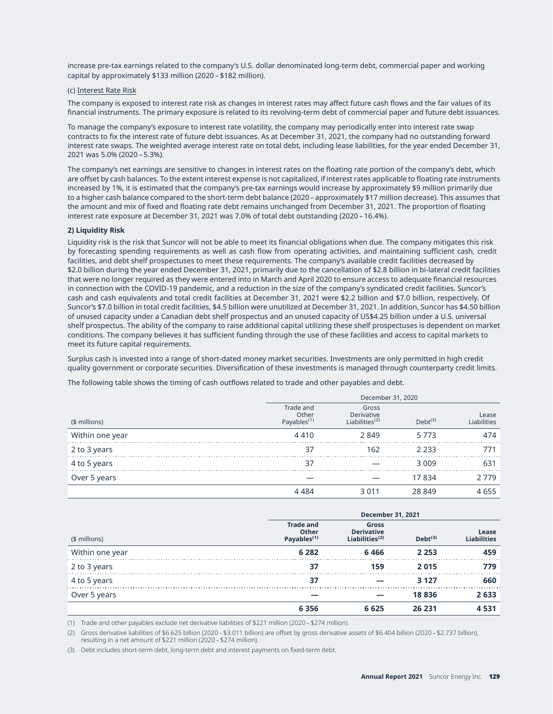increase pre-tax earnings related to the company's U.S. dollar denominated long-term debt, commercial paper and working capital by approximately \$133 million (2020 – \$182 million).

#### (c) Interest Rate Risk

The company is exposed to interest rate risk as changes in interest rates may affect future cash flows and the fair values of its financial instruments. The primary exposure is related to its revolving-term debt of commercial paper and future debt issuances.

To manage the company's exposure to interest rate volatility, the company may periodically enter into interest rate swap contracts to fix the interest rate of future debt issuances. As at December 31, 2021, the company had no outstanding forward interest rate swaps. The weighted average interest rate on total debt, including lease liabilities, for the year ended December 31, 2021 was 5.0% (2020 – 5.3%).

The company's net earnings are sensitive to changes in interest rates on the floating rate portion of the company's debt, which are offset by cash balances. To the extent interest expense is not capitalized, if interest rates applicable to floating rate instruments increased by 1%, it is estimated that the company's pre-tax earnings would increase by approximately \$9 million primarily due to a higher cash balance compared to the short-term debt balance (2020 – approximately \$17 million decrease). This assumes that the amount and mix of fixed and floating rate debt remains unchanged from December 31, 2021. The proportion of floating interest rate exposure at December 31, 2021 was 7.0% of total debt outstanding (2020 – 16.4%).

#### **2) Liquidity Risk**

Liquidity risk is the risk that Suncor will not be able to meet its financial obligations when due. The company mitigates this risk by forecasting spending requirements as well as cash flow from operating activities, and maintaining sufficient cash, credit facilities, and debt shelf prospectuses to meet these requirements. The company's available credit facilities decreased by \$2.0 billion during the year ended December 31, 2021, primarily due to the cancellation of \$2.8 billion in bi-lateral credit facilities that were no longer required as they were entered into in March and April 2020 to ensure access to adequate financial resources in connection with the COVID-19 pandemic, and a reduction in the size of the company's syndicated credit facilities. Suncor's cash and cash equivalents and total credit facilities at December 31, 2021 were \$2.2 billion and \$7.0 billion, respectively. Of Suncor's \$7.0 billion in total credit facilities, \$4.5 billion were unutilized at December 31, 2021. In addition, Suncor has \$4.50 billion of unused capacity under a Canadian debt shelf prospectus and an unused capacity of US\$4.25 billion under a U.S. universal shelf prospectus. The ability of the company to raise additional capital utilizing these shelf prospectuses is dependent on market conditions. The company believes it has sufficient funding through the use of these facilities and access to capital markets to meet its future capital requirements.

Surplus cash is invested into a range of short-dated money market securities. Investments are only permitted in high credit quality government or corporate securities. Diversification of these investments is managed through counterparty credit limits.

The following table shows the timing of cash outflows related to trade and other payables and debt.

|                 | December 31, 2020                             |                                                                |              |                      |
|-----------------|-----------------------------------------------|----------------------------------------------------------------|--------------|----------------------|
| $$$ millions)   | Trade and<br>Other<br>Payables <sup>(1)</sup> | Gross<br>Derivative<br>Liabilities <sup><math>(2)</math></sup> | $Debt^{(3)}$ | Lease<br>Liabilities |
| Within one year | 4410                                          | 2849                                                           | 5773         | 474                  |
| 2 to 3 years    | 37                                            | 162                                                            | 2 2 3 3      |                      |
| 4 to 5 years    | 37                                            |                                                                | 3 0 0 9      | 63 <sup>′</sup>      |
| Over 5 years    |                                               |                                                                | 17834        | 2779                 |
|                 | 4 ARA                                         | 3 0 1 1                                                        | 28849        | 4655                 |

|                 |                                                             | <b>December 31, 2021</b>                        |              |                      |  |  |
|-----------------|-------------------------------------------------------------|-------------------------------------------------|--------------|----------------------|--|--|
| (\$ millions)   | <b>Trade and</b><br><b>Other</b><br>Payables <sup>(1)</sup> | Gross<br><b>Derivative</b><br>Liabilities $(2)$ | $Deht^{(3)}$ | Lease<br>Liabilities |  |  |
| Within one year | 6 2 8 2                                                     | 6 4 6 6                                         | 2 2 5 3      | 459                  |  |  |
| 2 to 3 years    | 37                                                          | 159                                             | 2015         | 779                  |  |  |
| 4 to 5 years    | 37                                                          |                                                 | 3 1 2 7      | 660                  |  |  |
| Over 5 years    |                                                             |                                                 | 18836        | 2 6 3 3              |  |  |
|                 | 6356                                                        | 6 625                                           | 26 231       |                      |  |  |

(1) Trade and other payables exclude net derivative liabilities of \$221 million (2020 – \$274 million).

(2) Gross derivative liabilities of \$6.625 billion (2020 – \$3.011 billion) are offset by gross derivative assets of \$6.404 billion (2020 – \$2.737 billion), resulting in a net amount of \$221 million (2020 – \$274 million).

(3) Debt includes short-term debt, long-term debt and interest payments on fixed-term debt.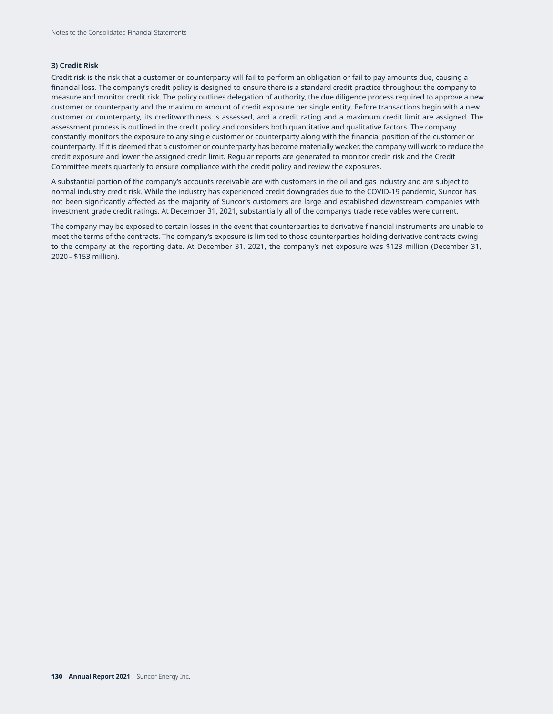#### **3) Credit Risk**

Credit risk is the risk that a customer or counterparty will fail to perform an obligation or fail to pay amounts due, causing a financial loss. The company's credit policy is designed to ensure there is a standard credit practice throughout the company to measure and monitor credit risk. The policy outlines delegation of authority, the due diligence process required to approve a new customer or counterparty and the maximum amount of credit exposure per single entity. Before transactions begin with a new customer or counterparty, its creditworthiness is assessed, and a credit rating and a maximum credit limit are assigned. The assessment process is outlined in the credit policy and considers both quantitative and qualitative factors. The company constantly monitors the exposure to any single customer or counterparty along with the financial position of the customer or counterparty. If it is deemed that a customer or counterparty has become materially weaker, the company will work to reduce the credit exposure and lower the assigned credit limit. Regular reports are generated to monitor credit risk and the Credit Committee meets quarterly to ensure compliance with the credit policy and review the exposures.

A substantial portion of the company's accounts receivable are with customers in the oil and gas industry and are subject to normal industry credit risk. While the industry has experienced credit downgrades due to the COVID-19 pandemic, Suncor has not been significantly affected as the majority of Suncor's customers are large and established downstream companies with investment grade credit ratings. At December 31, 2021, substantially all of the company's trade receivables were current.

The company may be exposed to certain losses in the event that counterparties to derivative financial instruments are unable to meet the terms of the contracts. The company's exposure is limited to those counterparties holding derivative contracts owing to the company at the reporting date. At December 31, 2021, the company's net exposure was \$123 million (December 31, 2020 – \$153 million).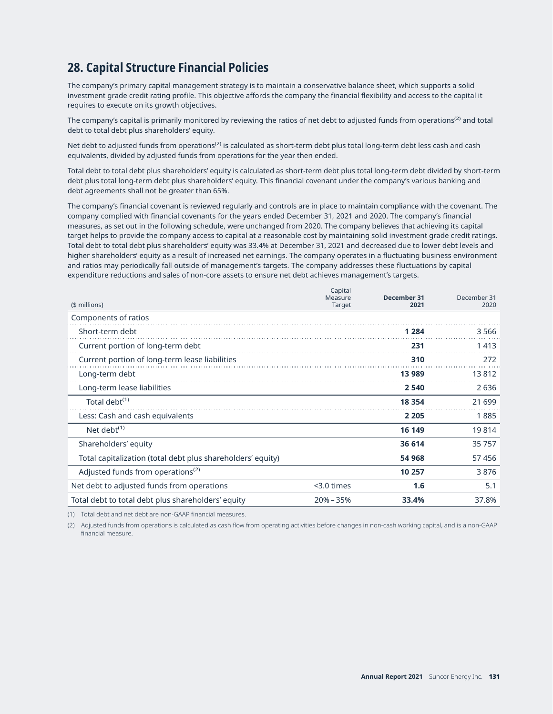# **28. Capital Structure Financial Policies**

The company's primary capital management strategy is to maintain a conservative balance sheet, which supports a solid investment grade credit rating profile. This objective affords the company the financial flexibility and access to the capital it requires to execute on its growth objectives.

The company's capital is primarily monitored by reviewing the ratios of net debt to adjusted funds from operations<sup>(2)</sup> and total debt to total debt plus shareholders' equity.

Net debt to adjusted funds from operations<sup>(2)</sup> is calculated as short-term debt plus total long-term debt less cash and cash equivalents, divided by adjusted funds from operations for the year then ended.

Total debt to total debt plus shareholders' equity is calculated as short-term debt plus total long-term debt divided by short-term debt plus total long-term debt plus shareholders' equity. This financial covenant under the company's various banking and debt agreements shall not be greater than 65%.

The company's financial covenant is reviewed regularly and controls are in place to maintain compliance with the covenant. The company complied with financial covenants for the years ended December 31, 2021 and 2020. The company's financial measures, as set out in the following schedule, were unchanged from 2020. The company believes that achieving its capital target helps to provide the company access to capital at a reasonable cost by maintaining solid investment grade credit ratings. Total debt to total debt plus shareholders' equity was 33.4% at December 31, 2021 and decreased due to lower debt levels and higher shareholders' equity as a result of increased net earnings. The company operates in a fluctuating business environment and ratios may periodically fall outside of management's targets. The company addresses these fluctuations by capital expenditure reductions and sales of non-core assets to ensure net debt achieves management's targets.

|                                                             | Capital<br>Measure | December 31 | December 31 |
|-------------------------------------------------------------|--------------------|-------------|-------------|
| $($$ millions)                                              | Target             | 2021        | 2020        |
| Components of ratios                                        |                    |             |             |
| Short-term debt                                             |                    | 1 2 8 4     | 3 5 6 6     |
| Current portion of long-term debt                           |                    | 231         | 1 413       |
| Current portion of long-term lease liabilities              |                    | 310         | 272         |
| Long-term debt                                              |                    | 13 989      | 13812       |
| Long-term lease liabilities                                 |                    | 2 5 4 0     | 2636        |
| Total debt $(1)$                                            |                    | 18 3 54     | 21 699      |
| Less: Cash and cash equivalents                             |                    | 2 2 0 5     | 1885        |
| Net debt $(1)$                                              |                    | 16 149      | 19814       |
| Shareholders' equity                                        |                    | 36 614      | 35 757      |
| Total capitalization (total debt plus shareholders' equity) |                    | 54 968      | 57 456      |
| Adjusted funds from operations <sup>(2)</sup>               |                    | 10 257      | 3876        |
| Net debt to adjusted funds from operations                  | <3.0 times         | 1.6         | 5.1         |
| Total debt to total debt plus shareholders' equity          | 20% - 35%          | 33.4%       | 37.8%       |

(1) Total debt and net debt are non-GAAP financial measures.

(2) Adjusted funds from operations is calculated as cash flow from operating activities before changes in non-cash working capital, and is a non-GAAP financial measure.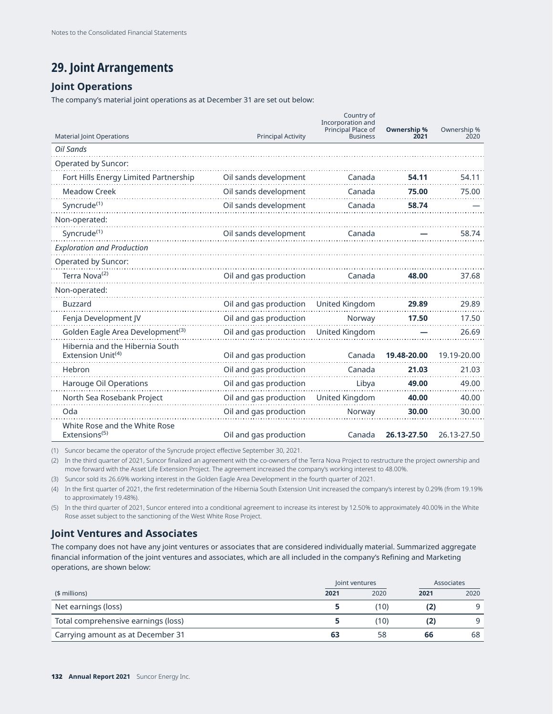## **29. Joint Arrangements**

## **Joint Operations**

The company's material joint operations as at December 31 are set out below:

|                                                                  |                           | Country of<br>Incorporation and       |                            |                     |
|------------------------------------------------------------------|---------------------------|---------------------------------------|----------------------------|---------------------|
| <b>Material Joint Operations</b>                                 | <b>Principal Activity</b> | Principal Place of<br><b>Business</b> | <b>Ownership %</b><br>2021 | Ownership %<br>2020 |
| Oil Sands                                                        |                           |                                       |                            |                     |
| Operated by Suncor:                                              |                           |                                       |                            |                     |
| Fort Hills Energy Limited Partnership                            | Oil sands development     | Canada                                | 54.11                      | 54.11               |
| <b>Meadow Creek</b>                                              | Oil sands development     | Canada                                | 75.00                      | 75.00               |
| Syncrude <sup>(1)</sup>                                          | Oil sands development     | Canada                                | 58.74                      |                     |
| Non-operated:                                                    |                           |                                       |                            |                     |
| Syncrude <sup>(1)</sup>                                          | Oil sands development     | Canada                                |                            | 58.74               |
| <b>Exploration and Production</b>                                |                           |                                       |                            |                     |
| Operated by Suncor:                                              |                           |                                       |                            |                     |
| Terra Nova <sup>(2)</sup>                                        | Oil and gas production    | Canada                                | 48.00                      | 37.68               |
| Non-operated:                                                    |                           |                                       |                            |                     |
| <b>Buzzard</b>                                                   | Oil and gas production    | <b>United Kingdom</b>                 | 29.89                      | 29.89               |
| Fenja Development JV                                             | Oil and gas production    | Norway                                | 17.50                      | 17.50               |
| Golden Eagle Area Development <sup>(3)</sup>                     | Oil and gas production    | United Kingdom                        |                            | 26.69               |
| Hibernia and the Hibernia South<br>Extension Unit <sup>(4)</sup> | Oil and gas production    | Canada                                | 19.48-20.00                | 19.19-20.00         |
| Hebron                                                           | Oil and gas production    | Canada                                | 21.03                      | 21.03               |
| Harouge Oil Operations                                           | Oil and gas production    | Libya                                 | 49.00                      | 49.00               |
| North Sea Rosebank Project                                       | Oil and gas production    | United Kingdom                        | 40.00                      | 40.00               |
| Oda                                                              | Oil and gas production    | Norway                                | 30.00                      | 30.00               |
| White Rose and the White Rose<br>Extensions <sup>(5)</sup>       | Oil and gas production    | Canada                                | 26.13-27.50                | 26.13-27.50         |

(1) Suncor became the operator of the Syncrude project effective September 30, 2021.

(2) In the third quarter of 2021, Suncor finalized an agreement with the co-owners of the Terra Nova Project to restructure the project ownership and move forward with the Asset Life Extension Project. The agreement increased the company's working interest to 48.00%.

(3) Suncor sold its 26.69% working interest in the Golden Eagle Area Development in the fourth quarter of 2021.

(4) In the first quarter of 2021, the first redetermination of the Hibernia South Extension Unit increased the company's interest by 0.29% (from 19.19% to approximately 19.48%).

(5) In the third quarter of 2021, Suncor entered into a conditional agreement to increase its interest by 12.50% to approximately 40.00% in the White Rose asset subject to the sanctioning of the West White Rose Project.

### **Joint Ventures and Associates**

The company does not have any joint ventures or associates that are considered individually material. Summarized aggregate financial information of the joint ventures and associates, which are all included in the company's Refining and Marketing operations, are shown below:

|                                     | Joint ventures |      | <b>Associates</b> |      |
|-------------------------------------|----------------|------|-------------------|------|
| $$$ millions)                       | 2021           | 2020 | 2021              | 2020 |
| Net earnings (loss)                 |                | (10) | (2)               |      |
| Total comprehensive earnings (loss) |                | (10) | (2)               |      |
| Carrying amount as at December 31   | 63             | 58   | 66                | 68   |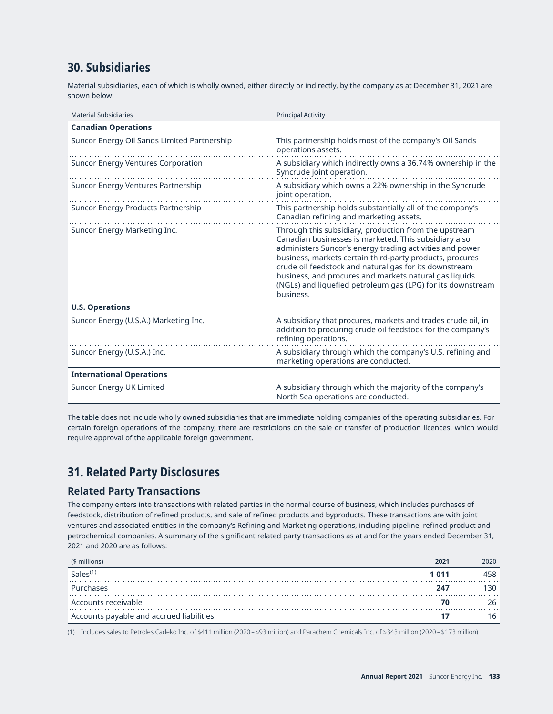# **30. Subsidiaries**

Material subsidiaries, each of which is wholly owned, either directly or indirectly, by the company as at December 31, 2021 are shown below:

| <b>Material Subsidiaries</b>                | <b>Principal Activity</b>                                                                                                                                                                                                                                                                                                                                                                                                              |
|---------------------------------------------|----------------------------------------------------------------------------------------------------------------------------------------------------------------------------------------------------------------------------------------------------------------------------------------------------------------------------------------------------------------------------------------------------------------------------------------|
| <b>Canadian Operations</b>                  |                                                                                                                                                                                                                                                                                                                                                                                                                                        |
| Suncor Energy Oil Sands Limited Partnership | This partnership holds most of the company's Oil Sands<br>operations assets.                                                                                                                                                                                                                                                                                                                                                           |
| <b>Suncor Energy Ventures Corporation</b>   | A subsidiary which indirectly owns a 36.74% ownership in the<br>Syncrude joint operation.                                                                                                                                                                                                                                                                                                                                              |
| Suncor Energy Ventures Partnership          | A subsidiary which owns a 22% ownership in the Syncrude<br>joint operation.                                                                                                                                                                                                                                                                                                                                                            |
| Suncor Energy Products Partnership          | This partnership holds substantially all of the company's<br>Canadian refining and marketing assets.                                                                                                                                                                                                                                                                                                                                   |
| Suncor Energy Marketing Inc.                | Through this subsidiary, production from the upstream<br>Canadian businesses is marketed. This subsidiary also<br>administers Suncor's energy trading activities and power<br>business, markets certain third-party products, procures<br>crude oil feedstock and natural gas for its downstream<br>business, and procures and markets natural gas liquids<br>(NGLs) and liquefied petroleum gas (LPG) for its downstream<br>business. |
| <b>U.S. Operations</b>                      |                                                                                                                                                                                                                                                                                                                                                                                                                                        |
| Suncor Energy (U.S.A.) Marketing Inc.       | A subsidiary that procures, markets and trades crude oil, in<br>addition to procuring crude oil feedstock for the company's<br>refining operations.                                                                                                                                                                                                                                                                                    |
| Suncor Energy (U.S.A.) Inc.                 | A subsidiary through which the company's U.S. refining and<br>marketing operations are conducted.                                                                                                                                                                                                                                                                                                                                      |
| <b>International Operations</b>             |                                                                                                                                                                                                                                                                                                                                                                                                                                        |
| Suncor Energy UK Limited                    | A subsidiary through which the majority of the company's<br>North Sea operations are conducted.                                                                                                                                                                                                                                                                                                                                        |

The table does not include wholly owned subsidiaries that are immediate holding companies of the operating subsidiaries. For certain foreign operations of the company, there are restrictions on the sale or transfer of production licences, which would require approval of the applicable foreign government.

## **31. Related Party Disclosures**

## **Related Party Transactions**

The company enters into transactions with related parties in the normal course of business, which includes purchases of feedstock, distribution of refined products, and sale of refined products and byproducts. These transactions are with joint ventures and associated entities in the company's Refining and Marketing operations, including pipeline, refined product and petrochemical companies. A summary of the significant related party transactions as at and for the years ended December 31, 2021 and 2020 are as follows:

| (\$ millions)                            | 2021 | 2020 |
|------------------------------------------|------|------|
| Sales <sup>(1)</sup>                     | 1011 |      |
| Purchases                                | 247  |      |
| Accounts receivable                      |      |      |
| Accounts payable and accrued liabilities |      |      |

(1) Includes sales to Petroles Cadeko Inc. of \$411 million (2020 – \$93 million) and Parachem Chemicals Inc. of \$343 million (2020 – \$173 million).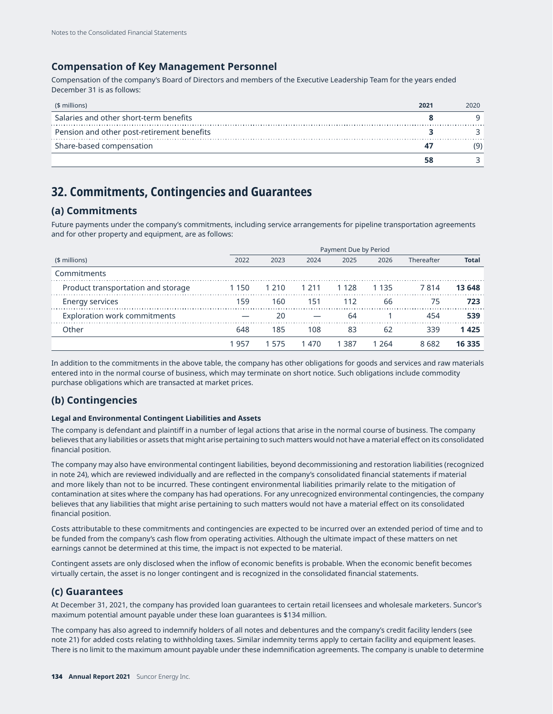### **Compensation of Key Management Personnel**

Compensation of the company's Board of Directors and members of the Executive Leadership Team for the years ended December 31 is as follows:

| (\$ millions)                              | 2021 | 2020 |
|--------------------------------------------|------|------|
| Salaries and other short-term benefits     |      |      |
| Pension and other post-retirement benefits |      |      |
| Share-based compensation                   |      | (9)  |
|                                            |      |      |

## **32. Commitments, Contingencies and Guarantees**

### **(a) Commitments**

Future payments under the company's commitments, including service arrangements for pipeline transportation agreements and for other property and equipment, are as follows:

|                                     |       | Payment Due by Period |         |         |         |            |              |
|-------------------------------------|-------|-----------------------|---------|---------|---------|------------|--------------|
| (\$ millions)                       | 2022  | 2023                  | 2024    | 2025    | 2026    | Thereafter | <b>Total</b> |
| Commitments                         |       |                       |         |         |         |            |              |
| Product transportation and storage  | 1 150 | 1 2 1 0               | 1 2 1 1 | 1 1 2 8 | 1 1 3 5 | 7814       | 13 648       |
| Energy services                     | 159   | 160                   | 151     | 112     | 66      | 75         | 723          |
| <b>Exploration work commitments</b> |       | 20                    |         | 64      |         | 454        | 539          |
| Other                               | 648   | 185                   | 108     | 83      | 62      | 339        | 1425         |
|                                     | 1957  | 1.575                 | 1 470   | 1.387   | 1 264   | 8682       | 16 335       |

In addition to the commitments in the above table, the company has other obligations for goods and services and raw materials entered into in the normal course of business, which may terminate on short notice. Such obligations include commodity purchase obligations which are transacted at market prices.

### **(b) Contingencies**

#### **Legal and Environmental Contingent Liabilities and Assets**

The company is defendant and plaintiff in a number of legal actions that arise in the normal course of business. The company believes that any liabilities or assets that might arise pertaining to such matters would not have a material effect on its consolidated financial position.

The company may also have environmental contingent liabilities, beyond decommissioning and restoration liabilities (recognized in note 24), which are reviewed individually and are reflected in the company's consolidated financial statements if material and more likely than not to be incurred. These contingent environmental liabilities primarily relate to the mitigation of contamination at sites where the company has had operations. For any unrecognized environmental contingencies, the company believes that any liabilities that might arise pertaining to such matters would not have a material effect on its consolidated financial position.

Costs attributable to these commitments and contingencies are expected to be incurred over an extended period of time and to be funded from the company's cash flow from operating activities. Although the ultimate impact of these matters on net earnings cannot be determined at this time, the impact is not expected to be material.

Contingent assets are only disclosed when the inflow of economic benefits is probable. When the economic benefit becomes virtually certain, the asset is no longer contingent and is recognized in the consolidated financial statements.

### **(c) Guarantees**

At December 31, 2021, the company has provided loan guarantees to certain retail licensees and wholesale marketers. Suncor's maximum potential amount payable under these loan guarantees is \$134 million.

The company has also agreed to indemnify holders of all notes and debentures and the company's credit facility lenders (see note 21) for added costs relating to withholding taxes. Similar indemnity terms apply to certain facility and equipment leases. There is no limit to the maximum amount payable under these indemnification agreements. The company is unable to determine